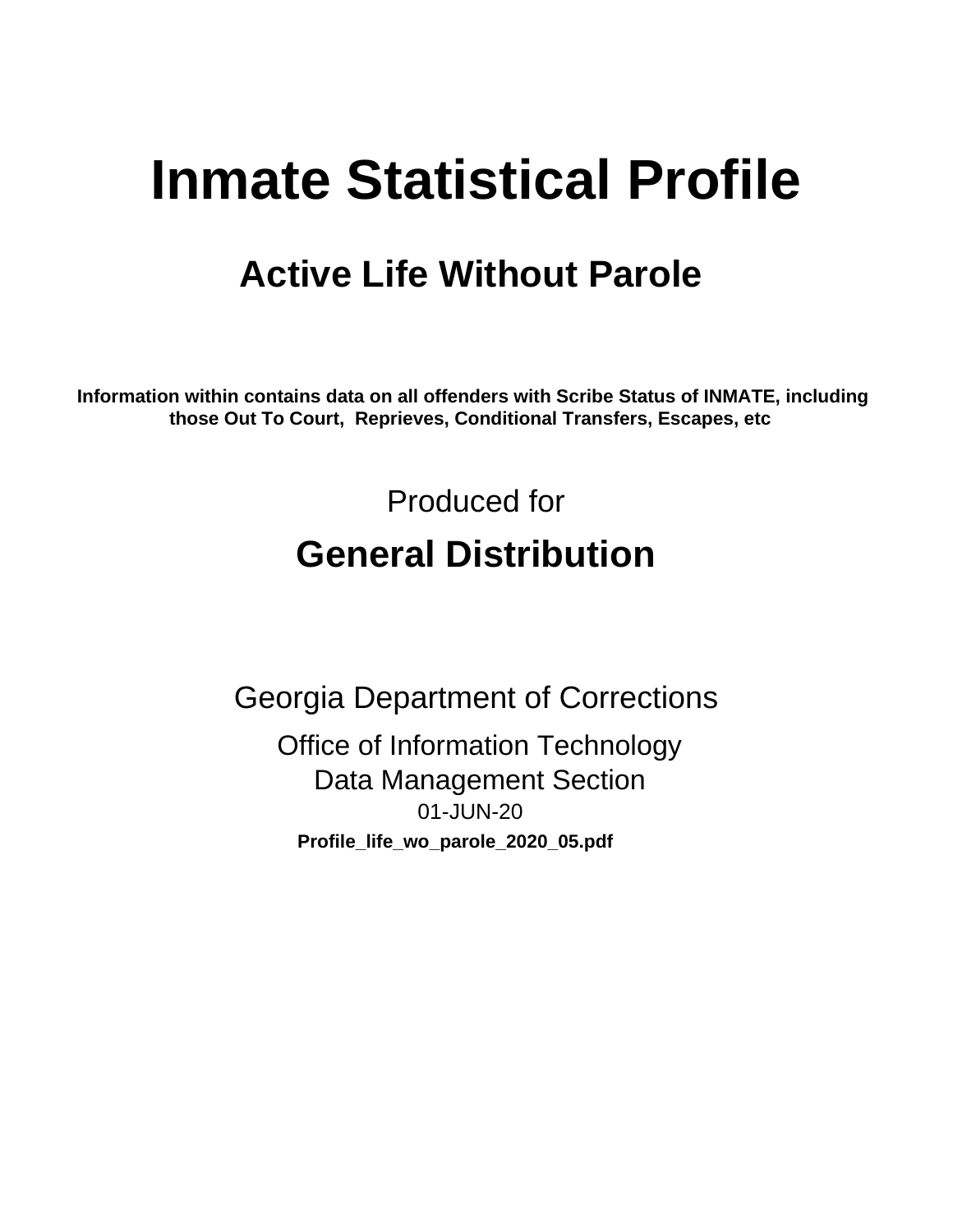# **Inmate Statistical Profile**

# **Active Life Without Parole**

Information within contains data on all offenders with Scribe Status of INMATE, including those Out To Court, Reprieves, Conditional Transfers, Escapes, etc

> Produced for **General Distribution**

**Georgia Department of Corrections Office of Information Technology Data Management Section** 01-JUN-20 Profile\_life\_wo\_parole\_2020\_05.pdf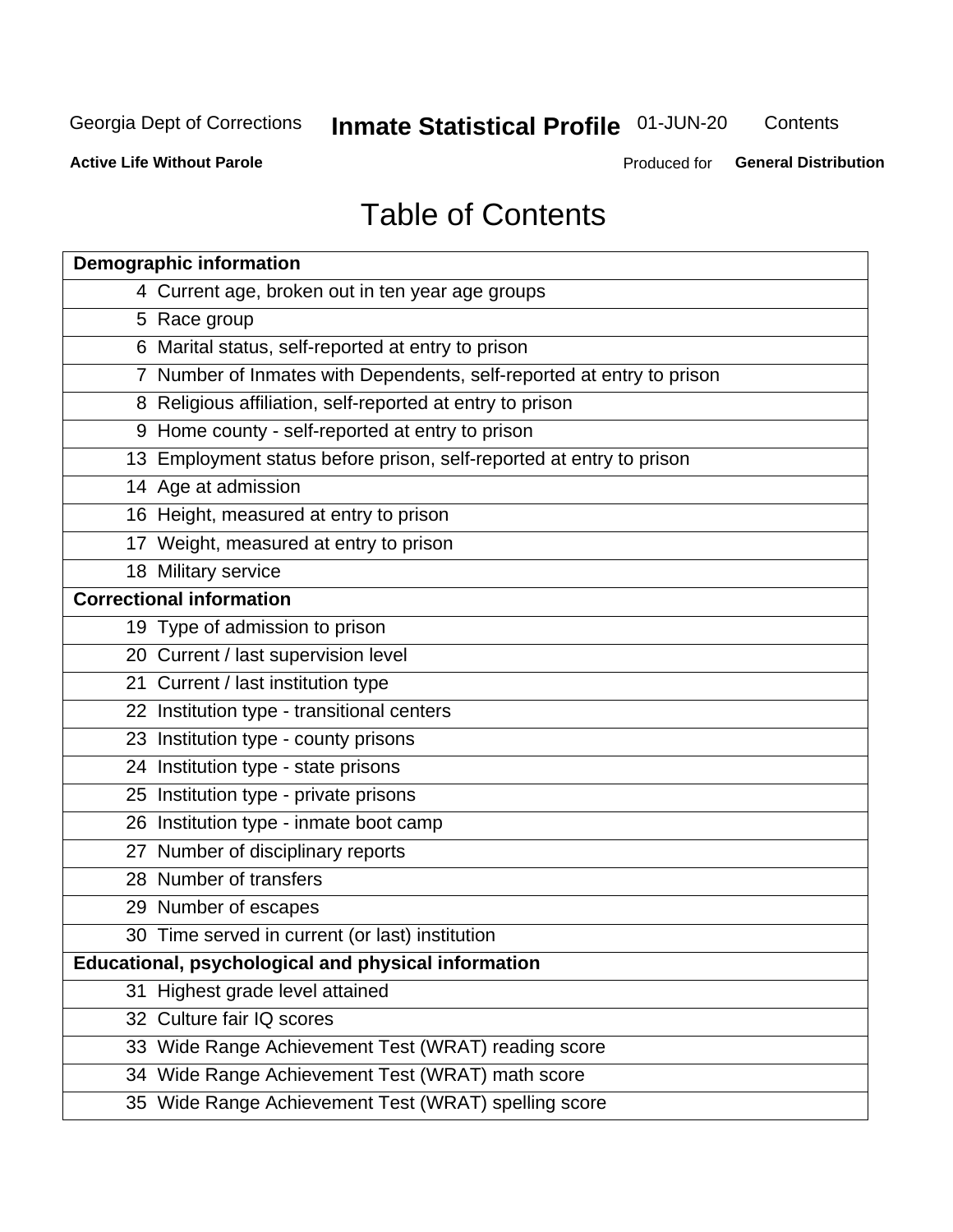# **Inmate Statistical Profile 01-JUN-20**

Contents

**Active Life Without Parole** 

Produced for General Distribution

# **Table of Contents**

|                                                     | <b>Demographic information</b>                                        |  |  |  |  |
|-----------------------------------------------------|-----------------------------------------------------------------------|--|--|--|--|
|                                                     | 4 Current age, broken out in ten year age groups                      |  |  |  |  |
|                                                     | 5 Race group                                                          |  |  |  |  |
|                                                     | 6 Marital status, self-reported at entry to prison                    |  |  |  |  |
|                                                     | 7 Number of Inmates with Dependents, self-reported at entry to prison |  |  |  |  |
|                                                     | 8 Religious affiliation, self-reported at entry to prison             |  |  |  |  |
|                                                     | 9 Home county - self-reported at entry to prison                      |  |  |  |  |
|                                                     | 13 Employment status before prison, self-reported at entry to prison  |  |  |  |  |
|                                                     | 14 Age at admission                                                   |  |  |  |  |
|                                                     | 16 Height, measured at entry to prison                                |  |  |  |  |
|                                                     | 17 Weight, measured at entry to prison                                |  |  |  |  |
|                                                     | 18 Military service                                                   |  |  |  |  |
|                                                     | <b>Correctional information</b>                                       |  |  |  |  |
|                                                     | 19 Type of admission to prison                                        |  |  |  |  |
|                                                     | 20 Current / last supervision level                                   |  |  |  |  |
|                                                     | 21 Current / last institution type                                    |  |  |  |  |
|                                                     | 22 Institution type - transitional centers                            |  |  |  |  |
|                                                     | 23 Institution type - county prisons                                  |  |  |  |  |
|                                                     | 24 Institution type - state prisons                                   |  |  |  |  |
|                                                     | 25 Institution type - private prisons                                 |  |  |  |  |
|                                                     | 26 Institution type - inmate boot camp                                |  |  |  |  |
|                                                     | 27 Number of disciplinary reports                                     |  |  |  |  |
|                                                     | 28 Number of transfers                                                |  |  |  |  |
|                                                     | 29 Number of escapes                                                  |  |  |  |  |
|                                                     | 30 Time served in current (or last) institution                       |  |  |  |  |
| Educational, psychological and physical information |                                                                       |  |  |  |  |
| 31                                                  | Highest grade level attained                                          |  |  |  |  |
|                                                     | 32 Culture fair IQ scores                                             |  |  |  |  |
|                                                     | 33 Wide Range Achievement Test (WRAT) reading score                   |  |  |  |  |
|                                                     | 34 Wide Range Achievement Test (WRAT) math score                      |  |  |  |  |
|                                                     | 35 Wide Range Achievement Test (WRAT) spelling score                  |  |  |  |  |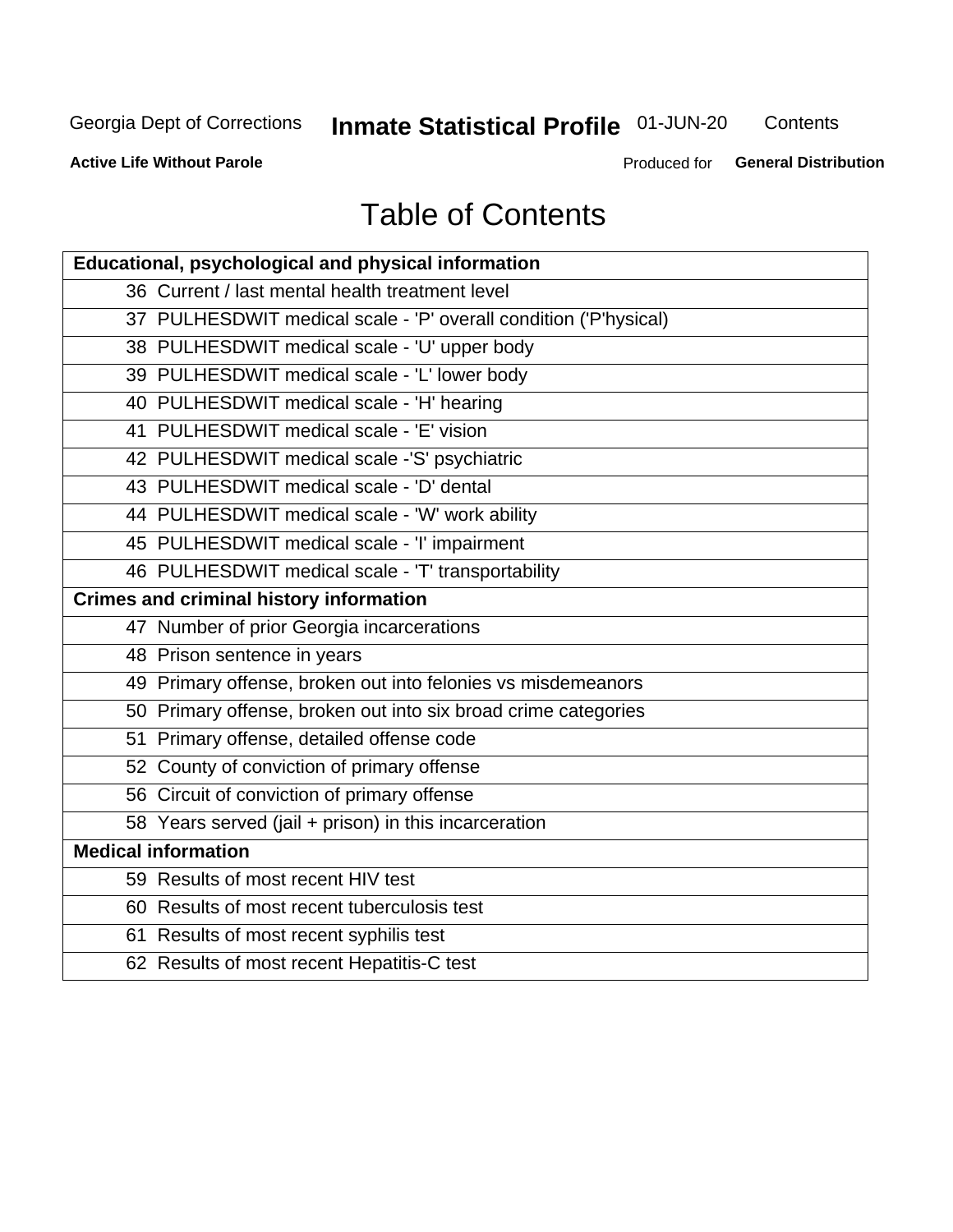# **Inmate Statistical Profile 01-JUN-20**

Contents

**Active Life Without Parole** 

Produced for General Distribution

# **Table of Contents**

| Educational, psychological and physical information              |
|------------------------------------------------------------------|
| 36 Current / last mental health treatment level                  |
| 37 PULHESDWIT medical scale - 'P' overall condition ('P'hysical) |
| 38 PULHESDWIT medical scale - 'U' upper body                     |
| 39 PULHESDWIT medical scale - 'L' lower body                     |
| 40 PULHESDWIT medical scale - 'H' hearing                        |
| 41 PULHESDWIT medical scale - 'E' vision                         |
| 42 PULHESDWIT medical scale -'S' psychiatric                     |
| 43 PULHESDWIT medical scale - 'D' dental                         |
| 44 PULHESDWIT medical scale - 'W' work ability                   |
| 45 PULHESDWIT medical scale - 'I' impairment                     |
| 46 PULHESDWIT medical scale - 'T' transportability               |
| <b>Crimes and criminal history information</b>                   |
| 47 Number of prior Georgia incarcerations                        |
| 48 Prison sentence in years                                      |
| 49 Primary offense, broken out into felonies vs misdemeanors     |
| 50 Primary offense, broken out into six broad crime categories   |
| 51 Primary offense, detailed offense code                        |
| 52 County of conviction of primary offense                       |
| 56 Circuit of conviction of primary offense                      |
| 58 Years served (jail + prison) in this incarceration            |
| <b>Medical information</b>                                       |
| 59 Results of most recent HIV test                               |
| 60 Results of most recent tuberculosis test                      |
| 61 Results of most recent syphilis test                          |
| 62 Results of most recent Hepatitis-C test                       |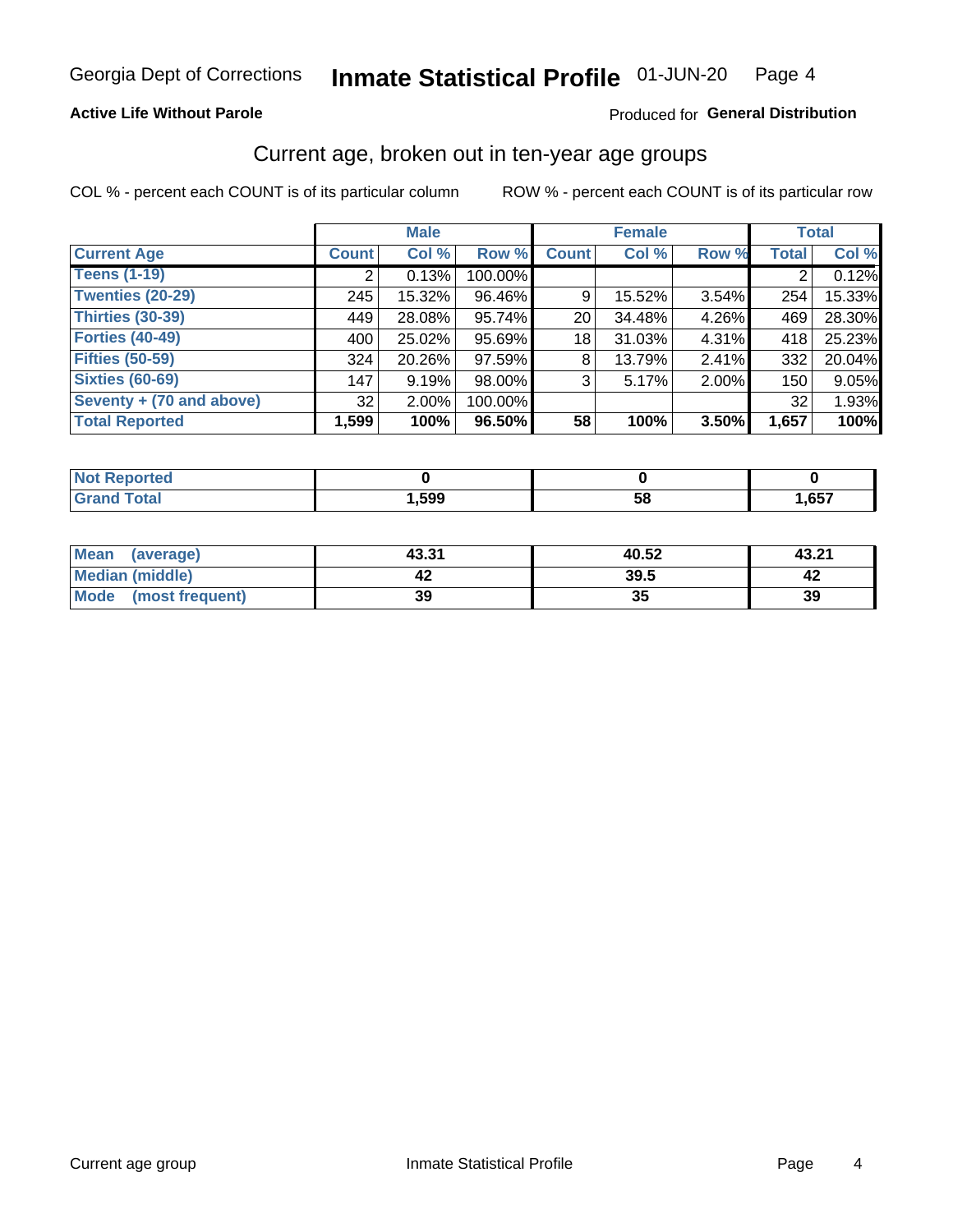### **Active Life Without Parole**

### Produced for General Distribution

# Current age, broken out in ten-year age groups

COL % - percent each COUNT is of its particular column

|                          | <b>Male</b>  |          |         | <b>Female</b>   |        |          | <b>Total</b> |        |
|--------------------------|--------------|----------|---------|-----------------|--------|----------|--------------|--------|
| <b>Current Age</b>       | <b>Count</b> | Col %    | Row %   | <b>Count</b>    | Col %  | Row %    | <b>Total</b> | Col %  |
| <b>Teens (1-19)</b>      |              | 0.13%    | 100.00% |                 |        |          |              | 0.12%  |
| <b>Twenties (20-29)</b>  | 245          | 15.32%   | 96.46%  | 9               | 15.52% | 3.54%    | 254          | 15.33% |
| Thirties (30-39)         | 449          | 28.08%   | 95.74%  | 20 <sub>1</sub> | 34.48% | 4.26%    | 469          | 28.30% |
| <b>Forties (40-49)</b>   | 400          | 25.02%   | 95.69%  | 18              | 31.03% | 4.31%    | 418          | 25.23% |
| <b>Fifties (50-59)</b>   | 324          | 20.26%   | 97.59%  | 8               | 13.79% | $2.41\%$ | 332          | 20.04% |
| <b>Sixties (60-69)</b>   | 147          | 9.19%    | 98.00%  | 3               | 5.17%  | 2.00%    | 150          | 9.05%  |
| Seventy + (70 and above) | 32           | $2.00\%$ | 100.00% |                 |        |          | 32           | 1.93%  |
| <b>Total Reported</b>    | 1,599        | 100%     | 96.50%  | 58              | 100%   | 3.50%    | 1,657        | 100%   |

| วrted<br>. <b>.</b> |      |    |      |
|---------------------|------|----|------|
| <b>Total</b>        | ,599 | 58 | ,657 |

| Mean<br>(average)       | 43.31 | 40.52 | 43.21 |
|-------------------------|-------|-------|-------|
| <b>Median (middle)</b>  |       | 39.5  |       |
| Mode<br>(most frequent) | 39    | JJ    | 39    |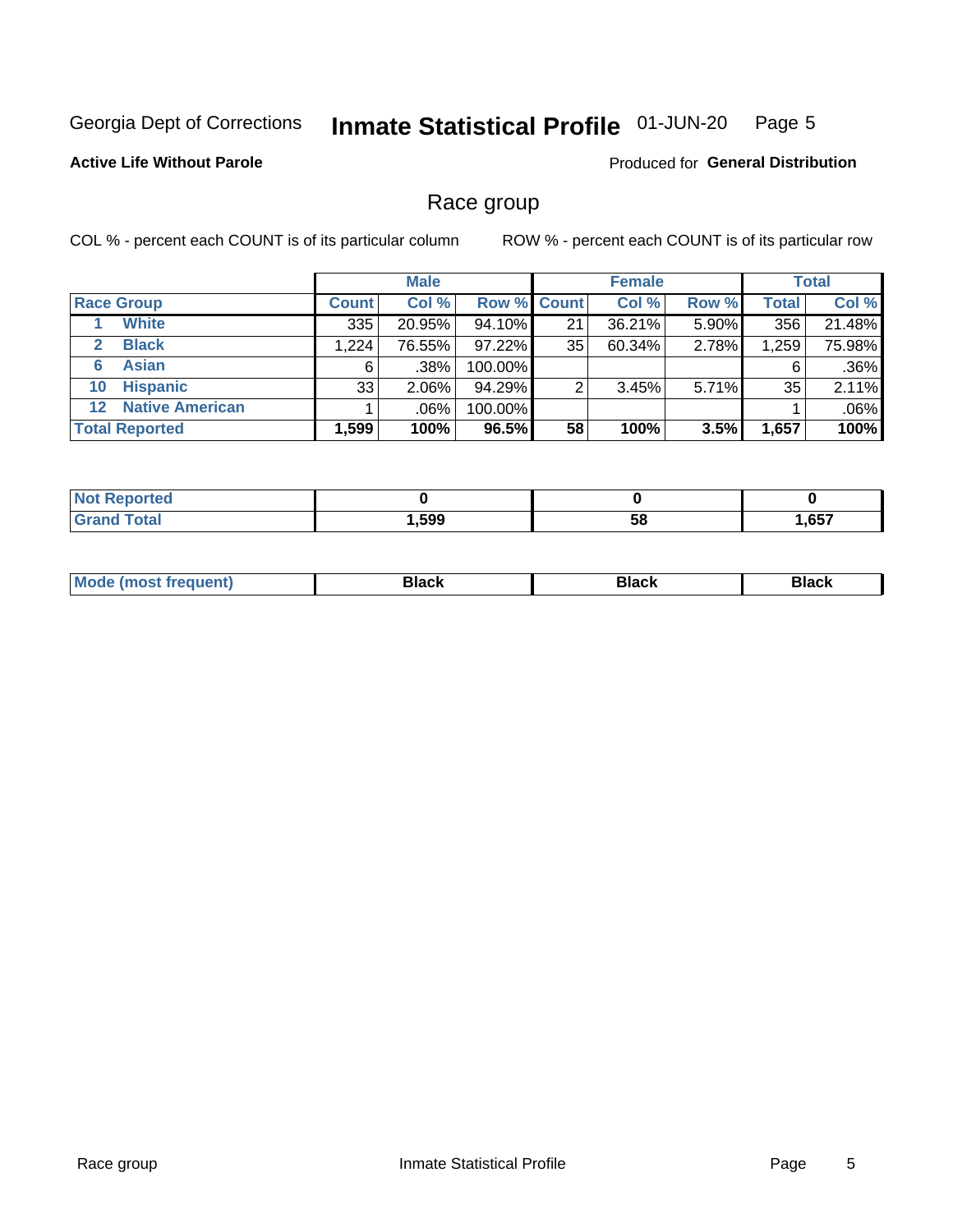#### Inmate Statistical Profile 01-JUN-20 Page 5

### **Active Life Without Parole**

Produced for General Distribution

# Race group

COL % - percent each COUNT is of its particular column

|                       |                        |              | <b>Male</b> |           |                    | <b>Female</b> |       |              | <b>Total</b> |  |
|-----------------------|------------------------|--------------|-------------|-----------|--------------------|---------------|-------|--------------|--------------|--|
|                       | <b>Race Group</b>      | <b>Count</b> | Col %       |           | <b>Row % Count</b> | Col %         | Row % | <b>Total</b> | Col %        |  |
|                       | <b>White</b>           | 335          | 20.95%      | 94.10%    | 21                 | 36.21%        | 5.90% | 356          | 21.48%       |  |
| $\mathbf{2}$          | <b>Black</b>           | 1.224        | 76.55%      | $97.22\%$ | 35                 | 60.34%        | 2.78% | 1,259        | 75.98%       |  |
| 6                     | <b>Asian</b>           | 6            | .38%        | 100.00%   |                    |               |       | 6            | .36%         |  |
| 10                    | <b>Hispanic</b>        | 33           | $2.06\%$    | 94.29%    | ◠                  | 3.45%         | 5.71% | 35           | 2.11%        |  |
| $12 \,$               | <b>Native American</b> |              | .06%        | 100.00%   |                    |               |       |              | .06%         |  |
| <b>Total Reported</b> |                        | 1,599        | 100%        | 96.5%     | 58                 | 100%          | 3.5%  | 1,657        | 100%         |  |

| Reported     |      |    |      |
|--------------|------|----|------|
| <b>Total</b> | ,599 | 58 | ,657 |

| M | - - - |  |
|---|-------|--|
|   |       |  |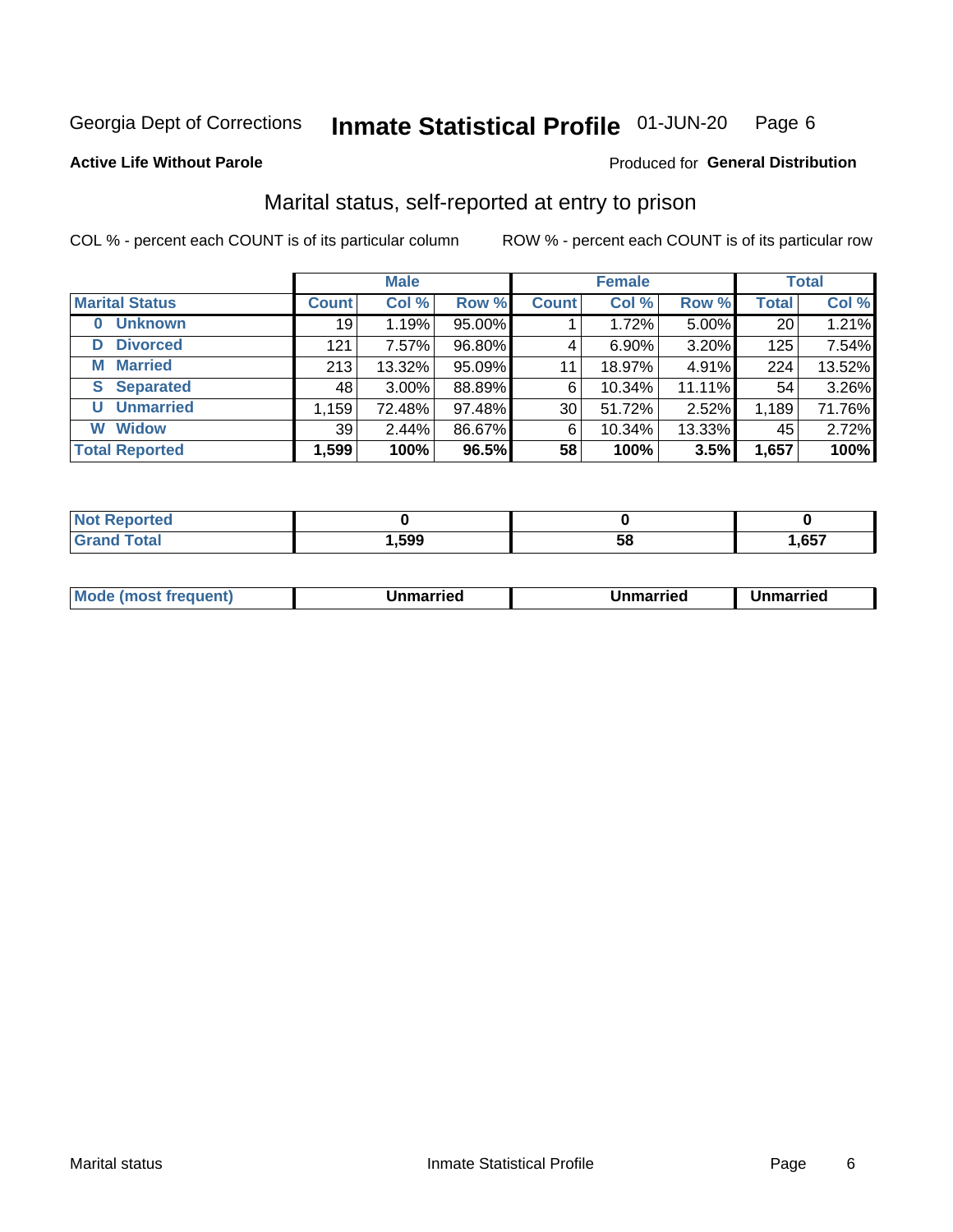#### Inmate Statistical Profile 01-JUN-20 Page 6

**Active Life Without Parole** 

#### Produced for General Distribution

# Marital status, self-reported at entry to prison

COL % - percent each COUNT is of its particular column

|                            | <b>Male</b>  |          |        | <b>Female</b>   |        |        | <b>Total</b> |        |
|----------------------------|--------------|----------|--------|-----------------|--------|--------|--------------|--------|
| <b>Marital Status</b>      | <b>Count</b> | Col %    | Row %  | <b>Count</b>    | Col %  | Row %  | <b>Total</b> | Col %  |
| <b>Unknown</b><br>$\bf{0}$ | 19           | 1.19%    | 95.00% |                 | 1.72%  | 5.00%  | 20           | 1.21%  |
| <b>Divorced</b><br>D       | 121          | 7.57%    | 96.80% | 4               | 6.90%  | 3.20%  | 125          | 7.54%  |
| <b>Married</b><br>м        | 213          | 13.32%   | 95.09% | 11              | 18.97% | 4.91%  | 224          | 13.52% |
| <b>Separated</b><br>S.     | 48           | $3.00\%$ | 88.89% | 6               | 10.34% | 11.11% | 54           | 3.26%  |
| <b>Unmarried</b><br>U      | 1,159        | 72.48%   | 97.48% | 30 <sup>1</sup> | 51.72% | 2.52%  | 1,189        | 71.76% |
| <b>Widow</b><br>W          | 39           | 2.44%    | 86.67% | 6               | 10.34% | 13.33% | 45           | 2.72%  |
| <b>Total Reported</b>      | 1,599        | 100%     | 96.5%  | 58              | 100%   | 3.5%   | 1,657        | 100%   |

| prted<br>NOT |      |    |       |
|--------------|------|----|-------|
| <b>Total</b> | ,599 | ວດ | 1,657 |

|  | M | . | Unmarried | າmarried<br>_____ |
|--|---|---|-----------|-------------------|
|--|---|---|-----------|-------------------|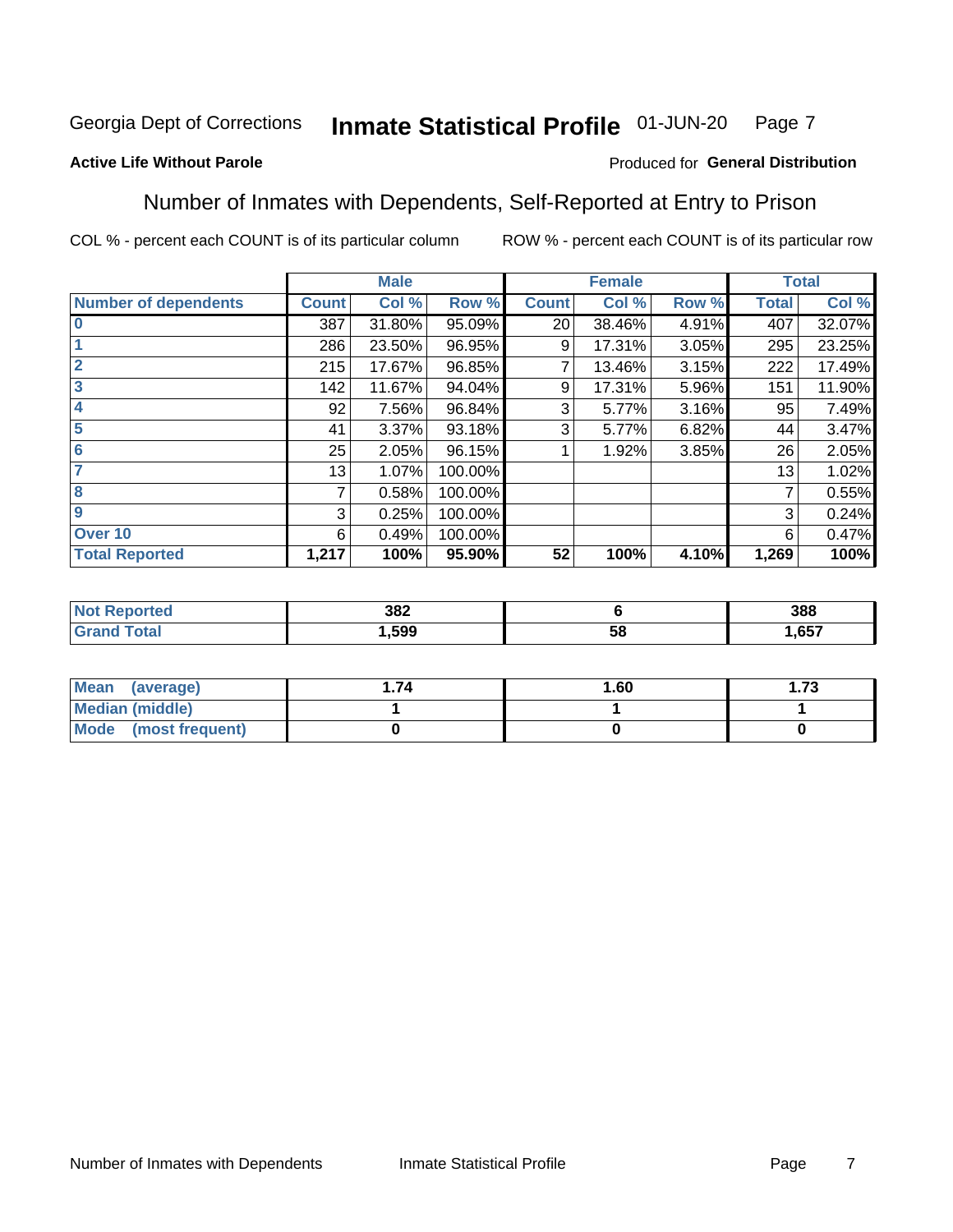#### Inmate Statistical Profile 01-JUN-20 Page 7

### **Active Life Without Parole**

### Produced for General Distribution

# Number of Inmates with Dependents, Self-Reported at Entry to Prison

COL % - percent each COUNT is of its particular column

|                             |              | <b>Male</b> |         |              | <b>Female</b> |       |              | <b>Total</b> |
|-----------------------------|--------------|-------------|---------|--------------|---------------|-------|--------------|--------------|
| <b>Number of dependents</b> | <b>Count</b> | Col %       | Row %   | <b>Count</b> | Col %         | Row % | <b>Total</b> | Col %        |
| $\bf{0}$                    | 387          | 31.80%      | 95.09%  | 20           | 38.46%        | 4.91% | 407          | 32.07%       |
|                             | 286          | 23.50%      | 96.95%  | 9            | 17.31%        | 3.05% | 295          | 23.25%       |
| $\overline{2}$              | 215          | 17.67%      | 96.85%  |              | 13.46%        | 3.15% | 222          | 17.49%       |
| 3                           | 142          | 11.67%      | 94.04%  | 9            | 17.31%        | 5.96% | 151          | 11.90%       |
| 4                           | 92           | 7.56%       | 96.84%  | 3            | 5.77%         | 3.16% | 95           | 7.49%        |
| 5                           | 41           | 3.37%       | 93.18%  | 3            | 5.77%         | 6.82% | 44           | 3.47%        |
| 6                           | 25           | 2.05%       | 96.15%  |              | 1.92%         | 3.85% | 26           | 2.05%        |
| 7                           | 13           | 1.07%       | 100.00% |              |               |       | 13           | 1.02%        |
| 8                           | 7            | 0.58%       | 100.00% |              |               |       | 7            | 0.55%        |
| 9                           | 3            | 0.25%       | 100.00% |              |               |       | 3            | 0.24%        |
| Over 10                     | 6            | 0.49%       | 100.00% |              |               |       | 6            | 0.47%        |
| <b>Total Reported</b>       | 1,217        | 100%        | 95.90%  | 52           | 100%          | 4.10% | 1,269        | 100%         |

| 382<br>$ -$ |          | 388  |
|-------------|----------|------|
| .599        | . .<br>◡ | .657 |

| <b>Mean</b><br>(average) | 1.60 | - 72<br>I. I J |
|--------------------------|------|----------------|
| Median (middle)          |      |                |
| Mode<br>(most frequent)  |      |                |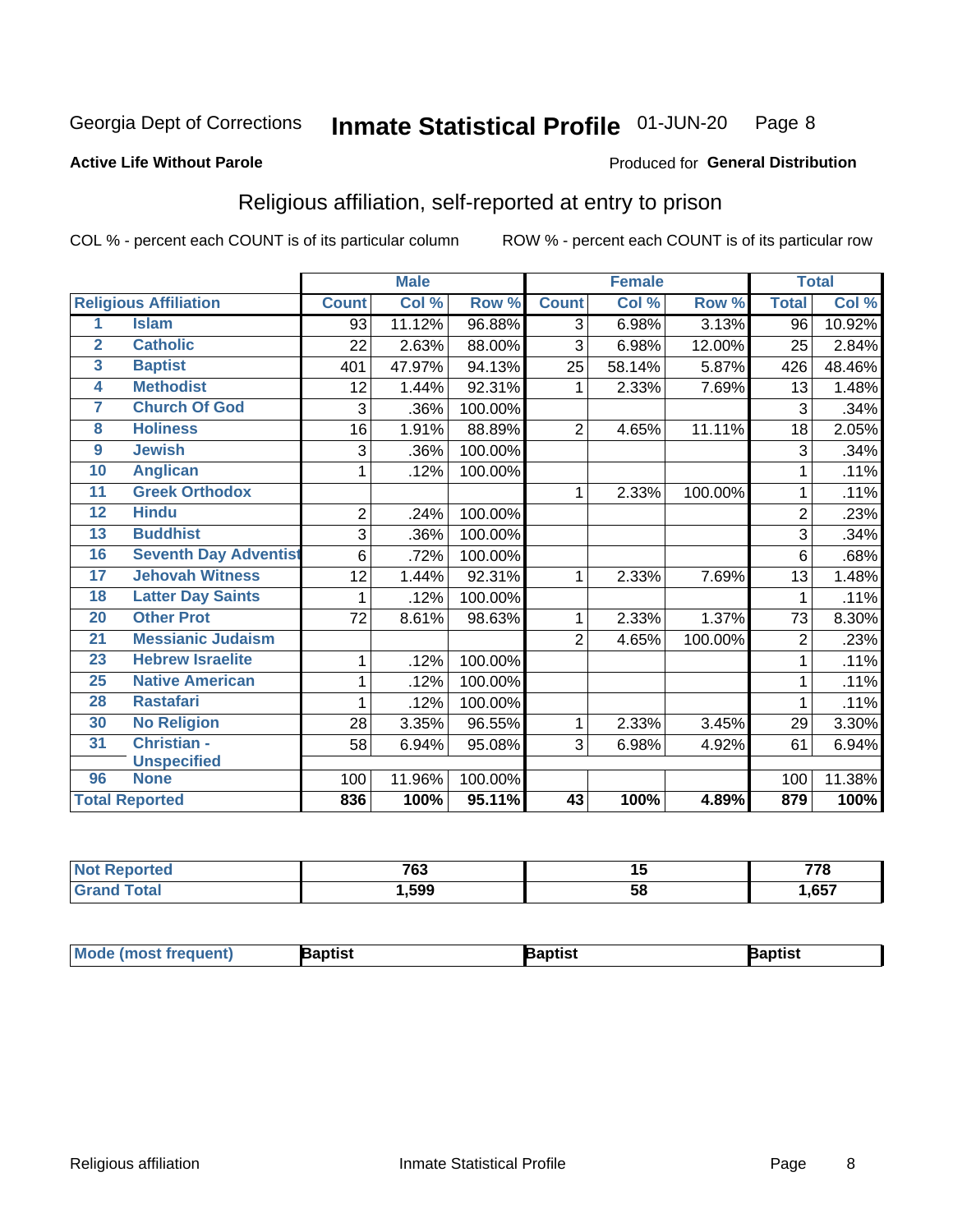#### Inmate Statistical Profile 01-JUN-20 Page 8

#### **Active Life Without Parole**

#### Produced for General Distribution

# Religious affiliation, self-reported at entry to prison

COL % - percent each COUNT is of its particular column

|                         |                              |                | <b>Male</b> |         |                | <b>Female</b> |         | <b>Total</b>   |        |
|-------------------------|------------------------------|----------------|-------------|---------|----------------|---------------|---------|----------------|--------|
|                         | <b>Religious Affiliation</b> | <b>Count</b>   | Col %       | Row %   | <b>Count</b>   | Col %         | Row %   | <b>Total</b>   | Col %  |
| 1                       | <b>Islam</b>                 | 93             | 11.12%      | 96.88%  | $\overline{3}$ | 6.98%         | 3.13%   | 96             | 10.92% |
| $\overline{2}$          | <b>Catholic</b>              | 22             | 2.63%       | 88.00%  | 3              | 6.98%         | 12.00%  | 25             | 2.84%  |
| $\overline{\mathbf{3}}$ | <b>Baptist</b>               | 401            | 47.97%      | 94.13%  | 25             | 58.14%        | 5.87%   | 426            | 48.46% |
| $\overline{\mathbf{4}}$ | <b>Methodist</b>             | 12             | 1.44%       | 92.31%  | 1              | 2.33%         | 7.69%   | 13             | 1.48%  |
| 7                       | <b>Church Of God</b>         | 3              | .36%        | 100.00% |                |               |         | 3              | .34%   |
| 8                       | <b>Holiness</b>              | 16             | 1.91%       | 88.89%  | $\overline{2}$ | 4.65%         | 11.11%  | 18             | 2.05%  |
| $\overline{9}$          | <b>Jewish</b>                | 3              | .36%        | 100.00% |                |               |         | 3              | .34%   |
| 10                      | <b>Anglican</b>              | 1              | .12%        | 100.00% |                |               |         |                | .11%   |
| 11                      | <b>Greek Orthodox</b>        |                |             |         | 1              | 2.33%         | 100.00% |                | .11%   |
| 12                      | <b>Hindu</b>                 | $\overline{2}$ | .24%        | 100.00% |                |               |         | $\overline{2}$ | .23%   |
| 13                      | <b>Buddhist</b>              | 3              | .36%        | 100.00% |                |               |         | 3              | .34%   |
| 16                      | <b>Seventh Day Adventist</b> | 6              | .72%        | 100.00% |                |               |         | 6              | .68%   |
| 17                      | <b>Jehovah Witness</b>       | 12             | 1.44%       | 92.31%  | 1              | 2.33%         | 7.69%   | 13             | 1.48%  |
| 18                      | <b>Latter Day Saints</b>     | 1              | .12%        | 100.00% |                |               |         |                | .11%   |
| 20                      | <b>Other Prot</b>            | 72             | 8.61%       | 98.63%  | 1              | 2.33%         | 1.37%   | 73             | 8.30%  |
| $\overline{21}$         | <b>Messianic Judaism</b>     |                |             |         | $\overline{2}$ | 4.65%         | 100.00% | $\overline{2}$ | .23%   |
| 23                      | <b>Hebrew Israelite</b>      | 1              | .12%        | 100.00% |                |               |         |                | .11%   |
| 25                      | <b>Native American</b>       | 1              | .12%        | 100.00% |                |               |         |                | .11%   |
| 28                      | <b>Rastafari</b>             | 1              | .12%        | 100.00% |                |               |         |                | .11%   |
| 30                      | <b>No Religion</b>           | 28             | 3.35%       | 96.55%  | 1              | 2.33%         | 3.45%   | 29             | 3.30%  |
| 31                      | Christian -                  | 58             | 6.94%       | 95.08%  | 3              | 6.98%         | 4.92%   | 61             | 6.94%  |
|                         | <b>Unspecified</b>           |                |             |         |                |               |         |                |        |
| 96                      | <b>None</b>                  | 100            | 11.96%      | 100.00% |                |               |         | 100            | 11.38% |
|                         | <b>Total Reported</b>        | 836            | 100%        | 95.11%  | 43             | 100%          | 4.89%   | 879            | 100%   |

| . | 700<br>כט ו | . .<br>ю,        | 770  |
|---|-------------|------------------|------|
|   | .599        | . .<br>55<br>ິບເ | .657 |

| Mode (most frequ<br>aptist<br>Nuent) | ˈaɒtist | ʿaptis |
|--------------------------------------|---------|--------|
|--------------------------------------|---------|--------|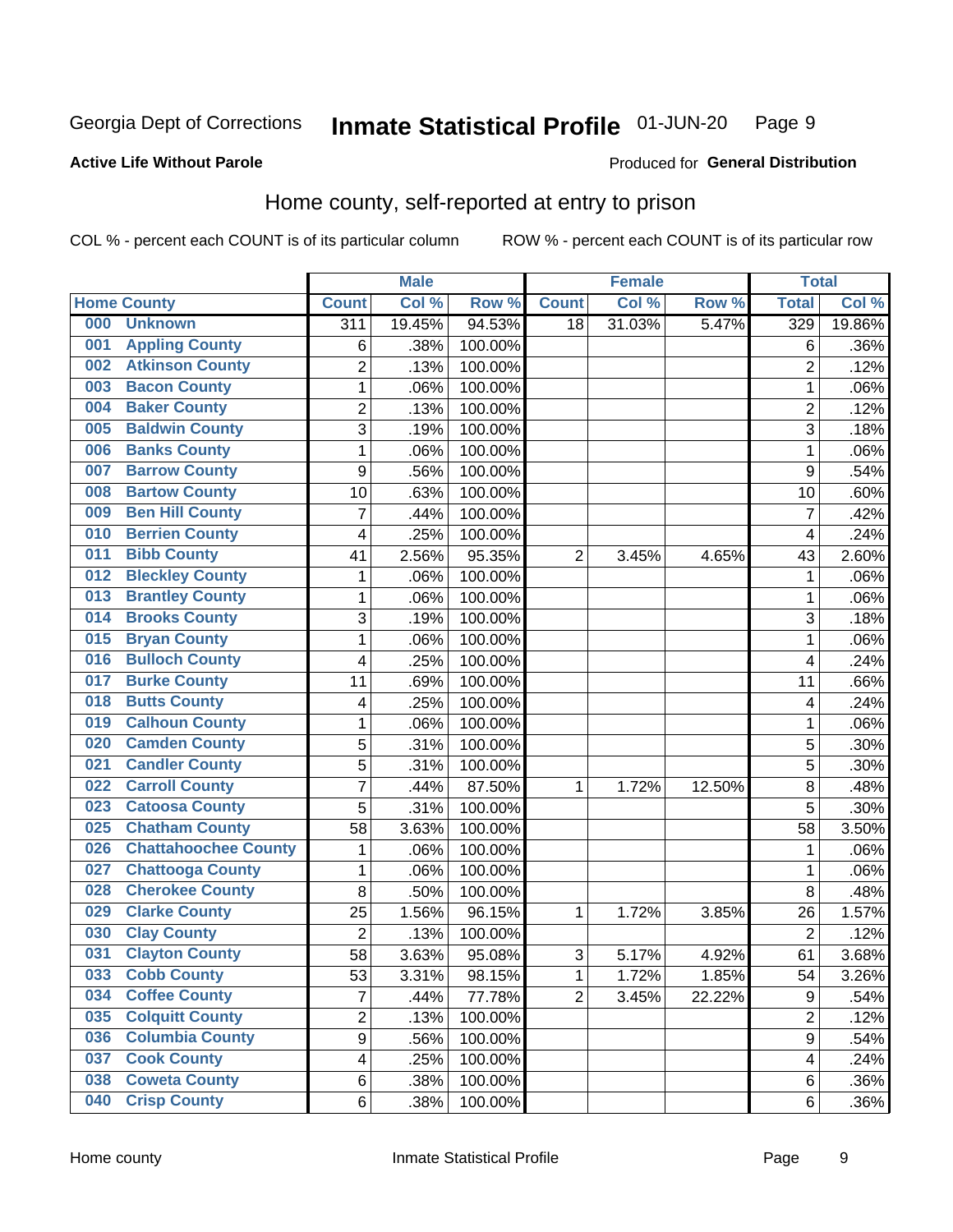#### Inmate Statistical Profile 01-JUN-20 Page 9

### **Active Life Without Parole**

#### Produced for General Distribution

# Home county, self-reported at entry to prison

COL % - percent each COUNT is of its particular column

|     |                             |                  | <b>Male</b> |         |                | <b>Female</b> |        | <b>Total</b>   |        |
|-----|-----------------------------|------------------|-------------|---------|----------------|---------------|--------|----------------|--------|
|     | <b>Home County</b>          | <b>Count</b>     | Col %       | Row %   | <b>Count</b>   | Col %         | Row %  | <b>Total</b>   | Col %  |
| 000 | <b>Unknown</b>              | $\overline{311}$ | 19.45%      | 94.53%  | 18             | 31.03%        | 5.47%  | 329            | 19.86% |
| 001 | <b>Appling County</b>       | 6                | .38%        | 100.00% |                |               |        | 6              | .36%   |
| 002 | <b>Atkinson County</b>      | $\overline{2}$   | .13%        | 100.00% |                |               |        | $\overline{2}$ | .12%   |
| 003 | <b>Bacon County</b>         | $\mathbf 1$      | .06%        | 100.00% |                |               |        | 1              | .06%   |
| 004 | <b>Baker County</b>         | $\overline{2}$   | .13%        | 100.00% |                |               |        | $\overline{2}$ | .12%   |
| 005 | <b>Baldwin County</b>       | 3                | .19%        | 100.00% |                |               |        | 3              | .18%   |
| 006 | <b>Banks County</b>         | $\mathbf 1$      | .06%        | 100.00% |                |               |        | 1              | .06%   |
| 007 | <b>Barrow County</b>        | $\boldsymbol{9}$ | .56%        | 100.00% |                |               |        | 9              | .54%   |
| 008 | <b>Bartow County</b>        | 10               | .63%        | 100.00% |                |               |        | 10             | .60%   |
| 009 | <b>Ben Hill County</b>      | $\overline{7}$   | .44%        | 100.00% |                |               |        | $\overline{7}$ | .42%   |
| 010 | <b>Berrien County</b>       | 4                | .25%        | 100.00% |                |               |        | 4              | .24%   |
| 011 | <b>Bibb County</b>          | 41               | 2.56%       | 95.35%  | $\overline{2}$ | 3.45%         | 4.65%  | 43             | 2.60%  |
| 012 | <b>Bleckley County</b>      | 1                | .06%        | 100.00% |                |               |        | 1              | .06%   |
| 013 | <b>Brantley County</b>      | $\mathbf 1$      | .06%        | 100.00% |                |               |        | 1              | .06%   |
| 014 | <b>Brooks County</b>        | 3                | .19%        | 100.00% |                |               |        | 3              | .18%   |
| 015 | <b>Bryan County</b>         | 1                | .06%        | 100.00% |                |               |        | 1              | .06%   |
| 016 | <b>Bulloch County</b>       | 4                | .25%        | 100.00% |                |               |        | 4              | .24%   |
| 017 | <b>Burke County</b>         | 11               | .69%        | 100.00% |                |               |        | 11             | .66%   |
| 018 | <b>Butts County</b>         | 4                | .25%        | 100.00% |                |               |        | 4              | .24%   |
| 019 | <b>Calhoun County</b>       | $\mathbf 1$      | .06%        | 100.00% |                |               |        | 1              | .06%   |
| 020 | <b>Camden County</b>        | 5                | .31%        | 100.00% |                |               |        | 5              | .30%   |
| 021 | <b>Candler County</b>       | 5                | .31%        | 100.00% |                |               |        | 5              | .30%   |
| 022 | <b>Carroll County</b>       | $\overline{7}$   | .44%        | 87.50%  | 1              | 1.72%         | 12.50% | 8              | .48%   |
| 023 | <b>Catoosa County</b>       | 5                | .31%        | 100.00% |                |               |        | 5              | .30%   |
| 025 | <b>Chatham County</b>       | 58               | 3.63%       | 100.00% |                |               |        | 58             | 3.50%  |
| 026 | <b>Chattahoochee County</b> | 1                | .06%        | 100.00% |                |               |        | 1              | .06%   |
| 027 | <b>Chattooga County</b>     | $\mathbf 1$      | .06%        | 100.00% |                |               |        | 1              | .06%   |
| 028 | <b>Cherokee County</b>      | 8                | .50%        | 100.00% |                |               |        | 8              | .48%   |
| 029 | <b>Clarke County</b>        | 25               | 1.56%       | 96.15%  | 1              | 1.72%         | 3.85%  | 26             | 1.57%  |
| 030 | <b>Clay County</b>          | $\overline{2}$   | .13%        | 100.00% |                |               |        | $\overline{2}$ | .12%   |
| 031 | <b>Clayton County</b>       | 58               | 3.63%       | 95.08%  | 3              | 5.17%         | 4.92%  | 61             | 3.68%  |
| 033 | <b>Cobb County</b>          | 53               | 3.31%       | 98.15%  | 1              | 1.72%         | 1.85%  | 54             | 3.26%  |
| 034 | <b>Coffee County</b>        | $\overline{7}$   | .44%        | 77.78%  | $\overline{2}$ | 3.45%         | 22.22% | 9              | .54%   |
| 035 | <b>Colquitt County</b>      | $\overline{2}$   | .13%        | 100.00% |                |               |        | $\overline{2}$ | .12%   |
| 036 | <b>Columbia County</b>      | $\overline{9}$   | .56%        | 100.00% |                |               |        | 9              | .54%   |
| 037 | <b>Cook County</b>          | 4                | .25%        | 100.00% |                |               |        | 4              | .24%   |
| 038 | <b>Coweta County</b>        | 6                | .38%        | 100.00% |                |               |        | 6              | .36%   |
| 040 | <b>Crisp County</b>         | 6                | .38%        | 100.00% |                |               |        | 6              | .36%   |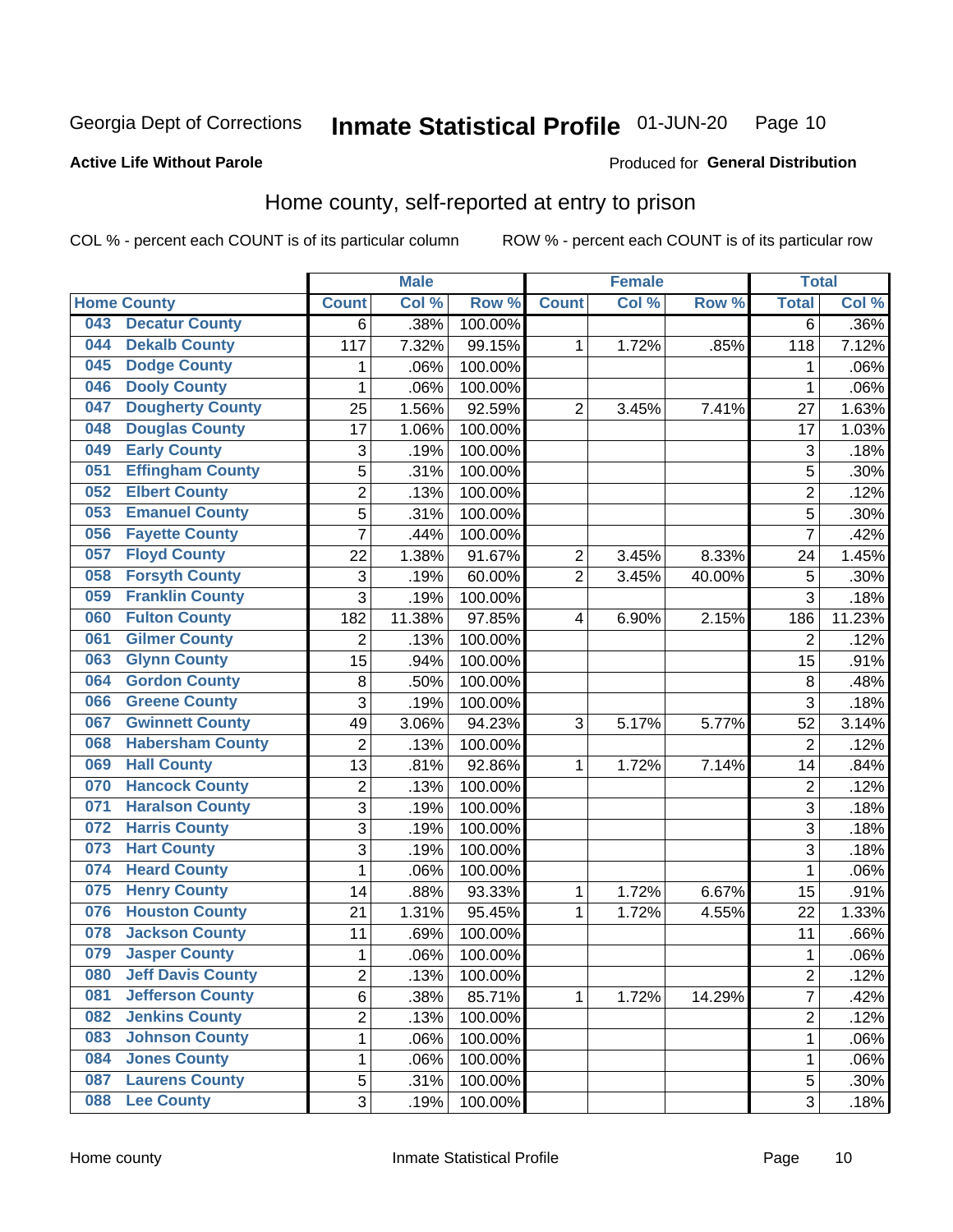#### Inmate Statistical Profile 01-JUN-20 Page 10

Produced for General Distribution

### **Active Life Without Parole**

# Home county, self-reported at entry to prison

COL % - percent each COUNT is of its particular column

|     |                          |                           | <b>Male</b> |         |                | <b>Female</b> |        | <b>Total</b>   |        |
|-----|--------------------------|---------------------------|-------------|---------|----------------|---------------|--------|----------------|--------|
|     | <b>Home County</b>       | <b>Count</b>              | Col %       | Row %   | <b>Count</b>   | Col %         | Row %  | <b>Total</b>   | Col %  |
| 043 | <b>Decatur County</b>    | 6                         | .38%        | 100.00% |                |               |        | $\overline{6}$ | .36%   |
| 044 | <b>Dekalb County</b>     | 117                       | 7.32%       | 99.15%  | 1              | 1.72%         | .85%   | 118            | 7.12%  |
| 045 | <b>Dodge County</b>      | 1                         | .06%        | 100.00% |                |               |        | 1              | .06%   |
| 046 | <b>Dooly County</b>      | 1                         | .06%        | 100.00% |                |               |        | 1              | .06%   |
| 047 | <b>Dougherty County</b>  | 25                        | 1.56%       | 92.59%  | $\overline{2}$ | 3.45%         | 7.41%  | 27             | 1.63%  |
| 048 | <b>Douglas County</b>    | 17                        | 1.06%       | 100.00% |                |               |        | 17             | 1.03%  |
| 049 | <b>Early County</b>      | $\ensuremath{\mathsf{3}}$ | .19%        | 100.00% |                |               |        | 3              | .18%   |
| 051 | <b>Effingham County</b>  | 5                         | .31%        | 100.00% |                |               |        | 5              | .30%   |
| 052 | <b>Elbert County</b>     | $\overline{2}$            | .13%        | 100.00% |                |               |        | $\overline{2}$ | .12%   |
| 053 | <b>Emanuel County</b>    | 5                         | .31%        | 100.00% |                |               |        | 5              | .30%   |
| 056 | <b>Fayette County</b>    | $\overline{7}$            | .44%        | 100.00% |                |               |        | 7              | .42%   |
| 057 | <b>Floyd County</b>      | 22                        | 1.38%       | 91.67%  | $\overline{c}$ | 3.45%         | 8.33%  | 24             | 1.45%  |
| 058 | <b>Forsyth County</b>    | $\ensuremath{\mathsf{3}}$ | .19%        | 60.00%  | $\overline{2}$ | 3.45%         | 40.00% | $\mathbf 5$    | .30%   |
| 059 | <b>Franklin County</b>   | 3                         | .19%        | 100.00% |                |               |        | 3              | .18%   |
| 060 | <b>Fulton County</b>     | 182                       | 11.38%      | 97.85%  | 4              | 6.90%         | 2.15%  | 186            | 11.23% |
| 061 | <b>Gilmer County</b>     | $\overline{2}$            | .13%        | 100.00% |                |               |        | $\overline{2}$ | .12%   |
| 063 | <b>Glynn County</b>      | 15                        | .94%        | 100.00% |                |               |        | 15             | .91%   |
| 064 | <b>Gordon County</b>     | 8                         | .50%        | 100.00% |                |               |        | 8              | .48%   |
| 066 | <b>Greene County</b>     | 3                         | .19%        | 100.00% |                |               |        | 3              | .18%   |
| 067 | <b>Gwinnett County</b>   | 49                        | 3.06%       | 94.23%  | 3              | 5.17%         | 5.77%  | 52             | 3.14%  |
| 068 | <b>Habersham County</b>  | $\overline{2}$            | .13%        | 100.00% |                |               |        | $\overline{2}$ | .12%   |
| 069 | <b>Hall County</b>       | 13                        | .81%        | 92.86%  | 1              | 1.72%         | 7.14%  | 14             | .84%   |
| 070 | <b>Hancock County</b>    | $\mathbf 2$               | .13%        | 100.00% |                |               |        | $\overline{c}$ | .12%   |
| 071 | <b>Haralson County</b>   | 3                         | .19%        | 100.00% |                |               |        | 3              | .18%   |
| 072 | <b>Harris County</b>     | 3                         | .19%        | 100.00% |                |               |        | 3              | .18%   |
| 073 | <b>Hart County</b>       | 3                         | .19%        | 100.00% |                |               |        | 3              | .18%   |
| 074 | <b>Heard County</b>      | $\mathbf 1$               | .06%        | 100.00% |                |               |        | 1              | .06%   |
| 075 | <b>Henry County</b>      | 14                        | .88%        | 93.33%  | 1              | 1.72%         | 6.67%  | 15             | .91%   |
| 076 | <b>Houston County</b>    | 21                        | 1.31%       | 95.45%  | 1              | 1.72%         | 4.55%  | 22             | 1.33%  |
| 078 | <b>Jackson County</b>    | 11                        | .69%        | 100.00% |                |               |        | 11             | .66%   |
| 079 | <b>Jasper County</b>     | 1                         | .06%        | 100.00% |                |               |        | 1              | .06%   |
| 080 | <b>Jeff Davis County</b> | 2                         | .13%        | 100.00% |                |               |        | $\overline{c}$ | .12%   |
| 081 | <b>Jefferson County</b>  | 6                         | .38%        | 85.71%  | $\mathbf{1}$   | 1.72%         | 14.29% | 7              | .42%   |
| 082 | <b>Jenkins County</b>    | $\overline{c}$            | .13%        | 100.00% |                |               |        | 2              | .12%   |
| 083 | <b>Johnson County</b>    | $\mathbf 1$               | .06%        | 100.00% |                |               |        | 1              | .06%   |
| 084 | <b>Jones County</b>      | $\mathbf 1$               | .06%        | 100.00% |                |               |        | 1              | .06%   |
| 087 | <b>Laurens County</b>    | 5                         | .31%        | 100.00% |                |               |        | $\mathbf 5$    | .30%   |
| 088 | <b>Lee County</b>        | 3                         | .19%        | 100.00% |                |               |        | 3              | .18%   |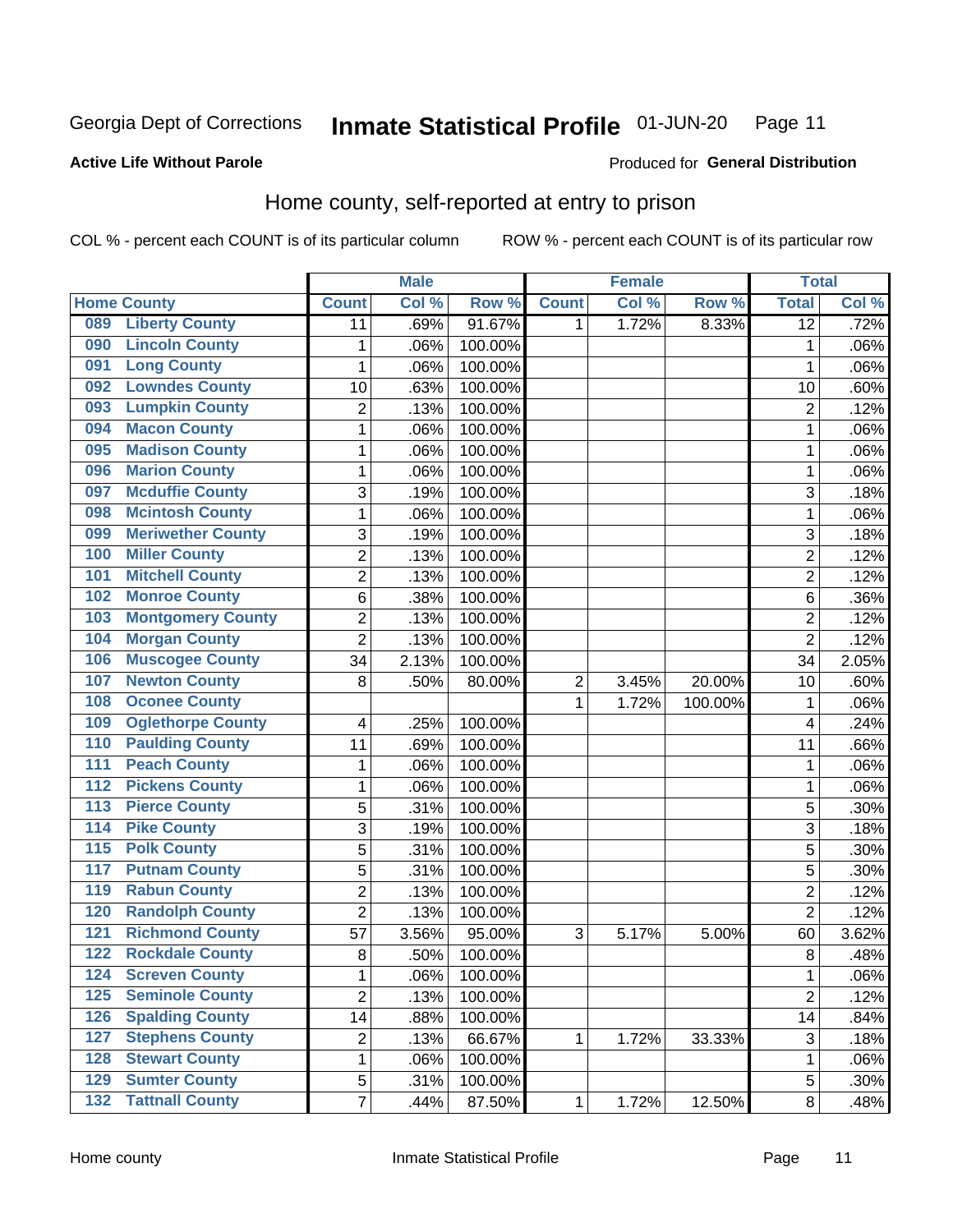#### **Inmate Statistical Profile 01-JUN-20** Page 11

Produced for General Distribution

### **Active Life Without Parole**

# Home county, self-reported at entry to prison

COL % - percent each COUNT is of its particular column

|                  |                          |                         | <b>Male</b> |         |                  | <b>Female</b> |         | <b>Total</b>    |       |
|------------------|--------------------------|-------------------------|-------------|---------|------------------|---------------|---------|-----------------|-------|
|                  | <b>Home County</b>       | <b>Count</b>            | Col %       | Row %   | <b>Count</b>     | Col %         | Row %   | <b>Total</b>    | Col % |
| 089              | <b>Liberty County</b>    | 11                      | .69%        | 91.67%  | 1.               | 1.72%         | 8.33%   | $\overline{12}$ | .72%  |
| 090              | <b>Lincoln County</b>    | $\mathbf 1$             | .06%        | 100.00% |                  |               |         | 1               | .06%  |
| 091              | <b>Long County</b>       | $\mathbf 1$             | .06%        | 100.00% |                  |               |         | 1               | .06%  |
| 092              | <b>Lowndes County</b>    | 10                      | .63%        | 100.00% |                  |               |         | 10              | .60%  |
| 093              | <b>Lumpkin County</b>    | $\overline{2}$          | .13%        | 100.00% |                  |               |         | $\overline{2}$  | .12%  |
| 094              | <b>Macon County</b>      | $\mathbf 1$             | .06%        | 100.00% |                  |               |         | 1               | .06%  |
| 095              | <b>Madison County</b>    | $\mathbf{1}$            | .06%        | 100.00% |                  |               |         | 1               | .06%  |
| 096              | <b>Marion County</b>     | 1                       | .06%        | 100.00% |                  |               |         | 1               | .06%  |
| 097              | <b>Mcduffie County</b>   | 3                       | .19%        | 100.00% |                  |               |         | 3               | .18%  |
| 098              | <b>Mcintosh County</b>   | $\mathbf 1$             | .06%        | 100.00% |                  |               |         | 1               | .06%  |
| 099              | <b>Meriwether County</b> | 3                       | .19%        | 100.00% |                  |               |         | 3               | .18%  |
| 100              | <b>Miller County</b>     | $\overline{c}$          | .13%        | 100.00% |                  |               |         | $\overline{2}$  | .12%  |
| 101              | <b>Mitchell County</b>   | $\overline{2}$          | .13%        | 100.00% |                  |               |         | $\overline{2}$  | .12%  |
| 102              | <b>Monroe County</b>     | 6                       | .38%        | 100.00% |                  |               |         | 6               | .36%  |
| 103              | <b>Montgomery County</b> | $\overline{2}$          | .13%        | 100.00% |                  |               |         | $\overline{2}$  | .12%  |
| 104              | <b>Morgan County</b>     | $\overline{2}$          | .13%        | 100.00% |                  |               |         | $\overline{2}$  | .12%  |
| 106              | <b>Muscogee County</b>   | 34                      | 2.13%       | 100.00% |                  |               |         | 34              | 2.05% |
| 107              | <b>Newton County</b>     | 8                       | .50%        | 80.00%  | $\boldsymbol{2}$ | 3.45%         | 20.00%  | 10              | .60%  |
| 108              | <b>Oconee County</b>     |                         |             |         | 1                | 1.72%         | 100.00% | 1               | .06%  |
| 109              | <b>Oglethorpe County</b> | 4                       | .25%        | 100.00% |                  |               |         | 4               | .24%  |
| 110              | <b>Paulding County</b>   | 11                      | .69%        | 100.00% |                  |               |         | 11              | .66%  |
| 111              | <b>Peach County</b>      | $\mathbf 1$             | .06%        | 100.00% |                  |               |         | 1               | .06%  |
| $\overline{112}$ | <b>Pickens County</b>    | $\mathbf 1$             | .06%        | 100.00% |                  |               |         | 1               | .06%  |
| 113              | <b>Pierce County</b>     | 5                       | .31%        | 100.00% |                  |               |         | 5               | .30%  |
| 114              | <b>Pike County</b>       | 3                       | .19%        | 100.00% |                  |               |         | 3               | .18%  |
| $\overline{115}$ | <b>Polk County</b>       | 5                       | .31%        | 100.00% |                  |               |         | 5               | .30%  |
| 117              | <b>Putnam County</b>     | 5                       | .31%        | 100.00% |                  |               |         | 5               | .30%  |
| 119              | <b>Rabun County</b>      | $\overline{2}$          | .13%        | 100.00% |                  |               |         | $\overline{2}$  | .12%  |
| 120              | <b>Randolph County</b>   | $\overline{2}$          | .13%        | 100.00% |                  |               |         | $\overline{2}$  | .12%  |
| 121              | <b>Richmond County</b>   | 57                      | 3.56%       | 95.00%  | 3                | 5.17%         | 5.00%   | 60              | 3.62% |
| 122              | <b>Rockdale County</b>   | 8                       | .50%        | 100.00% |                  |               |         | 8               | .48%  |
| 124              | <b>Screven County</b>    | 1                       | .06%        | 100.00% |                  |               |         | 1               | .06%  |
| 125              | <b>Seminole County</b>   | $\overline{2}$          | .13%        | 100.00% |                  |               |         | $\overline{2}$  | .12%  |
| 126              | <b>Spalding County</b>   | 14                      | .88%        | 100.00% |                  |               |         | 14              | .84%  |
| 127              | <b>Stephens County</b>   | $\overline{\mathbf{c}}$ | .13%        | 66.67%  | 1                | 1.72%         | 33.33%  | $\sqrt{3}$      | .18%  |
| 128              | <b>Stewart County</b>    | $\mathbf{1}$            | .06%        | 100.00% |                  |               |         | 1               | .06%  |
| 129              | <b>Sumter County</b>     | 5                       | .31%        | 100.00% |                  |               |         | 5               | .30%  |
| 132              | <b>Tattnall County</b>   | $\overline{7}$          | .44%        | 87.50%  | $\mathbf 1$      | 1.72%         | 12.50%  | 8               | .48%  |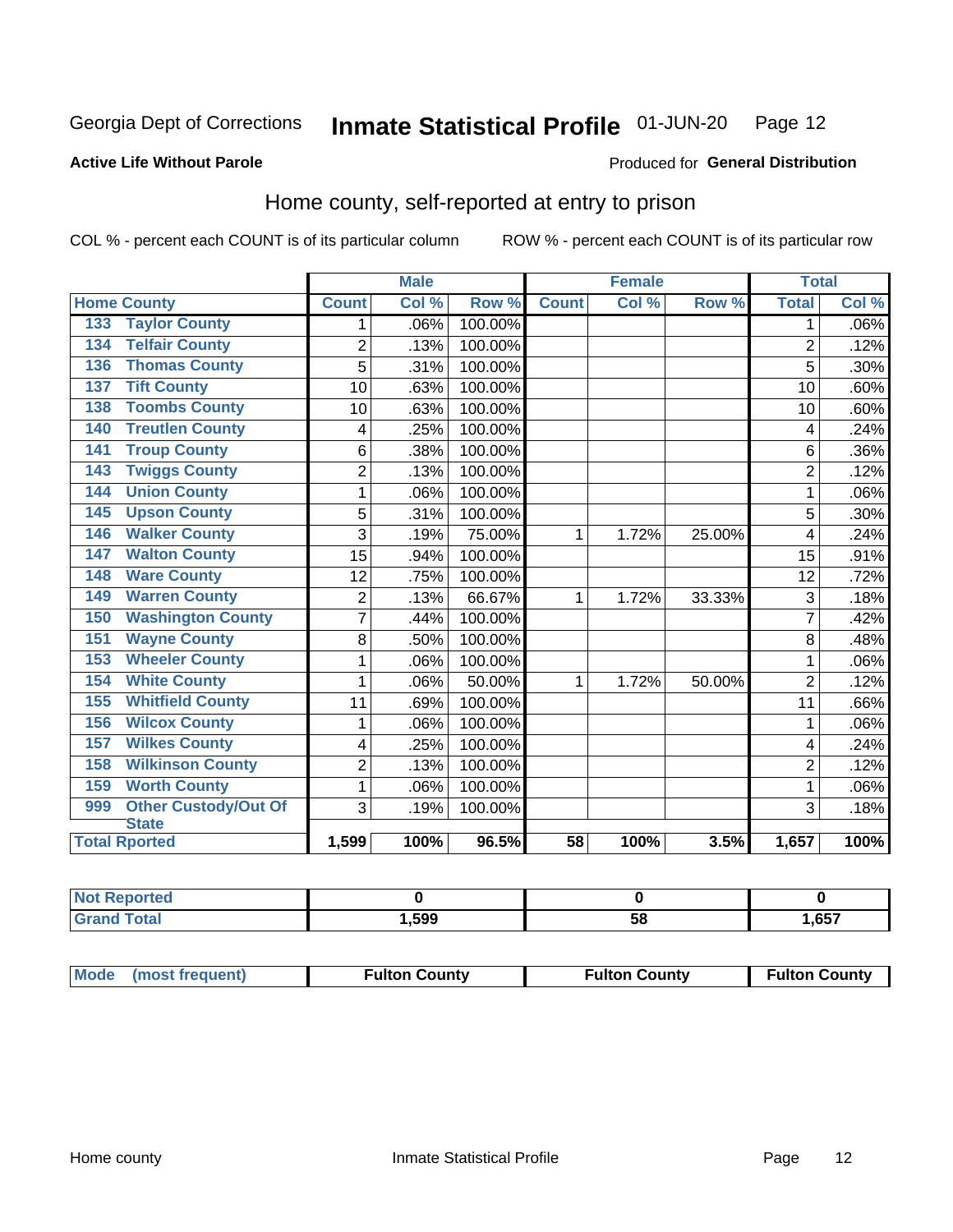#### Inmate Statistical Profile 01-JUN-20 Page 12

Produced for General Distribution

### **Active Life Without Parole**

# Home county, self-reported at entry to prison

COL % - percent each COUNT is of its particular column

|                      |                             |                | <b>Male</b> |         | <b>Female</b>   |       |        | <b>Total</b>   |         |
|----------------------|-----------------------------|----------------|-------------|---------|-----------------|-------|--------|----------------|---------|
| <b>Home County</b>   |                             | <b>Count</b>   | Col%        | Row %   | <b>Count</b>    | Col % | Row %  | <b>Total</b>   | Col %   |
| 133                  | <b>Taylor County</b>        | 1              | .06%        | 100.00% |                 |       |        | 1              | $.06\%$ |
| 134                  | <b>Telfair County</b>       | $\overline{2}$ | .13%        | 100.00% |                 |       |        | $\overline{2}$ | .12%    |
| 136                  | <b>Thomas County</b>        | 5              | .31%        | 100.00% |                 |       |        | 5              | .30%    |
| 137                  | <b>Tift County</b>          | 10             | .63%        | 100.00% |                 |       |        | 10             | .60%    |
| 138                  | <b>Toombs County</b>        | 10             | .63%        | 100.00% |                 |       |        | 10             | .60%    |
| 140                  | <b>Treutlen County</b>      | 4              | .25%        | 100.00% |                 |       |        | 4              | .24%    |
| 141                  | <b>Troup County</b>         | 6              | .38%        | 100.00% |                 |       |        | 6              | .36%    |
| 143                  | <b>Twiggs County</b>        | 2              | .13%        | 100.00% |                 |       |        | $\overline{2}$ | .12%    |
| 144                  | <b>Union County</b>         | 1              | .06%        | 100.00% |                 |       |        | 1              | .06%    |
| 145                  | <b>Upson County</b>         | 5              | .31%        | 100.00% |                 |       |        | 5              | .30%    |
| 146                  | <b>Walker County</b>        | 3              | .19%        | 75.00%  | 1               | 1.72% | 25.00% | 4              | .24%    |
| 147                  | <b>Walton County</b>        | 15             | .94%        | 100.00% |                 |       |        | 15             | .91%    |
| 148                  | <b>Ware County</b>          | 12             | .75%        | 100.00% |                 |       |        | 12             | .72%    |
| 149                  | <b>Warren County</b>        | 2              | .13%        | 66.67%  | 1               | 1.72% | 33.33% | 3              | .18%    |
| 150                  | <b>Washington County</b>    | 7              | .44%        | 100.00% |                 |       |        | 7              | .42%    |
| 151                  | <b>Wayne County</b>         | 8              | .50%        | 100.00% |                 |       |        | 8              | .48%    |
| 153                  | <b>Wheeler County</b>       | 1              | .06%        | 100.00% |                 |       |        | 1              | .06%    |
| 154                  | <b>White County</b>         | 1              | .06%        | 50.00%  | 1               | 1.72% | 50.00% | $\overline{2}$ | .12%    |
| 155                  | <b>Whitfield County</b>     | 11             | .69%        | 100.00% |                 |       |        | 11             | .66%    |
| 156                  | <b>Wilcox County</b>        | 1              | .06%        | 100.00% |                 |       |        | 1              | .06%    |
| 157                  | <b>Wilkes County</b>        | 4              | .25%        | 100.00% |                 |       |        | 4              | .24%    |
| 158                  | <b>Wilkinson County</b>     | $\overline{c}$ | .13%        | 100.00% |                 |       |        | $\overline{c}$ | .12%    |
| 159                  | <b>Worth County</b>         | 1              | .06%        | 100.00% |                 |       |        | 1              | .06%    |
| 999                  | <b>Other Custody/Out Of</b> | 3              | .19%        | 100.00% |                 |       |        | 3              | .18%    |
| <b>State</b>         |                             |                |             |         |                 |       |        |                |         |
| <b>Total Rported</b> |                             | 1,599          | 100%        | 96.5%   | $\overline{58}$ | 100%  | 3.5%   | 1,657          | 100%    |

| Reported     |       |    |      |
|--------------|-------|----|------|
| <b>Total</b> | 1,599 | วง | ,657 |

| Mode (most frequent) | <b>Fulton County</b> | <b>Fulton County</b> | <b>Fulton County</b> |
|----------------------|----------------------|----------------------|----------------------|
|                      |                      |                      |                      |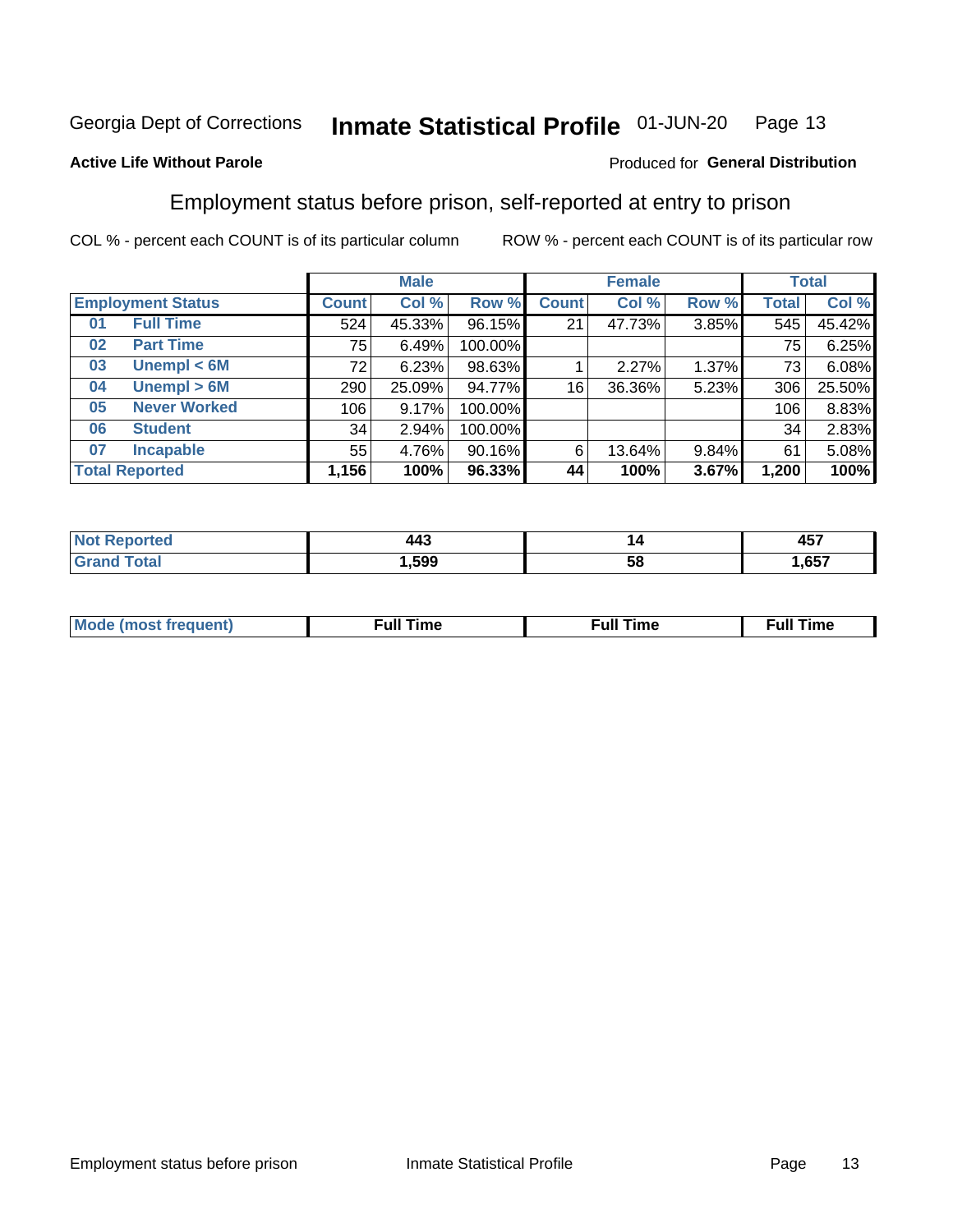#### Inmate Statistical Profile 01-JUN-20 Page 13

### **Active Life Without Parole**

### Produced for General Distribution

# Employment status before prison, self-reported at entry to prison

COL % - percent each COUNT is of its particular column

|                           | <b>Male</b>  |        |         | <b>Female</b> |        |       | <b>Total</b> |        |
|---------------------------|--------------|--------|---------|---------------|--------|-------|--------------|--------|
| <b>Employment Status</b>  | <b>Count</b> | Col %  | Row %   | <b>Count</b>  | Col %  | Row % | Total        | Col %  |
| <b>Full Time</b><br>01    | 524          | 45.33% | 96.15%  | 21            | 47.73% | 3.85% | 545          | 45.42% |
| <b>Part Time</b><br>02    | 75           | 6.49%  | 100.00% |               |        |       | 75           | 6.25%  |
| Unempl $<$ 6M<br>03       | 72           | 6.23%  | 98.63%  |               | 2.27%  | 1.37% | 73           | 6.08%  |
| Unempl > 6M<br>04         | 290          | 25.09% | 94.77%  | 16            | 36.36% | 5.23% | 306          | 25.50% |
| <b>Never Worked</b><br>05 | 106          | 9.17%  | 100.00% |               |        |       | 106          | 8.83%  |
| <b>Student</b><br>06      | 34           | 2.94%  | 100.00% |               |        |       | 34           | 2.83%  |
| <b>Incapable</b><br>07    | 55           | 4.76%  | 90.16%  | 6             | 13.64% | 9.84% | 61           | 5.08%  |
| <b>Total Reported</b>     | 1,156        | 100%   | 96.33%  | 44            | 100%   | 3.67% | 1,200        | 100%   |

| $\Lambda \Lambda$<br>.<br>$\sim$ | ı  | $\sim$ $\sim$ $\sim$<br>70 I |
|----------------------------------|----|------------------------------|
| .599                             | ວເ | $\sim$ $-$                   |

| Mc | ∙u∥<br>----<br>ıme | ίuΙ<br>Πmε |
|----|--------------------|------------|
|    |                    |            |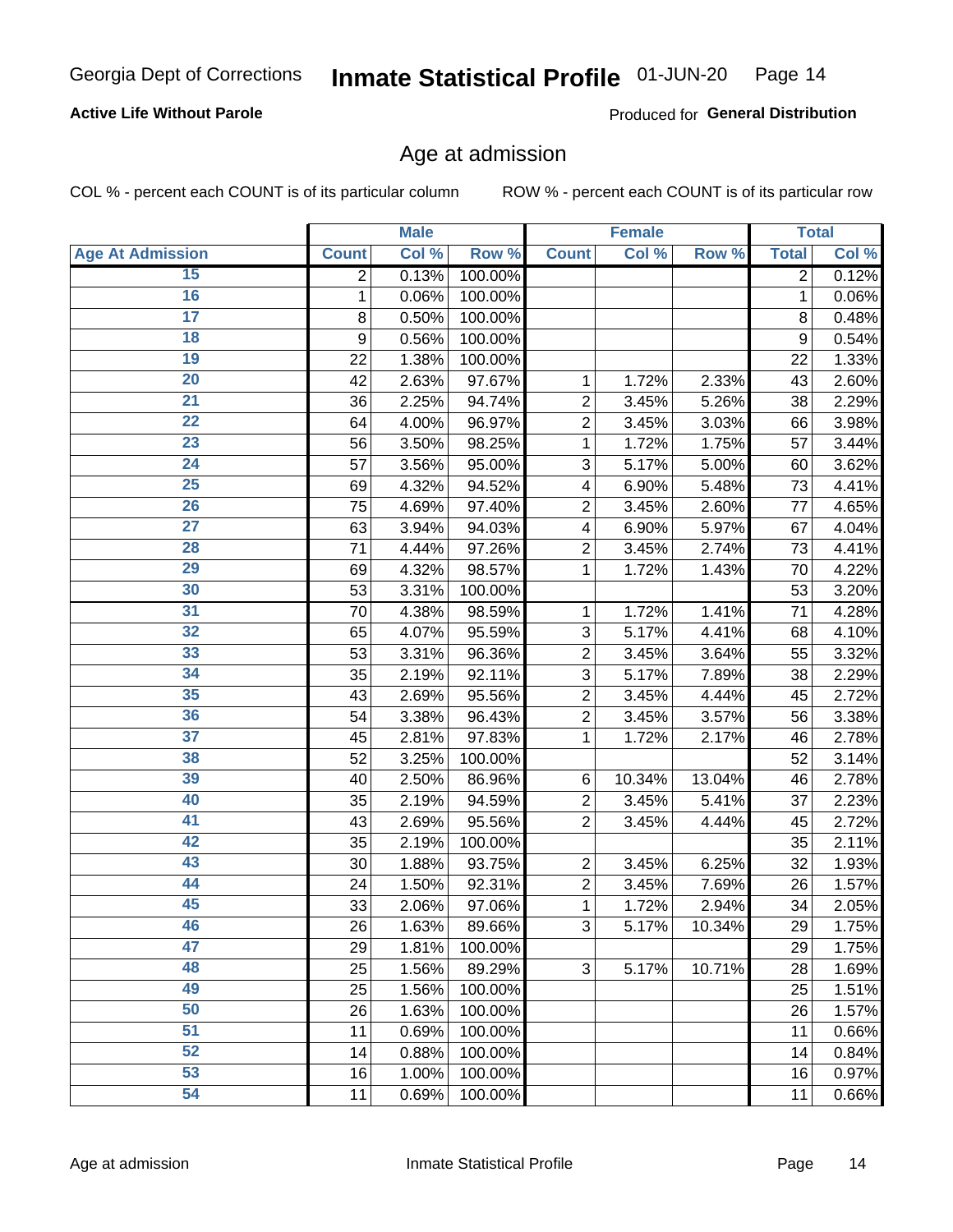### **Active Life Without Parole**

Produced for General Distribution

# Age at admission

COL % - percent each COUNT is of its particular column

|                         |              | <b>Male</b> |         |                | <b>Female</b> |        |              | <b>Total</b>        |
|-------------------------|--------------|-------------|---------|----------------|---------------|--------|--------------|---------------------|
| <b>Age At Admission</b> | <b>Count</b> | Col %       | Row %   | <b>Count</b>   | Col %         | Row %  | <b>Total</b> | Col %               |
| 15                      | 2            | 0.13%       | 100.00% |                |               |        | 2            | 0.12%               |
| 16                      | 1            | 0.06%       | 100.00% |                |               |        | 1            | 0.06%               |
| $\overline{17}$         | 8            | 0.50%       | 100.00% |                |               |        | 8            | 0.48%               |
| 18                      | 9            | 0.56%       | 100.00% |                |               |        | 9            | 0.54%               |
| 19                      | 22           | 1.38%       | 100.00% |                |               |        | 22           | 1.33%               |
| $\overline{20}$         | 42           | 2.63%       | 97.67%  | 1              | 1.72%         | 2.33%  | 43           | 2.60%               |
| $\overline{21}$         | 36           | 2.25%       | 94.74%  | $\overline{2}$ | 3.45%         | 5.26%  | 38           | 2.29%               |
| $\overline{22}$         | 64           | 4.00%       | 96.97%  | $\overline{2}$ | 3.45%         | 3.03%  | 66           | 3.98%               |
| 23                      | 56           | 3.50%       | 98.25%  | 1              | 1.72%         | 1.75%  | 57           | 3.44%               |
| $\overline{24}$         | 57           | 3.56%       | 95.00%  | 3              | 5.17%         | 5.00%  | 60           | 3.62%               |
| $\overline{25}$         | 69           | 4.32%       | 94.52%  | 4              | 6.90%         | 5.48%  | 73           | 4.41%               |
| 26                      | 75           | 4.69%       | 97.40%  | $\overline{2}$ | 3.45%         | 2.60%  | 77           | 4.65%               |
| $\overline{27}$         | 63           | 3.94%       | 94.03%  | 4              | 6.90%         | 5.97%  | 67           | 4.04%               |
| 28                      | 71           | 4.44%       | 97.26%  | $\overline{2}$ | 3.45%         | 2.74%  | 73           | 4.41%               |
| 29                      | 69           | 4.32%       | 98.57%  | 1              | 1.72%         | 1.43%  | 70           | 4.22%               |
| 30                      | 53           | 3.31%       | 100.00% |                |               |        | 53           | 3.20%               |
| 31                      | 70           | 4.38%       | 98.59%  | 1              | 1.72%         | 1.41%  | 71           | 4.28%               |
| 32                      | 65           | 4.07%       | 95.59%  | 3              | 5.17%         | 4.41%  | 68           | 4.10%               |
| 33                      | 53           | 3.31%       | 96.36%  | $\overline{2}$ | 3.45%         | 3.64%  | 55           | 3.32%               |
| 34                      | 35           | 2.19%       | 92.11%  | 3              | 5.17%         | 7.89%  | 38           | 2.29%               |
| 35                      | 43           | 2.69%       | 95.56%  | $\overline{2}$ | 3.45%         | 4.44%  | 45           | 2.72%               |
| 36                      | 54           | 3.38%       | 96.43%  | $\overline{2}$ | 3.45%         | 3.57%  | 56           | 3.38%               |
| $\overline{37}$         | 45           | 2.81%       | 97.83%  | 1              | 1.72%         | 2.17%  | 46           | 2.78%               |
| 38                      | 52           | 3.25%       | 100.00% |                |               |        | 52           | 3.14%               |
| 39                      | 40           | 2.50%       | 86.96%  | 6              | 10.34%        | 13.04% | 46           | 2.78%               |
| 40                      | 35           | 2.19%       | 94.59%  | $\overline{2}$ | 3.45%         | 5.41%  | 37           | 2.23%               |
| 41                      | 43           | 2.69%       | 95.56%  | $\overline{2}$ | 3.45%         | 4.44%  | 45           | 2.72%               |
| 42                      | 35           | 2.19%       | 100.00% |                |               |        | 35           | 2.11%               |
| 43                      | 30           | 1.88%       | 93.75%  | $\overline{2}$ | 3.45%         | 6.25%  | 32           | 1.93%               |
| 44                      | 24           | 1.50%       | 92.31%  | $\overline{2}$ | 3.45%         | 7.69%  | 26           | 1.57%               |
| 45                      | 33           | 2.06%       | 97.06%  | 1              | 1.72%         | 2.94%  | 34           | 2.05%               |
| 46                      | 26           | 1.63%       | 89.66%  | 3              | 5.17%         | 10.34% | 29           | 1.75%               |
| 47                      | 29           | 1.81%       | 100.00% |                |               |        | 29           | $\overline{1.75\%}$ |
| 48                      | 25           | 1.56%       | 89.29%  | 3              | 5.17%         | 10.71% | 28           | 1.69%               |
| 49                      | 25           | 1.56%       | 100.00% |                |               |        | 25           | 1.51%               |
| 50                      | 26           | 1.63%       | 100.00% |                |               |        | 26           | $\overline{1.57\%}$ |
| $\overline{51}$         | 11           | 0.69%       | 100.00% |                |               |        | 11           | 0.66%               |
| 52                      | 14           | 0.88%       | 100.00% |                |               |        | 14           | 0.84%               |
| 53                      | 16           | 1.00%       | 100.00% |                |               |        | 16           | 0.97%               |
| 54                      | 11           | 0.69%       | 100.00% |                |               |        | 11           | 0.66%               |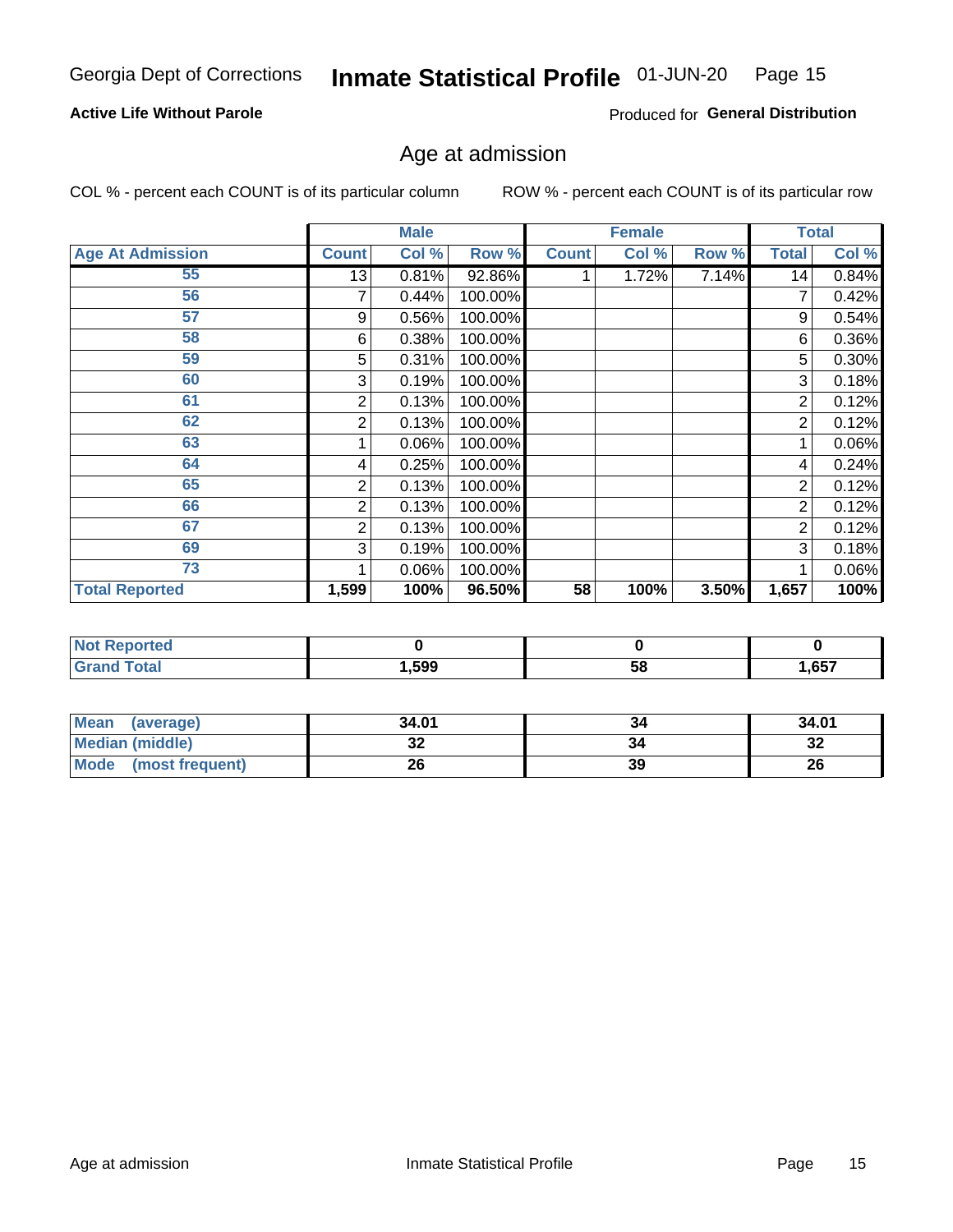#### Inmate Statistical Profile 01-JUN-20 Page 15

### **Active Life Without Parole**

Produced for General Distribution

# Age at admission

COL % - percent each COUNT is of its particular column

|                         |              | <b>Male</b> |         |              | <b>Female</b> |       |       | <b>Total</b> |
|-------------------------|--------------|-------------|---------|--------------|---------------|-------|-------|--------------|
| <b>Age At Admission</b> | <b>Count</b> | Col %       | Row %   | <b>Count</b> | Col %         | Row % | Total | Col %        |
| 55                      | 13           | 0.81%       | 92.86%  |              | 1.72%         | 7.14% | 14    | 0.84%        |
| 56                      | 7            | 0.44%       | 100.00% |              |               |       |       | 0.42%        |
| 57                      | 9            | 0.56%       | 100.00% |              |               |       | 9     | 0.54%        |
| 58                      | 6            | 0.38%       | 100.00% |              |               |       | 6     | 0.36%        |
| 59                      | 5            | 0.31%       | 100.00% |              |               |       | 5     | 0.30%        |
| 60                      | 3            | 0.19%       | 100.00% |              |               |       | 3     | 0.18%        |
| 61                      | 2            | 0.13%       | 100.00% |              |               |       | 2     | 0.12%        |
| 62                      | 2            | 0.13%       | 100.00% |              |               |       | 2     | 0.12%        |
| 63                      |              | 0.06%       | 100.00% |              |               |       |       | 0.06%        |
| 64                      | 4            | 0.25%       | 100.00% |              |               |       | 4     | 0.24%        |
| 65                      | 2            | 0.13%       | 100.00% |              |               |       | 2     | 0.12%        |
| 66                      | 2            | 0.13%       | 100.00% |              |               |       | 2     | 0.12%        |
| 67                      | 2            | 0.13%       | 100.00% |              |               |       | 2     | 0.12%        |
| 69                      | 3            | 0.19%       | 100.00% |              |               |       | 3     | 0.18%        |
| 73                      |              | 0.06%       | 100.00% |              |               |       |       | 0.06%        |
| <b>Total Reported</b>   | 1,599        | 100%        | 96.50%  | 58           | 100%          | 3.50% | 1,657 | 100%         |

| <b>Not Reported</b> |      |    |       |
|---------------------|------|----|-------|
| <b>cotal</b>        | ,599 | Эō | 1,657 |

| <b>Mean</b><br>(average) | 34.01   | 34 | 34.01   |
|--------------------------|---------|----|---------|
| <b>Median (middle)</b>   | ົ<br>JZ |    | ົ<br>34 |
| Mode<br>(most frequent)  | 26      | 39 | 26      |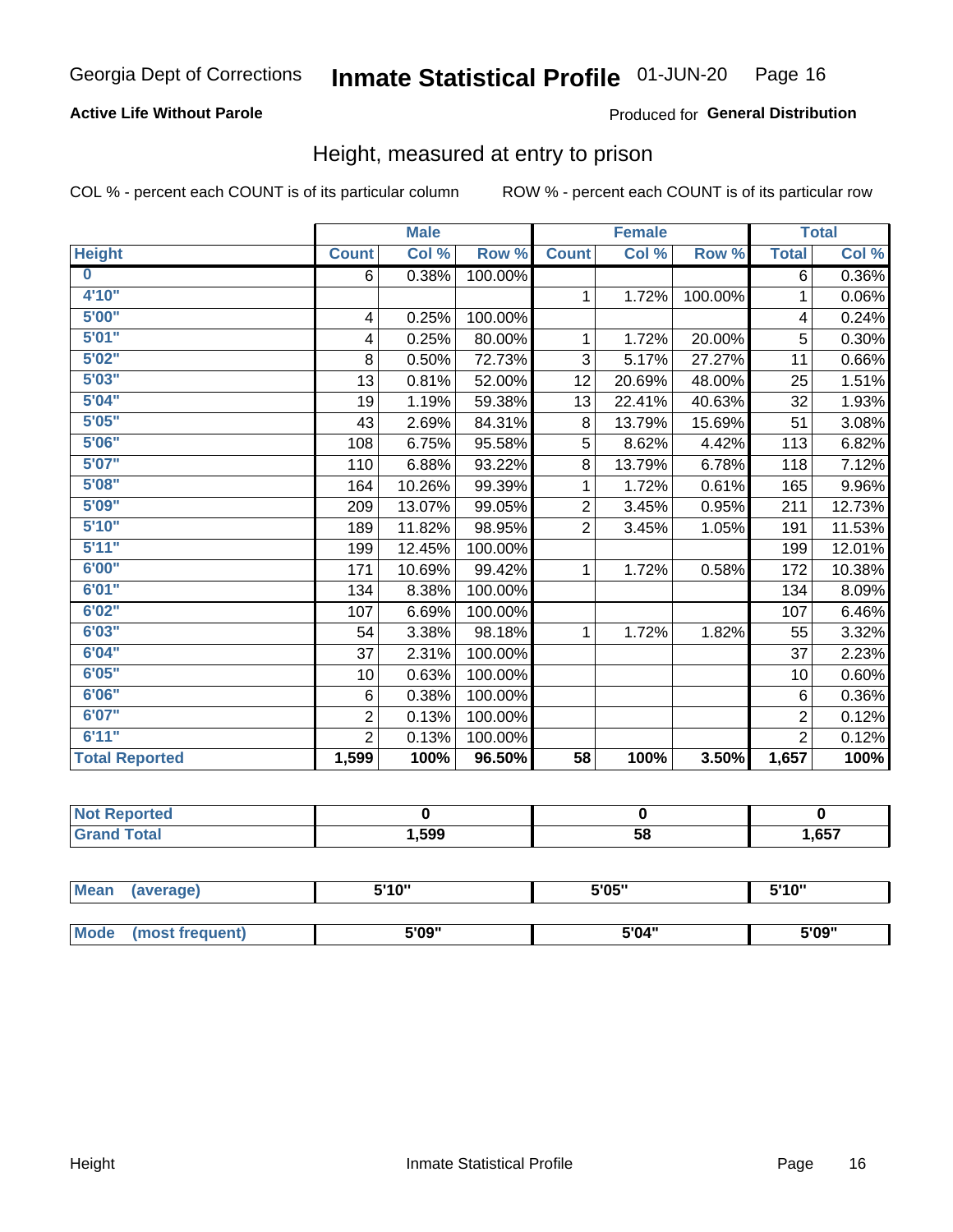### **Active Life Without Parole**

### Produced for General Distribution

# Height, measured at entry to prison

COL % - percent each COUNT is of its particular column

|                       |                         | <b>Male</b> |         |                | <b>Female</b> |         |                | <b>Total</b> |
|-----------------------|-------------------------|-------------|---------|----------------|---------------|---------|----------------|--------------|
| <b>Height</b>         | <b>Count</b>            | Col %       | Row %   | <b>Count</b>   | Col %         | Row %   | <b>Total</b>   | Col %        |
| $\bf{0}$              | 6                       | 0.38%       | 100.00% |                |               |         | 6              | 0.36%        |
| 4'10"                 |                         |             |         | $\mathbf 1$    | 1.72%         | 100.00% | 1              | 0.06%        |
| 5'00''                | $\overline{\mathbf{4}}$ | 0.25%       | 100.00% |                |               |         | 4              | 0.24%        |
| 5'01''                | $\overline{\mathbf{4}}$ | 0.25%       | 80.00%  | 1              | 1.72%         | 20.00%  | 5              | 0.30%        |
| 5'02"                 | 8                       | 0.50%       | 72.73%  | 3              | 5.17%         | 27.27%  | 11             | 0.66%        |
| 5'03''                | 13                      | 0.81%       | 52.00%  | 12             | 20.69%        | 48.00%  | 25             | 1.51%        |
| 5'04"                 | 19                      | 1.19%       | 59.38%  | 13             | 22.41%        | 40.63%  | 32             | 1.93%        |
| 5'05"                 | 43                      | 2.69%       | 84.31%  | 8              | 13.79%        | 15.69%  | 51             | 3.08%        |
| 5'06''                | 108                     | 6.75%       | 95.58%  | 5              | 8.62%         | 4.42%   | 113            | 6.82%        |
| 5'07''                | 110                     | 6.88%       | 93.22%  | 8              | 13.79%        | 6.78%   | 118            | 7.12%        |
| 5'08''                | 164                     | 10.26%      | 99.39%  | 1              | 1.72%         | 0.61%   | 165            | 9.96%        |
| 5'09''                | 209                     | 13.07%      | 99.05%  | $\overline{2}$ | 3.45%         | 0.95%   | 211            | 12.73%       |
| 5'10''                | 189                     | 11.82%      | 98.95%  | $\overline{2}$ | 3.45%         | 1.05%   | 191            | 11.53%       |
| 5'11"                 | 199                     | 12.45%      | 100.00% |                |               |         | 199            | 12.01%       |
| 6'00''                | 171                     | 10.69%      | 99.42%  | 1              | 1.72%         | 0.58%   | 172            | 10.38%       |
| 6'01''                | 134                     | 8.38%       | 100.00% |                |               |         | 134            | 8.09%        |
| 6'02"                 | 107                     | 6.69%       | 100.00% |                |               |         | 107            | 6.46%        |
| 6'03''                | 54                      | 3.38%       | 98.18%  | $\mathbf{1}$   | 1.72%         | 1.82%   | 55             | 3.32%        |
| 6'04"                 | 37                      | 2.31%       | 100.00% |                |               |         | 37             | 2.23%        |
| 6'05"                 | 10                      | 0.63%       | 100.00% |                |               |         | 10             | 0.60%        |
| 6'06''                | 6                       | 0.38%       | 100.00% |                |               |         | 6              | 0.36%        |
| 6'07"                 | $\overline{2}$          | 0.13%       | 100.00% |                |               |         | $\overline{2}$ | 0.12%        |
| 6'11''                | $\overline{2}$          | 0.13%       | 100.00% |                |               |         | $\overline{2}$ | 0.12%        |
| <b>Total Reported</b> | 1,599                   | 100%        | 96.50%  | 58             | 100%          | 3.50%   | 1,657          | 100%         |

| enorted     |      |    |      |
|-------------|------|----|------|
| <b>otal</b> | ,599 | 58 | ,657 |

| <b>Mean</b> | (average)       | 5'10" | 5'05" | 5'10" |  |
|-------------|-----------------|-------|-------|-------|--|
|             |                 |       |       |       |  |
| Mode        | (most frequent) | 5'09" | 5'04" | 5'09" |  |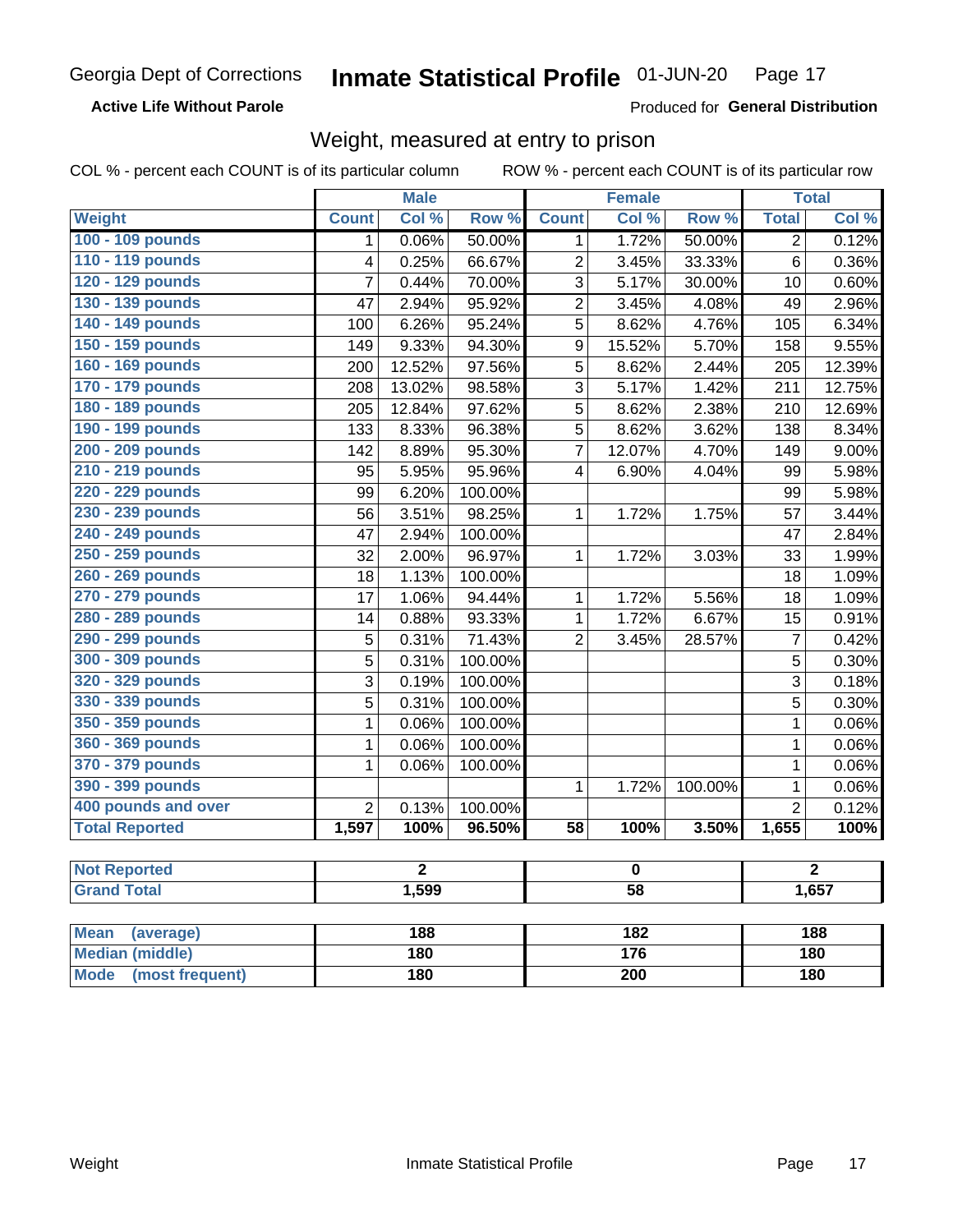**Active Life Without Parole** 

Produced for General Distribution

# Weight, measured at entry to prison

COL % - percent each COUNT is of its particular column

ROW % - percent each COUNT is of its particular row

| Col %<br>Row %<br>Col %<br>Row %<br><b>Total</b><br>Col %<br>Weight<br><b>Count</b><br><b>Count</b><br>100 - 109 pounds<br>0.06%<br>1.72%<br>50.00%<br>50.00%<br>$\overline{2}$<br>0.12%<br>1<br>1<br>110 - 119 pounds<br>0.25%<br>66.67%<br>$\overline{2}$<br>3.45%<br>33.33%<br>$\,6$<br>0.36%<br>4<br>120 - 129 pounds<br>3<br>7<br>0.44%<br>70.00%<br>5.17%<br>30.00%<br>0.60%<br>10<br>130 - 139 pounds<br>$\overline{2}$<br>4.08%<br>2.94%<br>95.92%<br>3.45%<br>2.96%<br>47<br>49<br>140 - 149 pounds<br>6.26%<br>95.24%<br>5<br>8.62%<br>4.76%<br>6.34%<br>100<br>105<br>150 - 159 pounds<br>9.33%<br>94.30%<br>9.55%<br>9<br>15.52%<br>5.70%<br>158<br>149<br>160 - 169 pounds<br>12.52%<br>97.56%<br>5<br>8.62%<br>12.39%<br>200<br>2.44%<br>205<br>170 - 179 pounds<br>13.02%<br>3<br>1.42%<br>12.75%<br>208<br>98.58%<br>5.17%<br>211<br>180 - 189 pounds<br>5<br>12.69%<br>12.84%<br>97.62%<br>8.62%<br>2.38%<br>210<br>205<br>190 - 199 pounds<br>8.33%<br>96.38%<br>5<br>8.62%<br>3.62%<br>8.34%<br>133<br>138<br>200 - 209 pounds<br>95.30%<br>$\overline{7}$<br>9.00%<br>142<br>8.89%<br>12.07%<br>4.70%<br>149<br>210 - 219 pounds<br>5.95%<br>95.96%<br>6.90%<br>4.04%<br>5.98%<br>95<br>$\overline{\mathbf{4}}$<br>99<br>220 - 229 pounds<br>6.20%<br>100.00%<br>5.98%<br>99<br>99<br>230 - 239 pounds<br>98.25%<br>3.44%<br>3.51%<br>1.72%<br>1.75%<br>56<br>1<br>57<br>240 - 249 pounds<br>2.94%<br>100.00%<br>2.84%<br>47<br>47<br>250 - 259 pounds<br>2.00%<br>96.97%<br>1.99%<br>32<br>1<br>1.72%<br>3.03%<br>33<br>260 - 269 pounds<br>1.13%<br>100.00%<br>1.09%<br>18<br>18<br>270 - 279 pounds<br>1.06%<br>94.44%<br>5.56%<br>1.09%<br>17<br>$\mathbf{1}$<br>1.72%<br>18<br>280 - 289 pounds<br>0.88%<br>93.33%<br>$\mathbf{1}$<br>1.72%<br>6.67%<br>0.91%<br>14<br>15<br>290 - 299 pounds<br>$\overline{2}$<br>$\overline{7}$<br>5<br>0.31%<br>71.43%<br>3.45%<br>28.57%<br>0.42%<br>300 - 309 pounds<br>5<br>0.31%<br>100.00%<br>5<br>0.30%<br>320 - 329 pounds<br>3<br>0.19%<br>100.00%<br>3<br>0.18%<br>330 - 339 pounds<br>5<br>5<br>0.31%<br>100.00%<br>0.30%<br>350 - 359 pounds<br>0.06%<br>100.00%<br>0.06%<br>1<br>$\mathbf 1$<br>360 - 369 pounds<br>1<br>0.06%<br>100.00%<br>0.06%<br>$\mathbf{1}$<br>370 - 379 pounds<br>1<br>100.00%<br>$\mathbf{1}$<br>0.06%<br>0.06%<br>390 - 399 pounds<br>100.00%<br>$\mathbf{1}$<br>0.06%<br>1<br>1.72%<br>400 pounds and over<br>$\overline{2}$<br>$\overline{2}$<br>0.13%<br>0.12%<br>100.00%<br><b>Total Reported</b><br>96.50%<br>1,597<br>100%<br>$\overline{58}$<br>100%<br>3.50%<br>1,655<br><b>Not Reported</b><br>$\overline{2}$<br>$\overline{2}$<br>$\mathbf 0$<br><b>Grand Total</b><br>1,599<br>$\overline{58}$<br>1,657<br><b>Mean</b><br>188<br>182<br>188<br>(average) |  | <b>Male</b> |  | <b>Female</b> |  |  | <b>Total</b> |  |
|-----------------------------------------------------------------------------------------------------------------------------------------------------------------------------------------------------------------------------------------------------------------------------------------------------------------------------------------------------------------------------------------------------------------------------------------------------------------------------------------------------------------------------------------------------------------------------------------------------------------------------------------------------------------------------------------------------------------------------------------------------------------------------------------------------------------------------------------------------------------------------------------------------------------------------------------------------------------------------------------------------------------------------------------------------------------------------------------------------------------------------------------------------------------------------------------------------------------------------------------------------------------------------------------------------------------------------------------------------------------------------------------------------------------------------------------------------------------------------------------------------------------------------------------------------------------------------------------------------------------------------------------------------------------------------------------------------------------------------------------------------------------------------------------------------------------------------------------------------------------------------------------------------------------------------------------------------------------------------------------------------------------------------------------------------------------------------------------------------------------------------------------------------------------------------------------------------------------------------------------------------------------------------------------------------------------------------------------------------------------------------------------------------------------------------------------------------------------------------------------------------------------------------------------------------------------------------------------------------------------------------------------------------------------------------------------------------------------------------------------------------------------------|--|-------------|--|---------------|--|--|--------------|--|
|                                                                                                                                                                                                                                                                                                                                                                                                                                                                                                                                                                                                                                                                                                                                                                                                                                                                                                                                                                                                                                                                                                                                                                                                                                                                                                                                                                                                                                                                                                                                                                                                                                                                                                                                                                                                                                                                                                                                                                                                                                                                                                                                                                                                                                                                                                                                                                                                                                                                                                                                                                                                                                                                                                                                                                       |  |             |  |               |  |  |              |  |
|                                                                                                                                                                                                                                                                                                                                                                                                                                                                                                                                                                                                                                                                                                                                                                                                                                                                                                                                                                                                                                                                                                                                                                                                                                                                                                                                                                                                                                                                                                                                                                                                                                                                                                                                                                                                                                                                                                                                                                                                                                                                                                                                                                                                                                                                                                                                                                                                                                                                                                                                                                                                                                                                                                                                                                       |  |             |  |               |  |  |              |  |
| 100%                                                                                                                                                                                                                                                                                                                                                                                                                                                                                                                                                                                                                                                                                                                                                                                                                                                                                                                                                                                                                                                                                                                                                                                                                                                                                                                                                                                                                                                                                                                                                                                                                                                                                                                                                                                                                                                                                                                                                                                                                                                                                                                                                                                                                                                                                                                                                                                                                                                                                                                                                                                                                                                                                                                                                                  |  |             |  |               |  |  |              |  |
|                                                                                                                                                                                                                                                                                                                                                                                                                                                                                                                                                                                                                                                                                                                                                                                                                                                                                                                                                                                                                                                                                                                                                                                                                                                                                                                                                                                                                                                                                                                                                                                                                                                                                                                                                                                                                                                                                                                                                                                                                                                                                                                                                                                                                                                                                                                                                                                                                                                                                                                                                                                                                                                                                                                                                                       |  |             |  |               |  |  |              |  |
|                                                                                                                                                                                                                                                                                                                                                                                                                                                                                                                                                                                                                                                                                                                                                                                                                                                                                                                                                                                                                                                                                                                                                                                                                                                                                                                                                                                                                                                                                                                                                                                                                                                                                                                                                                                                                                                                                                                                                                                                                                                                                                                                                                                                                                                                                                                                                                                                                                                                                                                                                                                                                                                                                                                                                                       |  |             |  |               |  |  |              |  |
|                                                                                                                                                                                                                                                                                                                                                                                                                                                                                                                                                                                                                                                                                                                                                                                                                                                                                                                                                                                                                                                                                                                                                                                                                                                                                                                                                                                                                                                                                                                                                                                                                                                                                                                                                                                                                                                                                                                                                                                                                                                                                                                                                                                                                                                                                                                                                                                                                                                                                                                                                                                                                                                                                                                                                                       |  |             |  |               |  |  |              |  |
|                                                                                                                                                                                                                                                                                                                                                                                                                                                                                                                                                                                                                                                                                                                                                                                                                                                                                                                                                                                                                                                                                                                                                                                                                                                                                                                                                                                                                                                                                                                                                                                                                                                                                                                                                                                                                                                                                                                                                                                                                                                                                                                                                                                                                                                                                                                                                                                                                                                                                                                                                                                                                                                                                                                                                                       |  |             |  |               |  |  |              |  |
|                                                                                                                                                                                                                                                                                                                                                                                                                                                                                                                                                                                                                                                                                                                                                                                                                                                                                                                                                                                                                                                                                                                                                                                                                                                                                                                                                                                                                                                                                                                                                                                                                                                                                                                                                                                                                                                                                                                                                                                                                                                                                                                                                                                                                                                                                                                                                                                                                                                                                                                                                                                                                                                                                                                                                                       |  |             |  |               |  |  |              |  |
|                                                                                                                                                                                                                                                                                                                                                                                                                                                                                                                                                                                                                                                                                                                                                                                                                                                                                                                                                                                                                                                                                                                                                                                                                                                                                                                                                                                                                                                                                                                                                                                                                                                                                                                                                                                                                                                                                                                                                                                                                                                                                                                                                                                                                                                                                                                                                                                                                                                                                                                                                                                                                                                                                                                                                                       |  |             |  |               |  |  |              |  |
|                                                                                                                                                                                                                                                                                                                                                                                                                                                                                                                                                                                                                                                                                                                                                                                                                                                                                                                                                                                                                                                                                                                                                                                                                                                                                                                                                                                                                                                                                                                                                                                                                                                                                                                                                                                                                                                                                                                                                                                                                                                                                                                                                                                                                                                                                                                                                                                                                                                                                                                                                                                                                                                                                                                                                                       |  |             |  |               |  |  |              |  |
|                                                                                                                                                                                                                                                                                                                                                                                                                                                                                                                                                                                                                                                                                                                                                                                                                                                                                                                                                                                                                                                                                                                                                                                                                                                                                                                                                                                                                                                                                                                                                                                                                                                                                                                                                                                                                                                                                                                                                                                                                                                                                                                                                                                                                                                                                                                                                                                                                                                                                                                                                                                                                                                                                                                                                                       |  |             |  |               |  |  |              |  |
|                                                                                                                                                                                                                                                                                                                                                                                                                                                                                                                                                                                                                                                                                                                                                                                                                                                                                                                                                                                                                                                                                                                                                                                                                                                                                                                                                                                                                                                                                                                                                                                                                                                                                                                                                                                                                                                                                                                                                                                                                                                                                                                                                                                                                                                                                                                                                                                                                                                                                                                                                                                                                                                                                                                                                                       |  |             |  |               |  |  |              |  |
|                                                                                                                                                                                                                                                                                                                                                                                                                                                                                                                                                                                                                                                                                                                                                                                                                                                                                                                                                                                                                                                                                                                                                                                                                                                                                                                                                                                                                                                                                                                                                                                                                                                                                                                                                                                                                                                                                                                                                                                                                                                                                                                                                                                                                                                                                                                                                                                                                                                                                                                                                                                                                                                                                                                                                                       |  |             |  |               |  |  |              |  |
|                                                                                                                                                                                                                                                                                                                                                                                                                                                                                                                                                                                                                                                                                                                                                                                                                                                                                                                                                                                                                                                                                                                                                                                                                                                                                                                                                                                                                                                                                                                                                                                                                                                                                                                                                                                                                                                                                                                                                                                                                                                                                                                                                                                                                                                                                                                                                                                                                                                                                                                                                                                                                                                                                                                                                                       |  |             |  |               |  |  |              |  |
|                                                                                                                                                                                                                                                                                                                                                                                                                                                                                                                                                                                                                                                                                                                                                                                                                                                                                                                                                                                                                                                                                                                                                                                                                                                                                                                                                                                                                                                                                                                                                                                                                                                                                                                                                                                                                                                                                                                                                                                                                                                                                                                                                                                                                                                                                                                                                                                                                                                                                                                                                                                                                                                                                                                                                                       |  |             |  |               |  |  |              |  |
|                                                                                                                                                                                                                                                                                                                                                                                                                                                                                                                                                                                                                                                                                                                                                                                                                                                                                                                                                                                                                                                                                                                                                                                                                                                                                                                                                                                                                                                                                                                                                                                                                                                                                                                                                                                                                                                                                                                                                                                                                                                                                                                                                                                                                                                                                                                                                                                                                                                                                                                                                                                                                                                                                                                                                                       |  |             |  |               |  |  |              |  |
|                                                                                                                                                                                                                                                                                                                                                                                                                                                                                                                                                                                                                                                                                                                                                                                                                                                                                                                                                                                                                                                                                                                                                                                                                                                                                                                                                                                                                                                                                                                                                                                                                                                                                                                                                                                                                                                                                                                                                                                                                                                                                                                                                                                                                                                                                                                                                                                                                                                                                                                                                                                                                                                                                                                                                                       |  |             |  |               |  |  |              |  |
|                                                                                                                                                                                                                                                                                                                                                                                                                                                                                                                                                                                                                                                                                                                                                                                                                                                                                                                                                                                                                                                                                                                                                                                                                                                                                                                                                                                                                                                                                                                                                                                                                                                                                                                                                                                                                                                                                                                                                                                                                                                                                                                                                                                                                                                                                                                                                                                                                                                                                                                                                                                                                                                                                                                                                                       |  |             |  |               |  |  |              |  |
|                                                                                                                                                                                                                                                                                                                                                                                                                                                                                                                                                                                                                                                                                                                                                                                                                                                                                                                                                                                                                                                                                                                                                                                                                                                                                                                                                                                                                                                                                                                                                                                                                                                                                                                                                                                                                                                                                                                                                                                                                                                                                                                                                                                                                                                                                                                                                                                                                                                                                                                                                                                                                                                                                                                                                                       |  |             |  |               |  |  |              |  |
|                                                                                                                                                                                                                                                                                                                                                                                                                                                                                                                                                                                                                                                                                                                                                                                                                                                                                                                                                                                                                                                                                                                                                                                                                                                                                                                                                                                                                                                                                                                                                                                                                                                                                                                                                                                                                                                                                                                                                                                                                                                                                                                                                                                                                                                                                                                                                                                                                                                                                                                                                                                                                                                                                                                                                                       |  |             |  |               |  |  |              |  |
|                                                                                                                                                                                                                                                                                                                                                                                                                                                                                                                                                                                                                                                                                                                                                                                                                                                                                                                                                                                                                                                                                                                                                                                                                                                                                                                                                                                                                                                                                                                                                                                                                                                                                                                                                                                                                                                                                                                                                                                                                                                                                                                                                                                                                                                                                                                                                                                                                                                                                                                                                                                                                                                                                                                                                                       |  |             |  |               |  |  |              |  |
|                                                                                                                                                                                                                                                                                                                                                                                                                                                                                                                                                                                                                                                                                                                                                                                                                                                                                                                                                                                                                                                                                                                                                                                                                                                                                                                                                                                                                                                                                                                                                                                                                                                                                                                                                                                                                                                                                                                                                                                                                                                                                                                                                                                                                                                                                                                                                                                                                                                                                                                                                                                                                                                                                                                                                                       |  |             |  |               |  |  |              |  |
|                                                                                                                                                                                                                                                                                                                                                                                                                                                                                                                                                                                                                                                                                                                                                                                                                                                                                                                                                                                                                                                                                                                                                                                                                                                                                                                                                                                                                                                                                                                                                                                                                                                                                                                                                                                                                                                                                                                                                                                                                                                                                                                                                                                                                                                                                                                                                                                                                                                                                                                                                                                                                                                                                                                                                                       |  |             |  |               |  |  |              |  |
|                                                                                                                                                                                                                                                                                                                                                                                                                                                                                                                                                                                                                                                                                                                                                                                                                                                                                                                                                                                                                                                                                                                                                                                                                                                                                                                                                                                                                                                                                                                                                                                                                                                                                                                                                                                                                                                                                                                                                                                                                                                                                                                                                                                                                                                                                                                                                                                                                                                                                                                                                                                                                                                                                                                                                                       |  |             |  |               |  |  |              |  |
|                                                                                                                                                                                                                                                                                                                                                                                                                                                                                                                                                                                                                                                                                                                                                                                                                                                                                                                                                                                                                                                                                                                                                                                                                                                                                                                                                                                                                                                                                                                                                                                                                                                                                                                                                                                                                                                                                                                                                                                                                                                                                                                                                                                                                                                                                                                                                                                                                                                                                                                                                                                                                                                                                                                                                                       |  |             |  |               |  |  |              |  |
|                                                                                                                                                                                                                                                                                                                                                                                                                                                                                                                                                                                                                                                                                                                                                                                                                                                                                                                                                                                                                                                                                                                                                                                                                                                                                                                                                                                                                                                                                                                                                                                                                                                                                                                                                                                                                                                                                                                                                                                                                                                                                                                                                                                                                                                                                                                                                                                                                                                                                                                                                                                                                                                                                                                                                                       |  |             |  |               |  |  |              |  |
|                                                                                                                                                                                                                                                                                                                                                                                                                                                                                                                                                                                                                                                                                                                                                                                                                                                                                                                                                                                                                                                                                                                                                                                                                                                                                                                                                                                                                                                                                                                                                                                                                                                                                                                                                                                                                                                                                                                                                                                                                                                                                                                                                                                                                                                                                                                                                                                                                                                                                                                                                                                                                                                                                                                                                                       |  |             |  |               |  |  |              |  |
|                                                                                                                                                                                                                                                                                                                                                                                                                                                                                                                                                                                                                                                                                                                                                                                                                                                                                                                                                                                                                                                                                                                                                                                                                                                                                                                                                                                                                                                                                                                                                                                                                                                                                                                                                                                                                                                                                                                                                                                                                                                                                                                                                                                                                                                                                                                                                                                                                                                                                                                                                                                                                                                                                                                                                                       |  |             |  |               |  |  |              |  |
|                                                                                                                                                                                                                                                                                                                                                                                                                                                                                                                                                                                                                                                                                                                                                                                                                                                                                                                                                                                                                                                                                                                                                                                                                                                                                                                                                                                                                                                                                                                                                                                                                                                                                                                                                                                                                                                                                                                                                                                                                                                                                                                                                                                                                                                                                                                                                                                                                                                                                                                                                                                                                                                                                                                                                                       |  |             |  |               |  |  |              |  |
|                                                                                                                                                                                                                                                                                                                                                                                                                                                                                                                                                                                                                                                                                                                                                                                                                                                                                                                                                                                                                                                                                                                                                                                                                                                                                                                                                                                                                                                                                                                                                                                                                                                                                                                                                                                                                                                                                                                                                                                                                                                                                                                                                                                                                                                                                                                                                                                                                                                                                                                                                                                                                                                                                                                                                                       |  |             |  |               |  |  |              |  |
|                                                                                                                                                                                                                                                                                                                                                                                                                                                                                                                                                                                                                                                                                                                                                                                                                                                                                                                                                                                                                                                                                                                                                                                                                                                                                                                                                                                                                                                                                                                                                                                                                                                                                                                                                                                                                                                                                                                                                                                                                                                                                                                                                                                                                                                                                                                                                                                                                                                                                                                                                                                                                                                                                                                                                                       |  |             |  |               |  |  |              |  |
|                                                                                                                                                                                                                                                                                                                                                                                                                                                                                                                                                                                                                                                                                                                                                                                                                                                                                                                                                                                                                                                                                                                                                                                                                                                                                                                                                                                                                                                                                                                                                                                                                                                                                                                                                                                                                                                                                                                                                                                                                                                                                                                                                                                                                                                                                                                                                                                                                                                                                                                                                                                                                                                                                                                                                                       |  |             |  |               |  |  |              |  |
|                                                                                                                                                                                                                                                                                                                                                                                                                                                                                                                                                                                                                                                                                                                                                                                                                                                                                                                                                                                                                                                                                                                                                                                                                                                                                                                                                                                                                                                                                                                                                                                                                                                                                                                                                                                                                                                                                                                                                                                                                                                                                                                                                                                                                                                                                                                                                                                                                                                                                                                                                                                                                                                                                                                                                                       |  |             |  |               |  |  |              |  |
|                                                                                                                                                                                                                                                                                                                                                                                                                                                                                                                                                                                                                                                                                                                                                                                                                                                                                                                                                                                                                                                                                                                                                                                                                                                                                                                                                                                                                                                                                                                                                                                                                                                                                                                                                                                                                                                                                                                                                                                                                                                                                                                                                                                                                                                                                                                                                                                                                                                                                                                                                                                                                                                                                                                                                                       |  |             |  |               |  |  |              |  |
| <b>Median (middle)</b><br>176<br>180<br>180                                                                                                                                                                                                                                                                                                                                                                                                                                                                                                                                                                                                                                                                                                                                                                                                                                                                                                                                                                                                                                                                                                                                                                                                                                                                                                                                                                                                                                                                                                                                                                                                                                                                                                                                                                                                                                                                                                                                                                                                                                                                                                                                                                                                                                                                                                                                                                                                                                                                                                                                                                                                                                                                                                                           |  |             |  |               |  |  |              |  |

**Mode** 

(most frequent)

 $\overline{200}$ 

 $\overline{180}$ 

 $180$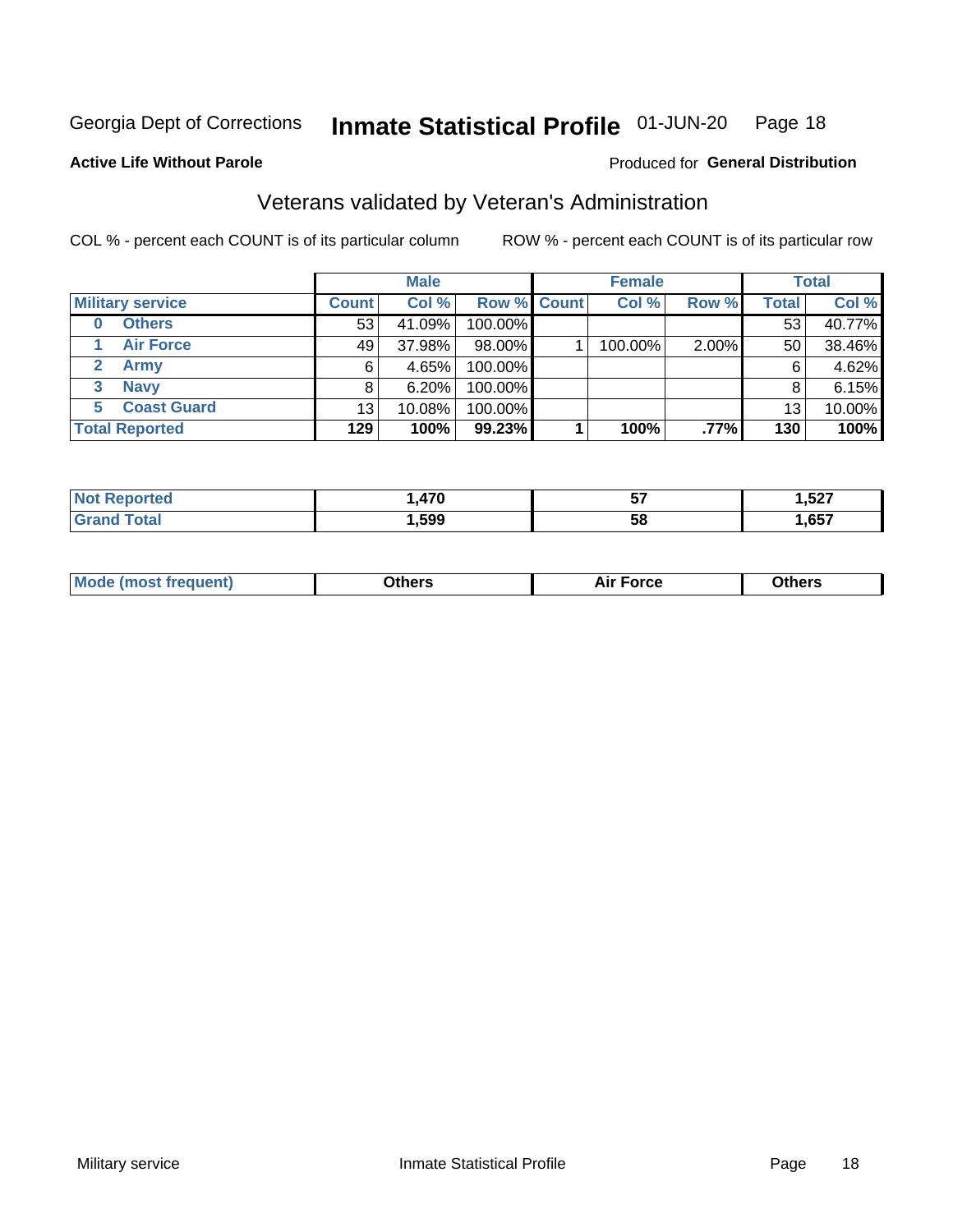#### Inmate Statistical Profile 01-JUN-20 Page 18

#### **Active Life Without Parole**

### Produced for General Distribution

# Veterans validated by Veteran's Administration

COL % - percent each COUNT is of its particular column

|                         |                 | <b>Male</b> |             | <b>Female</b> |       |              | <b>Total</b> |
|-------------------------|-----------------|-------------|-------------|---------------|-------|--------------|--------------|
| <b>Military service</b> | <b>Count</b>    | Col %       | Row % Count | Col %         | Row % | <b>Total</b> | Col %        |
| <b>Others</b><br>0      | 53              | 41.09%      | 100.00%     |               |       | 53           | 40.77%       |
| <b>Air Force</b>        | 49              | 37.98%      | 98.00%      | 100.00%       | 2.00% | 50           | 38.46%       |
| Army                    | 6               | 4.65%       | 100.00%     |               |       | 6            | 4.62%        |
| <b>Navy</b><br>3        |                 | 6.20%       | 100.00%     |               |       | 8            | 6.15%        |
| <b>Coast Guard</b><br>5 | 13 <sub>1</sub> | 10.08%      | 100.00%     |               |       | 13           | 10.00%       |
| <b>Total Reported</b>   | 129             | 100%        | 99.23%      | 100%          | .77%  | 130          | 100%         |

| rrec        | - 70 | -- | 1,527  |
|-------------|------|----|--------|
|             |      | v, | $\sim$ |
| $C = 4 - 7$ | ,599 | 58 | ,657   |

| ____<br>____ |
|--------------|
|--------------|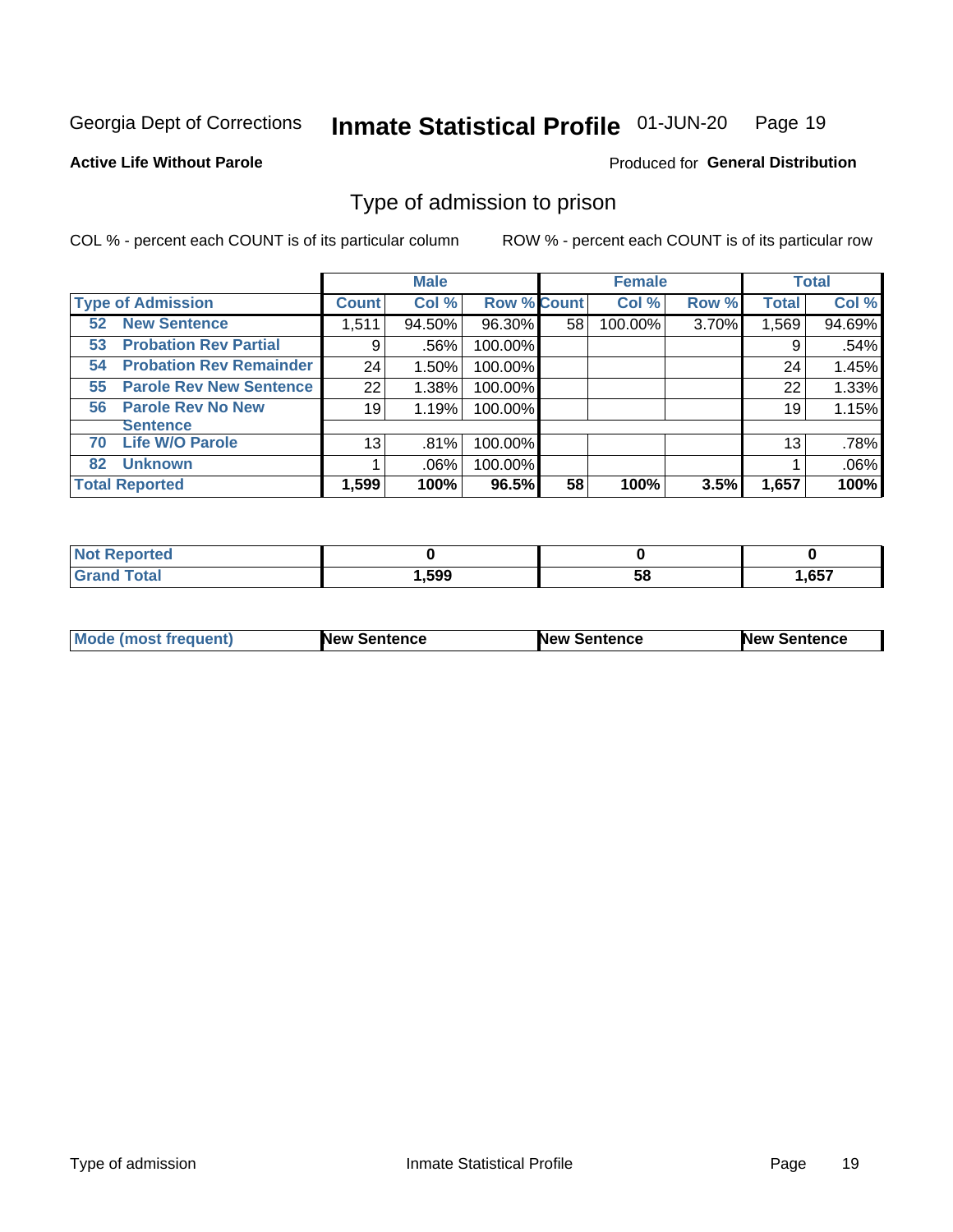#### Inmate Statistical Profile 01-JUN-20 Page 19

**Active Life Without Parole** 

Produced for General Distribution

# Type of admission to prison

COL % - percent each COUNT is of its particular column

|                                      |              | <b>Male</b> |                    |    | <b>Female</b> |       |              | <b>Total</b> |
|--------------------------------------|--------------|-------------|--------------------|----|---------------|-------|--------------|--------------|
| <b>Type of Admission</b>             | <b>Count</b> | Col %       | <b>Row % Count</b> |    | Col %         | Row % | <b>Total</b> | Col %        |
| <b>52 New Sentence</b>               | 1,511        | 94.50%      | 96.30%             | 58 | 100.00%       | 3.70% | 1,569        | 94.69%       |
| <b>Probation Rev Partial</b><br>53   | 9            | .56%        | 100.00%            |    |               |       | 9            | .54%         |
| <b>Probation Rev Remainder</b><br>54 | 24           | 1.50%       | 100.00%            |    |               |       | 24           | 1.45%        |
| <b>Parole Rev New Sentence</b><br>55 | 22           | 1.38%       | 100.00%            |    |               |       | 22           | 1.33%        |
| <b>Parole Rev No New</b><br>56       | 19           | 1.19%       | 100.00%            |    |               |       | 19           | 1.15%        |
| <b>Sentence</b>                      |              |             |                    |    |               |       |              |              |
| <b>Life W/O Parole</b><br>70         | 13           | .81%        | 100.00%            |    |               |       | 13           | .78%         |
| <b>Unknown</b><br>82                 |              | $.06\%$     | 100.00%            |    |               |       |              | .06%         |
| <b>Total Reported</b>                | 1,599        | 100%        | 96.5%              | 58 | 100%          | 3.5%  | 1,657        | 100%         |

| : Reported<br><b>NOT</b> |      |           |       |
|--------------------------|------|-----------|-------|
| <b>Total</b>             | ,599 | - -<br>ວດ | 1,657 |

| Mode (most frequent) | <b>New Sentence</b> | <b>New Sentence</b> | <b>New Sentence</b> |
|----------------------|---------------------|---------------------|---------------------|
|                      |                     |                     |                     |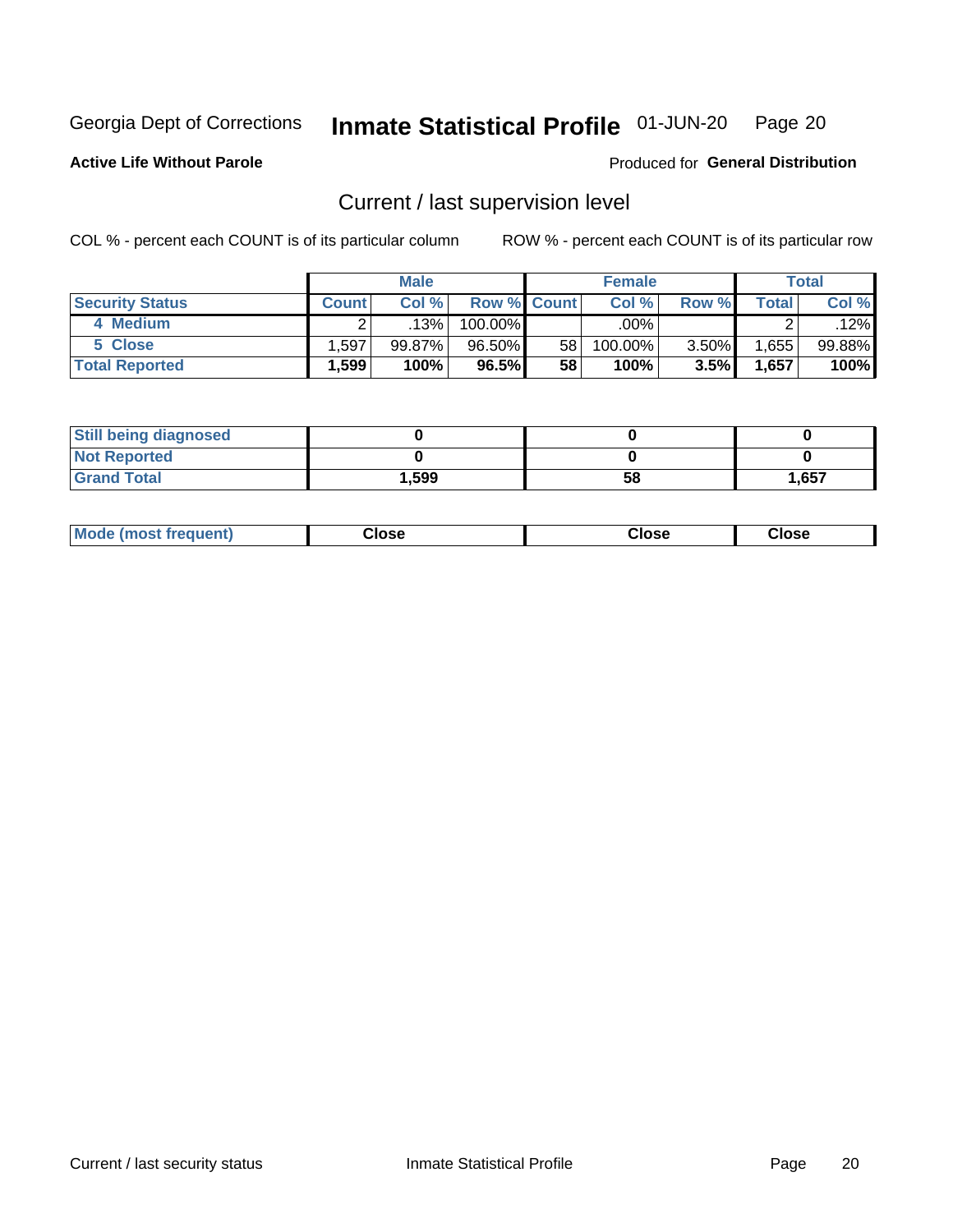#### Inmate Statistical Profile 01-JUN-20 Page 20

**Active Life Without Parole** 

### Produced for General Distribution

# Current / last supervision level

COL % - percent each COUNT is of its particular column

|                        |                   | <b>Male</b> |                    |    | <b>Female</b> |       |       | <b>Total</b> |
|------------------------|-------------------|-------------|--------------------|----|---------------|-------|-------|--------------|
| <b>Security Status</b> | <b>Count</b>      | Col%        | <b>Row % Count</b> |    | Col %         | Row % | Total | Col %        |
| 4 Medium               |                   | 13%         | 100.00%            |    | .00%          |       |       | .12%         |
| 5 Close                | .597              | 99.87%      | 96.50%             | 58 | 100.00%       | 3.50% | .655  | 99.88%       |
| <b>Total Reported</b>  | $.599$ $^{\circ}$ | 100%        | 96.5%              | 58 | 100%          | 3.5%  | 1,657 | 100%         |

| <b>Still being diagnosed</b> |       |    |       |
|------------------------------|-------|----|-------|
| <b>Not Reported</b>          |       |    |       |
| <b>Grand Total</b>           | 1,599 | 58 | 1,657 |

| <b>Mode (most frequent)</b> | Close | ∵lose | Close |
|-----------------------------|-------|-------|-------|
|                             |       |       |       |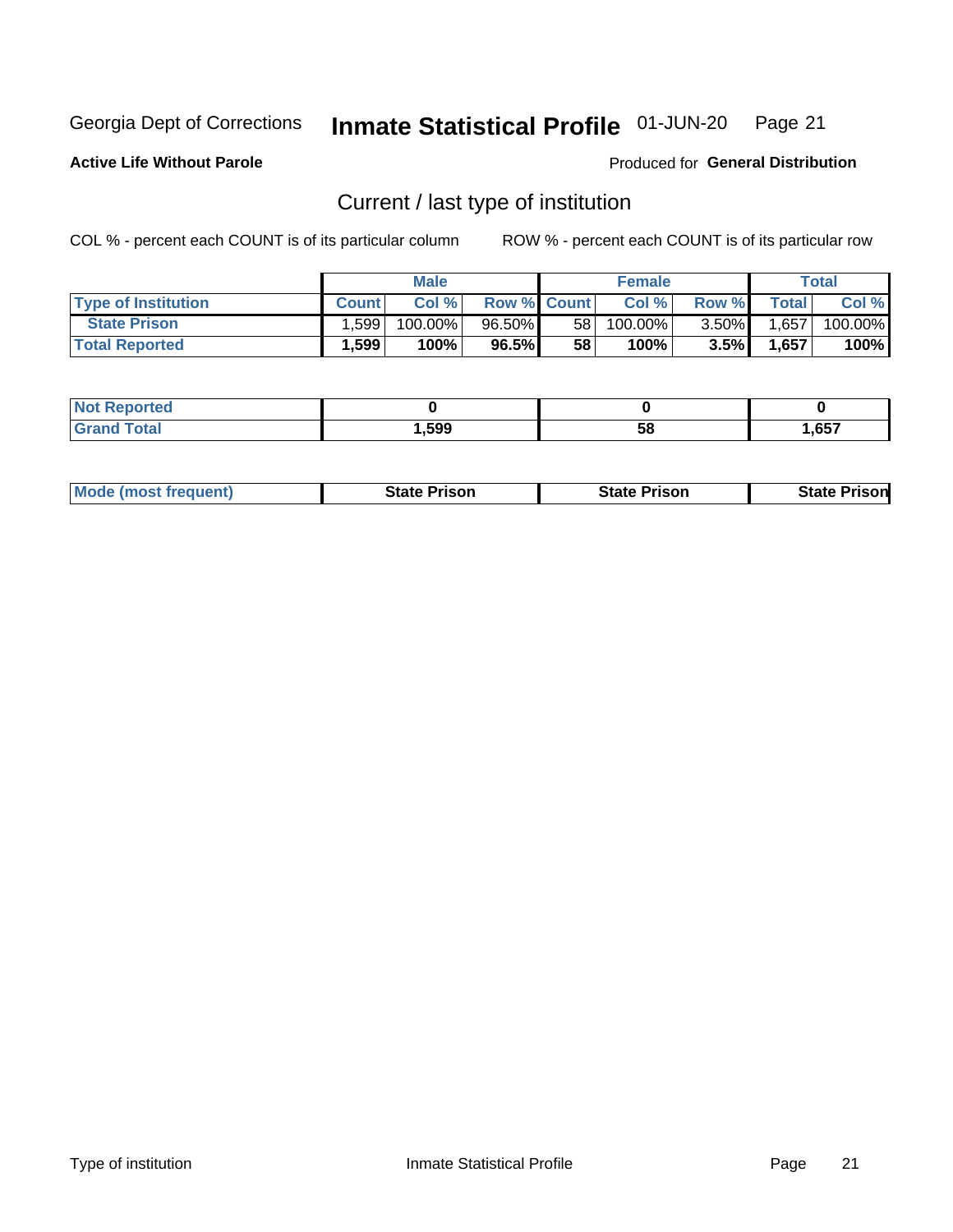#### Inmate Statistical Profile 01-JUN-20 Page 21

**Active Life Without Parole** 

Produced for General Distribution

# Current / last type of institution

COL % - percent each COUNT is of its particular column

|                            |              | <b>Male</b> |                    |      | <b>Female</b> |          |              | <b>Total</b> |
|----------------------------|--------------|-------------|--------------------|------|---------------|----------|--------------|--------------|
| <b>Type of Institution</b> | <b>Count</b> | Col %       | <b>Row % Count</b> |      | Col %         | Row %    | <b>Total</b> | Col %        |
| <b>State Prison</b>        | .599         | 100.00%     | 96.50%             | 58 l | 100.00%       | $3.50\%$ | 1,657        | 100.00%      |
| <b>Total Reported</b>      | 1,599        | 100%        | 96.5%              | 58   | $100\%$       | $3.5\%$  | 1,657        | 100%         |

| тес |      |    |      |
|-----|------|----|------|
|     | .599 | ວເ | .657 |

|  | <b>Mode (most frequent)</b> | State Prison | <b>State Prison</b> | <b>State Prison</b> |
|--|-----------------------------|--------------|---------------------|---------------------|
|--|-----------------------------|--------------|---------------------|---------------------|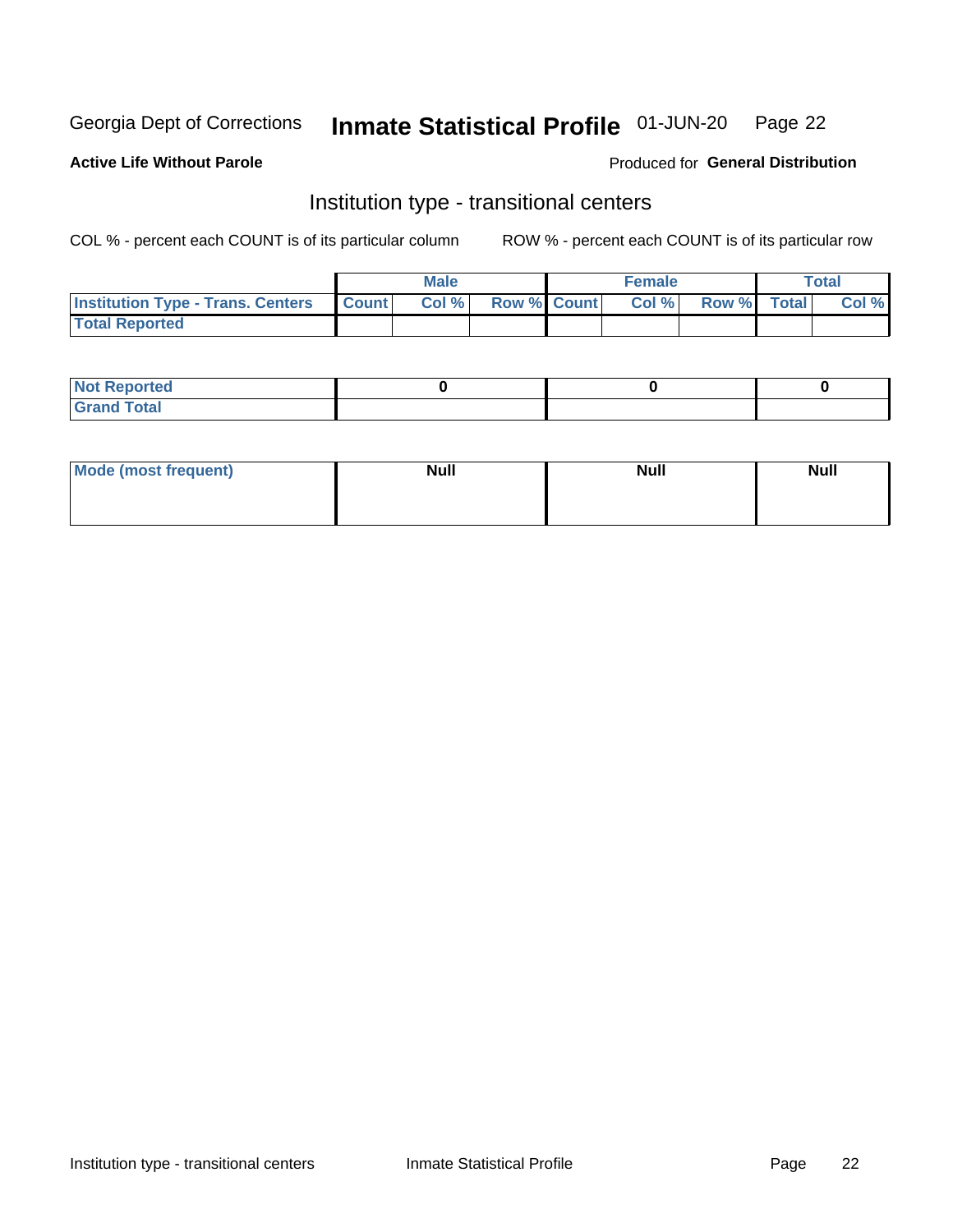#### Inmate Statistical Profile 01-JUN-20 Page 22

#### **Active Life Without Parole**

### Produced for General Distribution

# Institution type - transitional centers

COL % - percent each COUNT is of its particular column

|                                                | Male  |                    | <b>Female</b> |                   | Total |
|------------------------------------------------|-------|--------------------|---------------|-------------------|-------|
| <b>Institution Type - Trans. Centers Count</b> | Col % | <b>Row % Count</b> |               | Col % Row % Total | Col % |
| <b>Total Reported</b>                          |       |                    |               |                   |       |

| <b>Reported</b><br><b>NOT</b><br>$\sim$            |  |  |
|----------------------------------------------------|--|--|
| $f$ $f \circ f \circ f$<br>$C = 1$<br><b>TULAI</b> |  |  |

| Mode (most frequent) | <b>Null</b> | <b>Null</b> | <b>Null</b> |
|----------------------|-------------|-------------|-------------|
|                      |             |             |             |
|                      |             |             |             |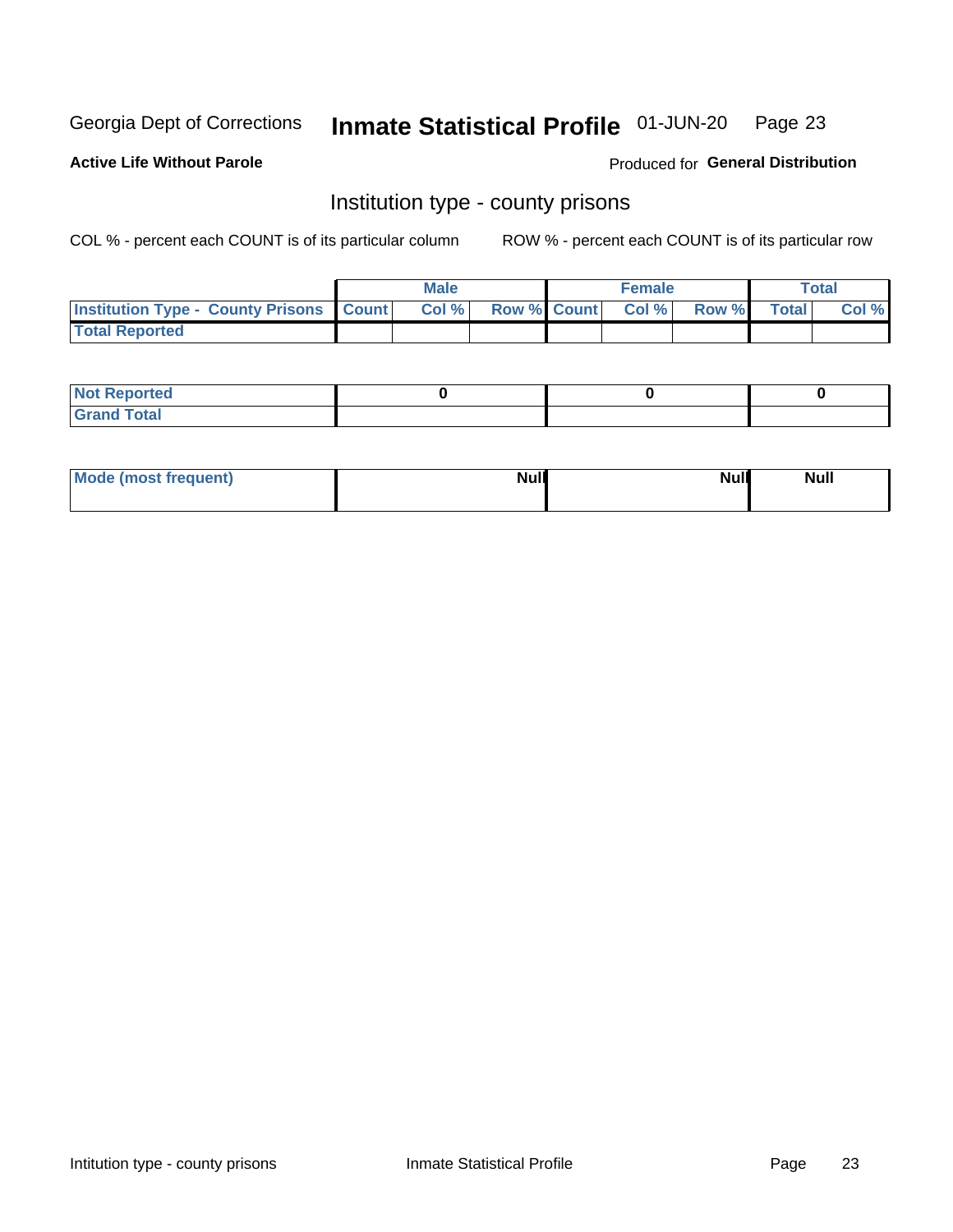#### Inmate Statistical Profile 01-JUN-20 Page 23

**Active Life Without Parole** 

Produced for General Distribution

# Institution type - county prisons

COL % - percent each COUNT is of its particular column

|                                                    | <b>Male</b> |       |                          | <b>Female</b> |  |             | <b>Total</b> |       |
|----------------------------------------------------|-------------|-------|--------------------------|---------------|--|-------------|--------------|-------|
| <b>Institution Type - County Prisons   Count  </b> |             | Col % | <b>Row % Count Col %</b> |               |  | Row % Total |              | Col % |
| <b>Total Reported</b>                              |             |       |                          |               |  |             |              |       |

| <b>Not Reported</b>   |  |  |
|-----------------------|--|--|
| <b>Total</b><br>Granc |  |  |

| Mode (most frequent) | <b>Null</b> | <b>Null</b><br><b>Null</b> |
|----------------------|-------------|----------------------------|
|                      |             |                            |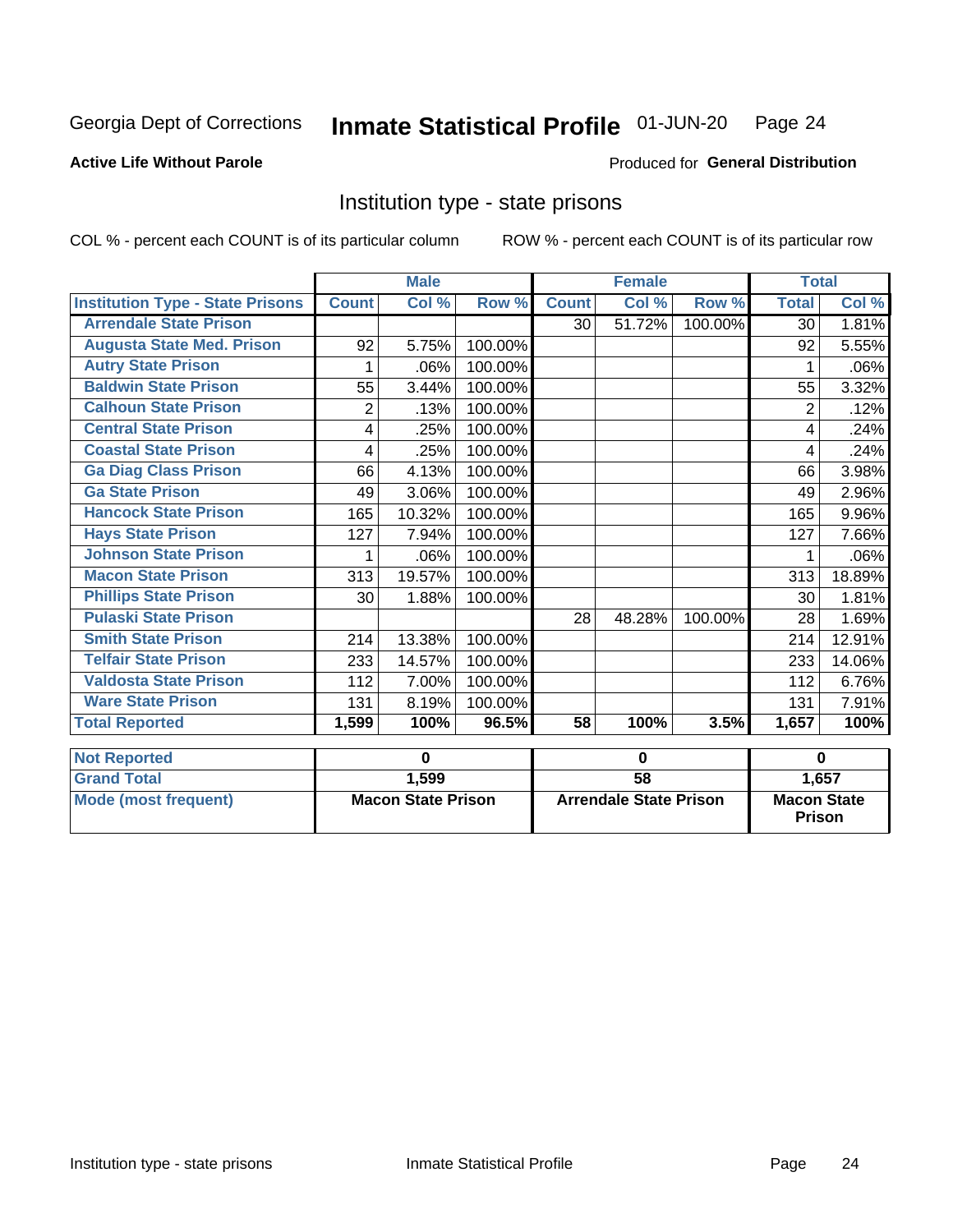#### Inmate Statistical Profile 01-JUN-20 Page 24

### **Active Life Without Parole**

#### Produced for General Distribution

# Institution type - state prisons

COL % - percent each COUNT is of its particular column

|                                         | <b>Male</b>               |          |                               | <b>Female</b> |        |                                              | <b>Total</b> |          |
|-----------------------------------------|---------------------------|----------|-------------------------------|---------------|--------|----------------------------------------------|--------------|----------|
| <b>Institution Type - State Prisons</b> | <b>Count</b>              | Col %    | Row %                         | <b>Count</b>  | Col %  | Row %                                        | <b>Total</b> | Col %    |
| <b>Arrendale State Prison</b>           |                           |          |                               | 30            | 51.72% | 100.00%                                      | 30           | 1.81%    |
| <b>Augusta State Med. Prison</b>        | 92                        | 5.75%    | 100.00%                       |               |        |                                              | 92           | 5.55%    |
| <b>Autry State Prison</b>               | 1                         | .06%     | 100.00%                       |               |        |                                              | 1            | .06%     |
| <b>Baldwin State Prison</b>             | 55                        | 3.44%    | 100.00%                       |               |        |                                              | 55           | 3.32%    |
| <b>Calhoun State Prison</b>             | 2                         | .13%     | 100.00%                       |               |        |                                              | 2            | .12%     |
| <b>Central State Prison</b>             | 4                         | .25%     | 100.00%                       |               |        |                                              | 4            | .24%     |
| <b>Coastal State Prison</b>             | 4                         | .25%     | 100.00%                       |               |        |                                              | 4            | .24%     |
| <b>Ga Diag Class Prison</b>             | 66                        | 4.13%    | 100.00%                       |               |        |                                              | 66           | 3.98%    |
| <b>Ga State Prison</b>                  | 49                        | 3.06%    | 100.00%                       |               |        |                                              | 49           | 2.96%    |
| <b>Hancock State Prison</b>             | 165                       | 10.32%   | 100.00%                       |               |        |                                              | 165          | 9.96%    |
| <b>Hays State Prison</b>                | 127                       | 7.94%    | 100.00%                       |               |        |                                              | 127          | 7.66%    |
| <b>Johnson State Prison</b>             | 1                         | .06%     | 100.00%                       |               |        |                                              |              | .06%     |
| <b>Macon State Prison</b>               | 313                       | 19.57%   | 100.00%                       |               |        |                                              | 313          | 18.89%   |
| <b>Phillips State Prison</b>            | 30                        | 1.88%    | 100.00%                       |               |        |                                              | 30           | 1.81%    |
| <b>Pulaski State Prison</b>             |                           |          |                               | 28            | 48.28% | 100.00%                                      | 28           | 1.69%    |
| <b>Smith State Prison</b>               | 214                       | 13.38%   | 100.00%                       |               |        |                                              | 214          | 12.91%   |
| <b>Telfair State Prison</b>             | 233                       | 14.57%   | 100.00%                       |               |        |                                              | 233          | 14.06%   |
| <b>Valdosta State Prison</b>            | 112                       | 7.00%    | 100.00%                       |               |        |                                              | 112          | 6.76%    |
| <b>Ware State Prison</b>                | 131                       | 8.19%    | 100.00%                       |               |        |                                              | 131          | 7.91%    |
| <b>Total Reported</b>                   | 1,599                     | 100%     | 96.5%                         | 58            | 100%   | 3.5%                                         | 1,657        | 100%     |
| <b>Not Reported</b>                     |                           | $\bf{0}$ |                               | $\bf{0}$      |        |                                              |              | $\bf{0}$ |
| <b>Grand Total</b>                      |                           | 1,599    |                               | 58            |        |                                              |              |          |
| <b>Mode (most frequent)</b>             | <b>Macon State Prison</b> |          | <b>Arrendale State Prison</b> |               |        | 1,657<br><b>Macon State</b><br><b>Prison</b> |              |          |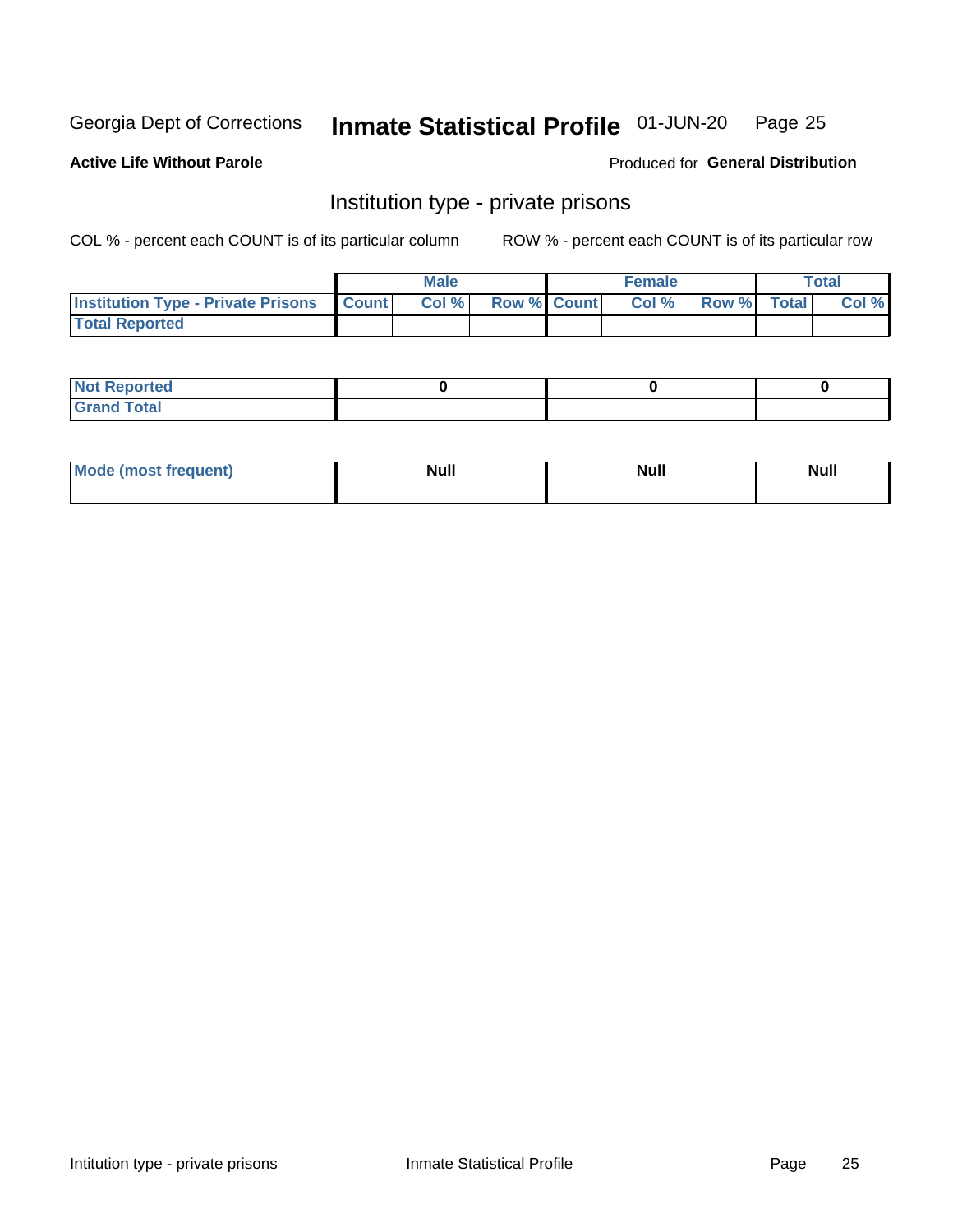# Inmate Statistical Profile 01-JUN-20 Page 25

**Active Life Without Parole** 

Produced for General Distribution

# Institution type - private prisons

COL % - percent each COUNT is of its particular column

|                                                 | <b>Male</b> |      |                    | <b>Female</b> |       |             | Total |       |
|-------------------------------------------------|-------------|------|--------------------|---------------|-------|-------------|-------|-------|
| <b>Institution Type - Private Prisons Count</b> |             | Col% | <b>Row % Count</b> |               | Col % | Row % Total |       | Col % |
| <b>Total Reported</b>                           |             |      |                    |               |       |             |       |       |

| <b>Reported</b><br><b>NOT</b><br>$\sim$            |  |  |
|----------------------------------------------------|--|--|
| $f$ $f \circ f \circ f$<br>$C = 1$<br><b>TULAI</b> |  |  |

| <b>Mo</b><br>frequent) | <b>Null</b> | <b>Null</b> | . . I *<br><b>IVUII</b> |
|------------------------|-------------|-------------|-------------------------|
|                        |             |             |                         |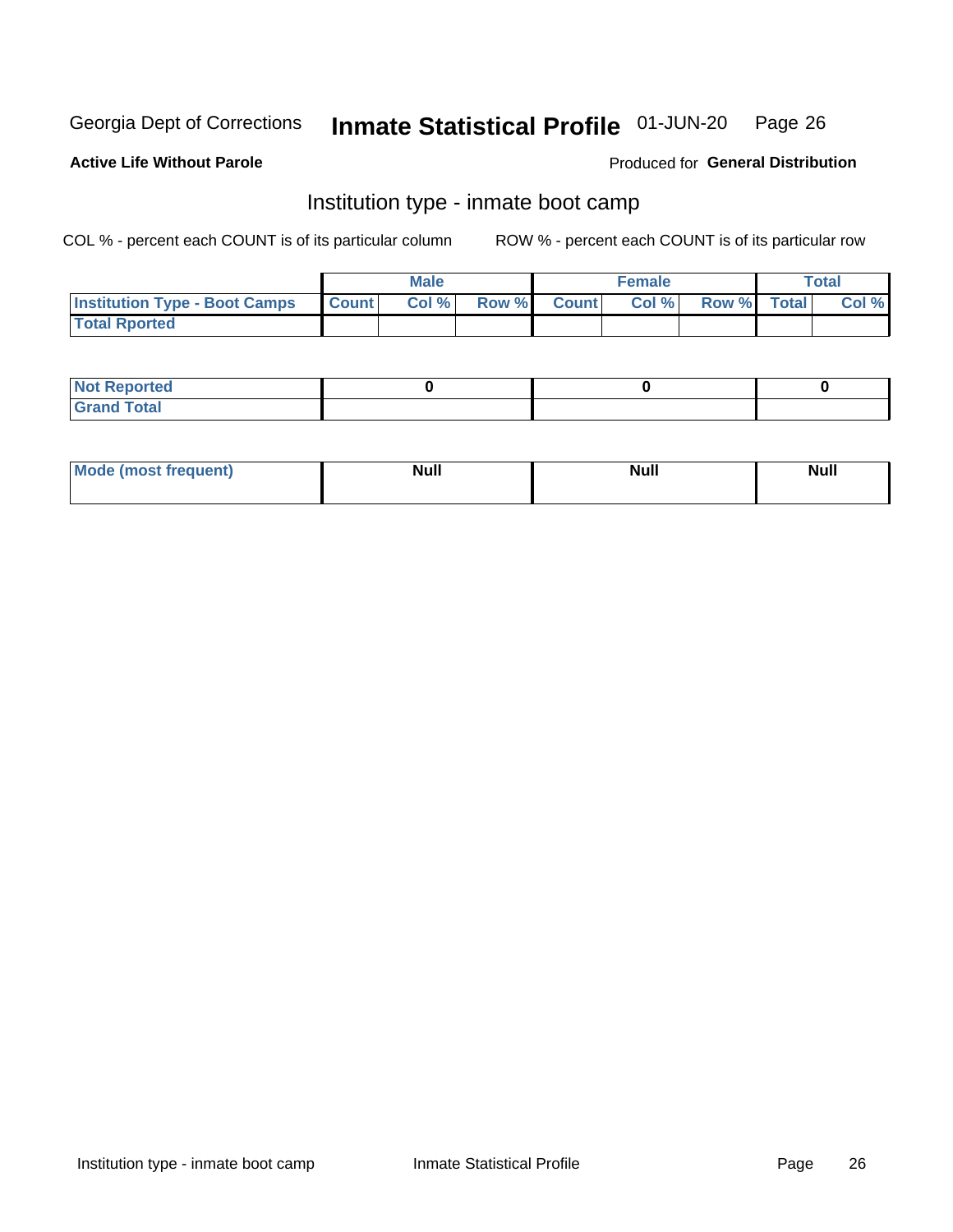#### Inmate Statistical Profile 01-JUN-20 Page 26

#### **Active Life Without Parole**

### Produced for General Distribution

# Institution type - inmate boot camp

COL % - percent each COUNT is of its particular column

|                                      | <b>Male</b>  |       |               |              | <b>Female</b> | <b>Total</b> |  |       |
|--------------------------------------|--------------|-------|---------------|--------------|---------------|--------------|--|-------|
| <b>Institution Type - Boot Camps</b> | <b>Count</b> | Col % | <b>Row %I</b> | <b>Count</b> | Col %         | Row % Total  |  | Col % |
| <b>Total Rported</b>                 |              |       |               |              |               |              |  |       |

| <b>Not Reported</b>            |  |  |
|--------------------------------|--|--|
| <b>Total</b><br>C <sub>r</sub> |  |  |

| Mod<br>uamo | Nul.<br>$- - - - - -$ | <b>Null</b> | . .<br>uu.<br>------ |
|-------------|-----------------------|-------------|----------------------|
|             |                       |             |                      |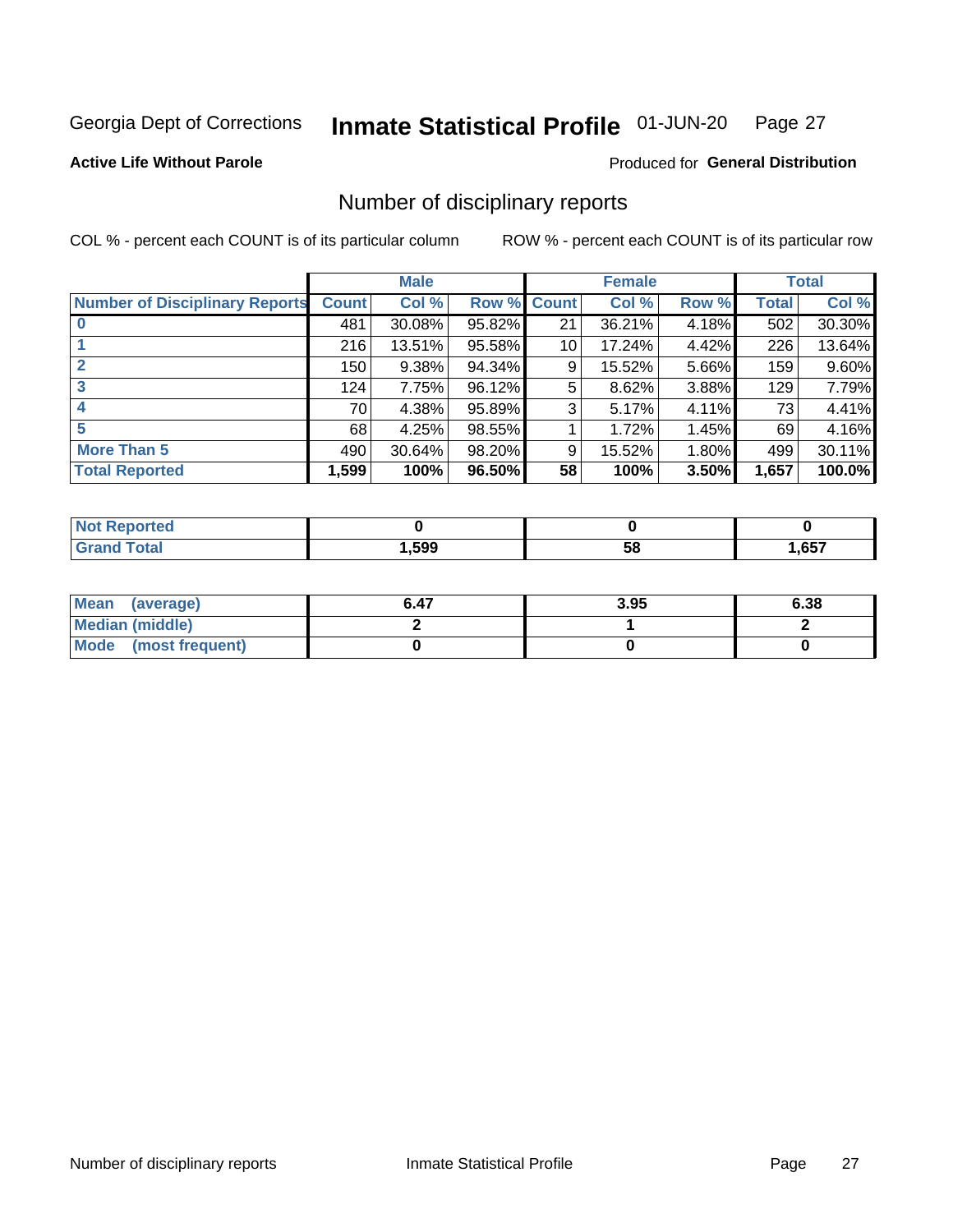#### Inmate Statistical Profile 01-JUN-20 Page 27

**Active Life Without Parole** 

Produced for General Distribution

# Number of disciplinary reports

COL % - percent each COUNT is of its particular column

|                                       | <b>Male</b>  |        |             | <b>Female</b> |        |       | <b>Total</b> |        |
|---------------------------------------|--------------|--------|-------------|---------------|--------|-------|--------------|--------|
| <b>Number of Disciplinary Reports</b> | <b>Count</b> | Col %  | Row % Count |               | Col %  | Row % | Total        | Col %  |
|                                       | 481          | 30.08% | 95.82%      | 21            | 36.21% | 4.18% | 502          | 30.30% |
|                                       | 216          | 13.51% | 95.58%      | 10            | 17.24% | 4.42% | 226          | 13.64% |
|                                       | 150          | 9.38%  | 94.34%      | 9             | 15.52% | 5.66% | 159          | 9.60%  |
| 3                                     | 124          | 7.75%  | 96.12%      | 5             | 8.62%  | 3.88% | 129          | 7.79%  |
|                                       | 70           | 4.38%  | 95.89%      | 3             | 5.17%  | 4.11% | 73           | 4.41%  |
| 5                                     | 68           | 4.25%  | 98.55%      |               | 1.72%  | 1.45% | 69           | 4.16%  |
| <b>More Than 5</b>                    | 490          | 30.64% | 98.20%      | 9             | 15.52% | 1.80% | 499          | 30.11% |
| <b>Total Reported</b>                 | 1,599        | 100%   | 96.50%      | 58            | 100%   | 3.50% | 1,657        | 100.0% |

| IN 6  |      |    |      |
|-------|------|----|------|
| ⊺otal | .599 | Ⴢჾ | ,657 |

| Mean (average)         | 6.47 | 3.95 | 6.38 |
|------------------------|------|------|------|
| <b>Median (middle)</b> |      |      |      |
| Mode (most frequent)   |      |      |      |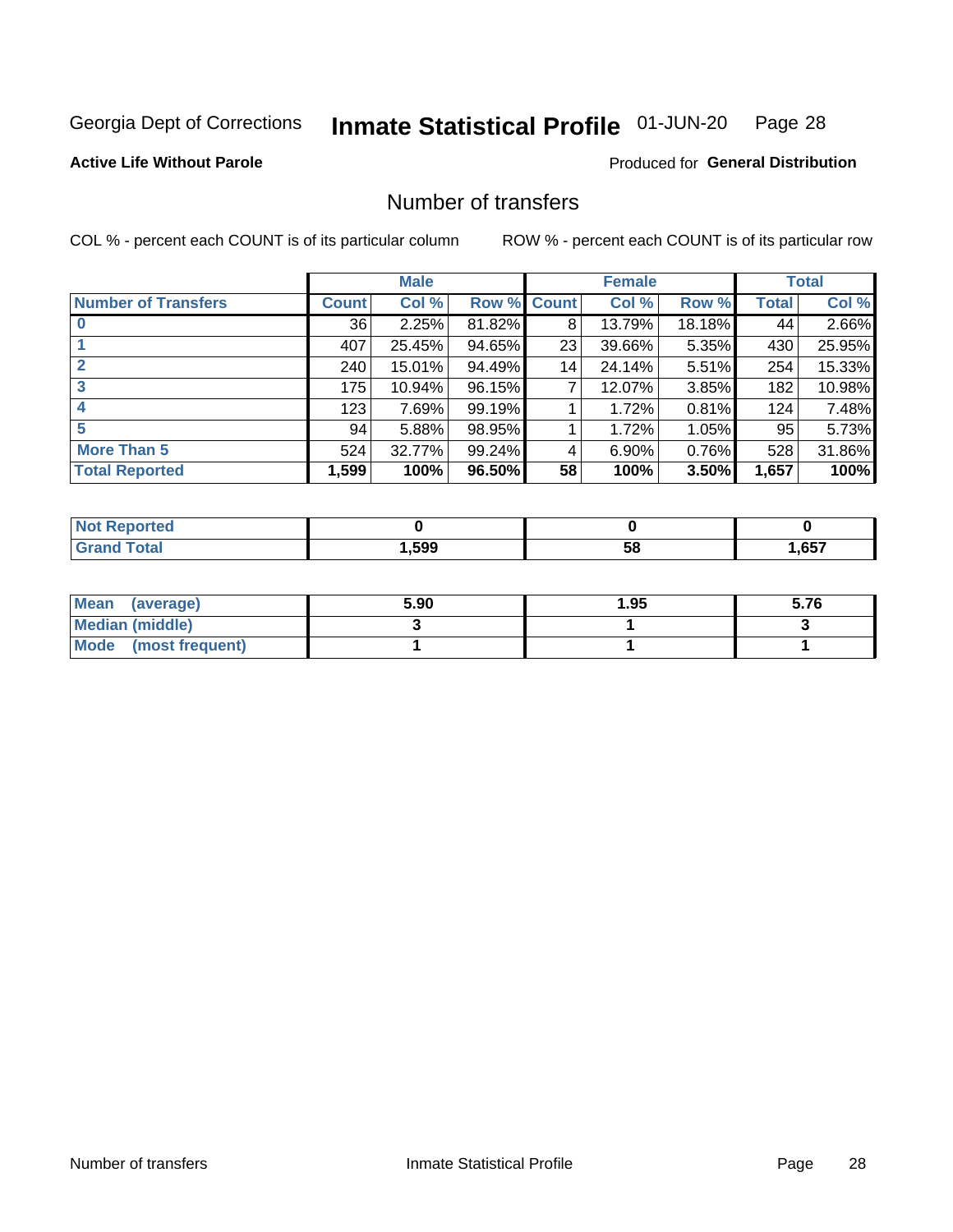#### Inmate Statistical Profile 01-JUN-20 Page 28

### **Active Life Without Parole**

#### Produced for General Distribution

# Number of transfers

COL % - percent each COUNT is of its particular column

|                            |         | <b>Male</b> |        |              | <b>Female</b> |          |              | <b>Total</b> |
|----------------------------|---------|-------------|--------|--------------|---------------|----------|--------------|--------------|
| <b>Number of Transfers</b> | Count l | Col %       | Row %  | <b>Count</b> | Col %         | Row %    | <b>Total</b> | Col %        |
|                            | 36      | 2.25%       | 81.82% | 8            | 13.79%        | 18.18%   | 44           | 2.66%        |
|                            | 407     | 25.45%      | 94.65% | 23           | 39.66%        | 5.35%    | 430          | 25.95%       |
| $\mathbf{2}$               | 240     | 15.01%      | 94.49% | 14           | 24.14%        | 5.51%    | 254          | 15.33%       |
| 3                          | 175     | 10.94%      | 96.15% | 7            | 12.07%        | $3.85\%$ | 182          | 10.98%       |
|                            | 123     | 7.69%       | 99.19% |              | 1.72%         | 0.81%    | 124          | 7.48%        |
| 5                          | 94      | 5.88%       | 98.95% |              | 1.72%         | 1.05%    | 95           | 5.73%        |
| <b>More Than 5</b>         | 524     | 32.77%      | 99.24% | 4            | 6.90%         | 0.76%    | 528          | 31.86%       |
| <b>Total Reported</b>      | 1,599   | 100%        | 96.50% | 58           | 100%          | 3.50%    | 1,657        | 100%         |

| วrted<br>NO  |      |    |      |
|--------------|------|----|------|
| <b>Total</b> | ,599 | ၁၀ | ,657 |

| Mean (average)       | 5.90 | 95.، | 5.76 |
|----------------------|------|------|------|
| Median (middle)      |      |      |      |
| Mode (most frequent) |      |      |      |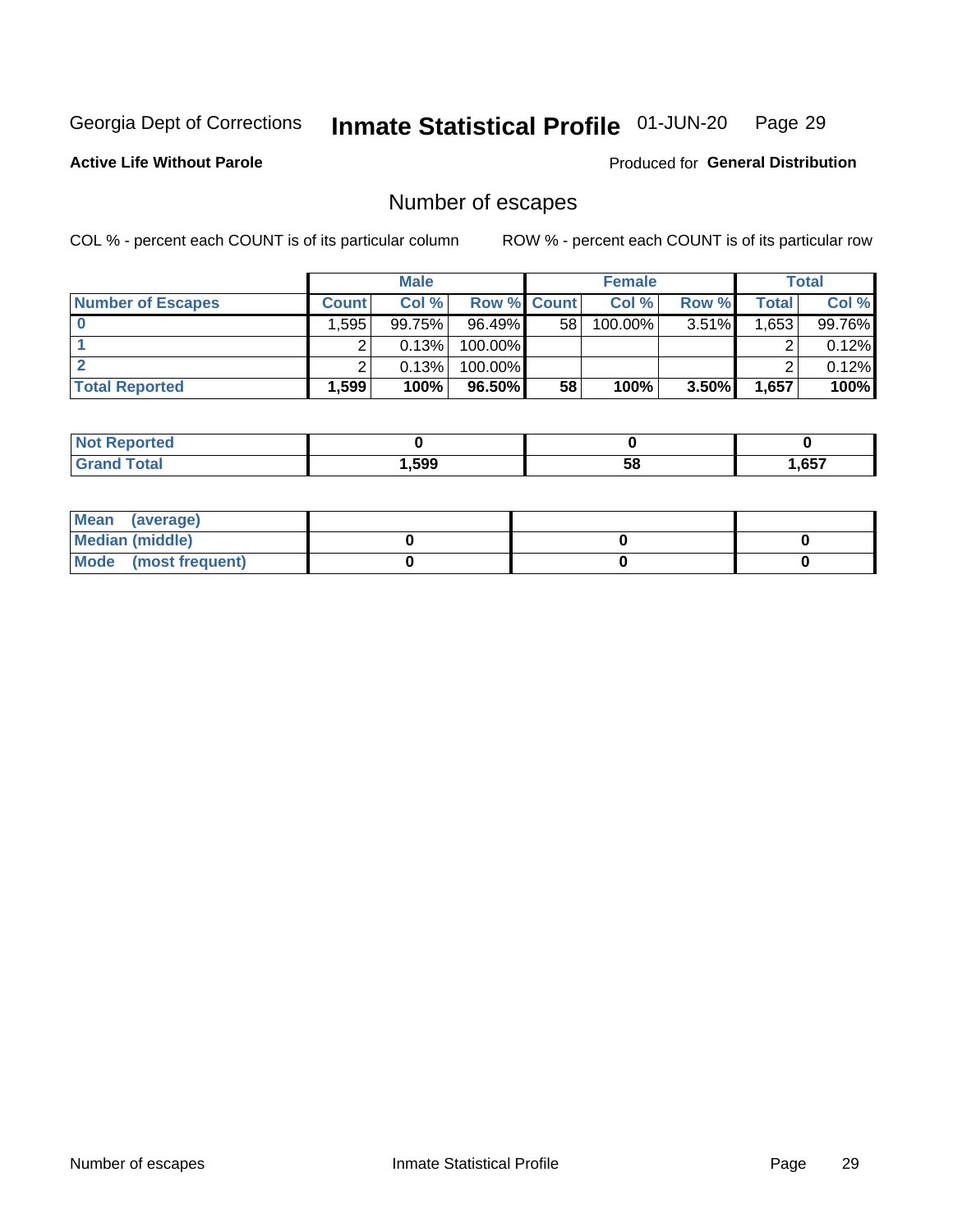#### Inmate Statistical Profile 01-JUN-20 Page 29

### **Active Life Without Parole**

**Produced for General Distribution** 

# Number of escapes

COL % - percent each COUNT is of its particular column

|                          |              | <b>Male</b> |                    |    | <b>Female</b> |          |       | Total  |
|--------------------------|--------------|-------------|--------------------|----|---------------|----------|-------|--------|
| <b>Number of Escapes</b> | <b>Count</b> | Col %       | <b>Row % Count</b> |    | Col %         | Row %    | Total | Col %  |
|                          | .595         | 99.75%      | $96.49\%$          | 58 | $100.00\%$    | $3.51\%$ | .653  | 99.76% |
|                          |              | 0.13%       | 100.00%            |    |               |          |       | 0.12%  |
|                          |              | 0.13%       | 100.00%            |    |               |          |       | 0.12%  |
| <b>Total Reported</b>    | $.599+$      | 100%        | $96.50\%$          | 58 | 100%          | 3.50%    | 1,657 | 100%   |

| <b>eported</b><br>NOT |        |    |       |
|-----------------------|--------|----|-------|
| $F$ ntn               | 599. ا | 58 | .,657 |

| Mean (average)       |  |  |
|----------------------|--|--|
| Median (middle)      |  |  |
| Mode (most frequent) |  |  |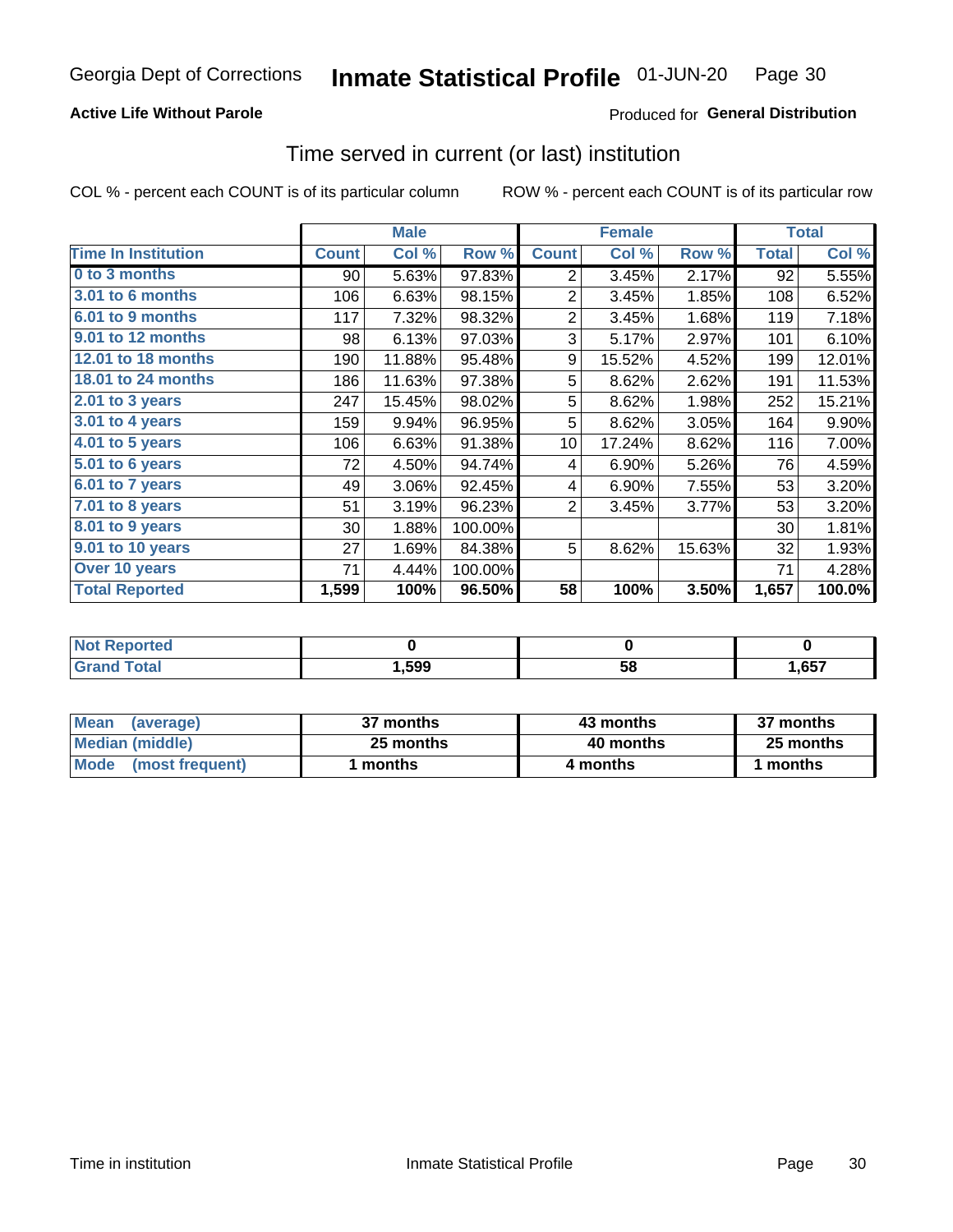### **Active Life Without Parole**

### **Produced for General Distribution**

# Time served in current (or last) institution

COL % - percent each COUNT is of its particular column

|                            |              | <b>Male</b> |         |                | <b>Female</b> |        |              | <b>Total</b> |
|----------------------------|--------------|-------------|---------|----------------|---------------|--------|--------------|--------------|
| <b>Time In Institution</b> | <b>Count</b> | Col %       | Row %   | <b>Count</b>   | Col %         | Row %  | <b>Total</b> | Col %        |
| 0 to 3 months              | 90           | 5.63%       | 97.83%  | 2              | 3.45%         | 2.17%  | 92           | 5.55%        |
| <b>3.01 to 6 months</b>    | 106          | 6.63%       | 98.15%  | $\overline{2}$ | 3.45%         | 1.85%  | 108          | 6.52%        |
| 6.01 to 9 months           | 117          | 7.32%       | 98.32%  | $\overline{2}$ | 3.45%         | 1.68%  | 119          | 7.18%        |
| 9.01 to 12 months          | 98           | 6.13%       | 97.03%  | 3              | 5.17%         | 2.97%  | 101          | 6.10%        |
| 12.01 to 18 months         | 190          | 11.88%      | 95.48%  | 9              | 15.52%        | 4.52%  | 199          | 12.01%       |
| <b>18.01 to 24 months</b>  | 186          | 11.63%      | 97.38%  | 5              | 8.62%         | 2.62%  | 191          | 11.53%       |
| $2.01$ to 3 years          | 247          | 15.45%      | 98.02%  | 5              | 8.62%         | 1.98%  | 252          | 15.21%       |
| $3.01$ to 4 years          | 159          | 9.94%       | 96.95%  | 5              | 8.62%         | 3.05%  | 164          | 9.90%        |
| $4.01$ to 5 years          | 106          | 6.63%       | 91.38%  | 10             | 17.24%        | 8.62%  | 116          | 7.00%        |
| 5.01 to 6 years            | 72           | 4.50%       | 94.74%  | 4              | 6.90%         | 5.26%  | 76           | 4.59%        |
| 6.01 to 7 years            | 49           | 3.06%       | 92.45%  | 4              | 6.90%         | 7.55%  | 53           | 3.20%        |
| 7.01 to 8 years            | 51           | 3.19%       | 96.23%  | $\overline{2}$ | 3.45%         | 3.77%  | 53           | 3.20%        |
| 8.01 to 9 years            | 30           | 1.88%       | 100.00% |                |               |        | 30           | 1.81%        |
| 9.01 to 10 years           | 27           | 1.69%       | 84.38%  | 5              | 8.62%         | 15.63% | 32           | 1.93%        |
| Over 10 years              | 71           | 4.44%       | 100.00% |                |               |        | 71           | 4.28%        |
| <b>Total Reported</b>      | 1,599        | 100%        | 96.50%  | 58             | 100%          | 3.50%  | 1,657        | 100.0%       |

| <b>Not Reported</b> |      |    |      |
|---------------------|------|----|------|
| $f \circ f \circ f$ | 599ء | vu | ,657 |

| <b>Mean</b><br>(average) | 37 months | 43 months | 37 months |
|--------------------------|-----------|-----------|-----------|
| Median (middle)          | 25 months | 40 months | 25 months |
| Mode (most frequent)     | months    | 4 months  | 1 months  |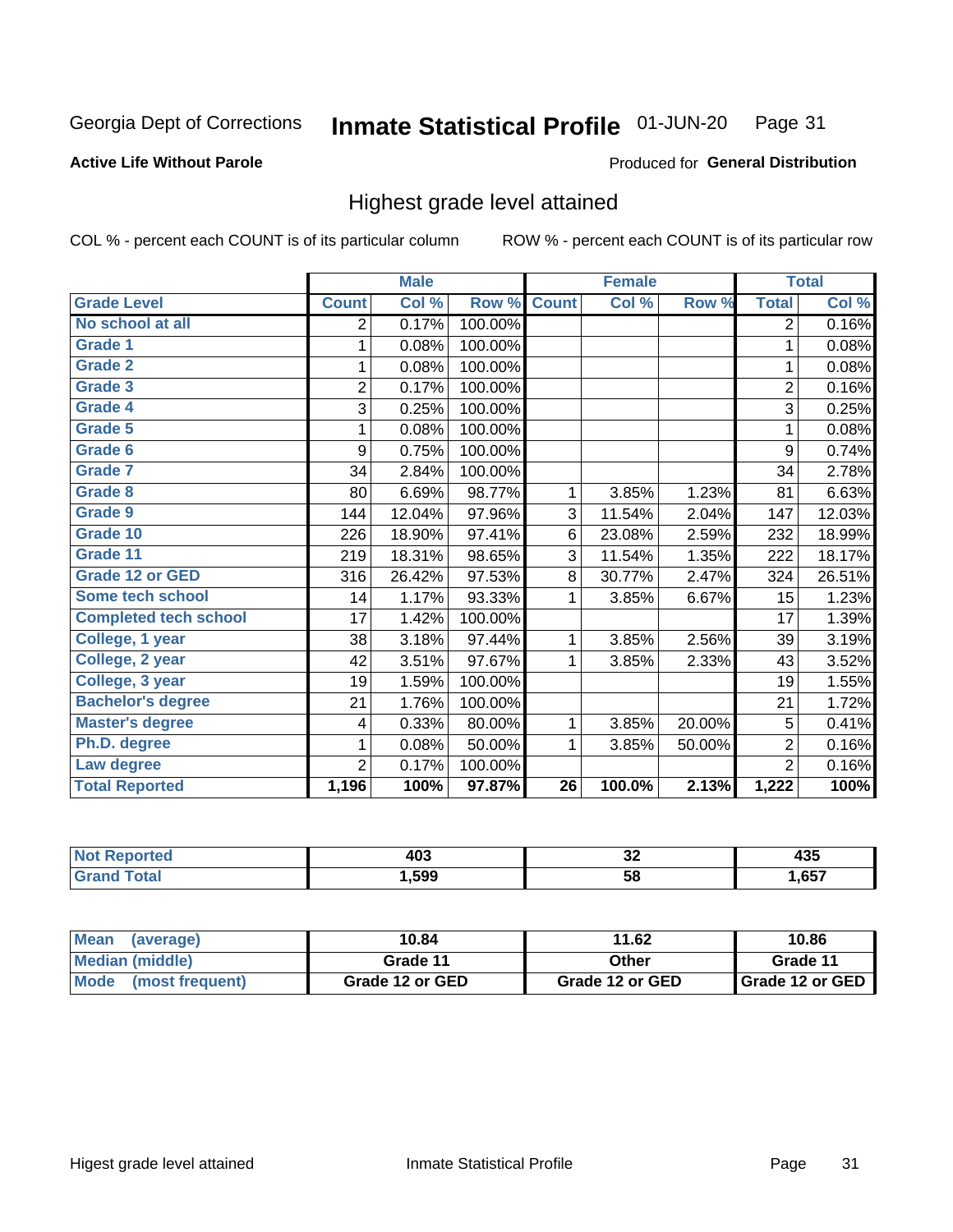#### Inmate Statistical Profile 01-JUN-20 Page 31

#### **Active Life Without Parole**

#### Produced for General Distribution

# Highest grade level attained

COL % - percent each COUNT is of its particular column

|                              |                | <b>Male</b> |         |                 | <b>Female</b> |        |                | <b>Total</b> |
|------------------------------|----------------|-------------|---------|-----------------|---------------|--------|----------------|--------------|
| <b>Grade Level</b>           | <b>Count</b>   | Col %       | Row %   | <b>Count</b>    | Col %         | Row %  | <b>Total</b>   | Col %        |
| No school at all             | 2              | 0.17%       | 100.00% |                 |               |        | $\overline{2}$ | 0.16%        |
| <b>Grade 1</b>               | 1              | 0.08%       | 100.00% |                 |               |        | 1              | 0.08%        |
| <b>Grade 2</b>               | 1              | 0.08%       | 100.00% |                 |               |        | 1              | 0.08%        |
| <b>Grade 3</b>               | $\overline{2}$ | 0.17%       | 100.00% |                 |               |        | $\overline{2}$ | 0.16%        |
| <b>Grade 4</b>               | 3              | 0.25%       | 100.00% |                 |               |        | 3              | 0.25%        |
| Grade 5                      | 1              | 0.08%       | 100.00% |                 |               |        | 1              | 0.08%        |
| Grade 6                      | 9              | 0.75%       | 100.00% |                 |               |        | 9              | 0.74%        |
| Grade 7                      | 34             | 2.84%       | 100.00% |                 |               |        | 34             | 2.78%        |
| Grade 8                      | 80             | 6.69%       | 98.77%  | 1               | 3.85%         | 1.23%  | 81             | 6.63%        |
| Grade 9                      | 144            | 12.04%      | 97.96%  | 3               | 11.54%        | 2.04%  | 147            | 12.03%       |
| Grade 10                     | 226            | 18.90%      | 97.41%  | 6               | 23.08%        | 2.59%  | 232            | 18.99%       |
| Grade 11                     | 219            | 18.31%      | 98.65%  | 3               | 11.54%        | 1.35%  | 222            | 18.17%       |
| <b>Grade 12 or GED</b>       | 316            | 26.42%      | 97.53%  | 8               | 30.77%        | 2.47%  | 324            | 26.51%       |
| Some tech school             | 14             | 1.17%       | 93.33%  | 1               | 3.85%         | 6.67%  | 15             | 1.23%        |
| <b>Completed tech school</b> | 17             | 1.42%       | 100.00% |                 |               |        | 17             | 1.39%        |
| College, 1 year              | 38             | 3.18%       | 97.44%  | 1               | 3.85%         | 2.56%  | 39             | 3.19%        |
| College, 2 year              | 42             | 3.51%       | 97.67%  | 1               | 3.85%         | 2.33%  | 43             | 3.52%        |
| College, 3 year              | 19             | 1.59%       | 100.00% |                 |               |        | 19             | 1.55%        |
| <b>Bachelor's degree</b>     | 21             | 1.76%       | 100.00% |                 |               |        | 21             | 1.72%        |
| <b>Master's degree</b>       | 4              | 0.33%       | 80.00%  | 1               | 3.85%         | 20.00% | 5              | 0.41%        |
| Ph.D. degree                 | 1              | 0.08%       | 50.00%  | 1               | 3.85%         | 50.00% | $\overline{2}$ | 0.16%        |
| Law degree                   | $\overline{2}$ | 0.17%       | 100.00% |                 |               |        | $\overline{2}$ | 0.16%        |
| <b>Total Reported</b>        | 1,196          | 100%        | 97.87%  | $\overline{26}$ | 100.0%        | 2.13%  | 1,222          | 100%         |

| NO   | 100    | ^^  | ---  |
|------|--------|-----|------|
| rtec | ヿヷぃ    | ◡∠  | マソー  |
| υιαι | 599. ا | -58 | ,657 |

| <b>Mean</b><br>(average) | 10.84           | 11.62           | 10.86           |
|--------------------------|-----------------|-----------------|-----------------|
| <b>Median (middle)</b>   | Grade 11        | Other           | Grade 11        |
| Mode<br>(most frequent)  | Grade 12 or GED | Grade 12 or GED | Grade 12 or GED |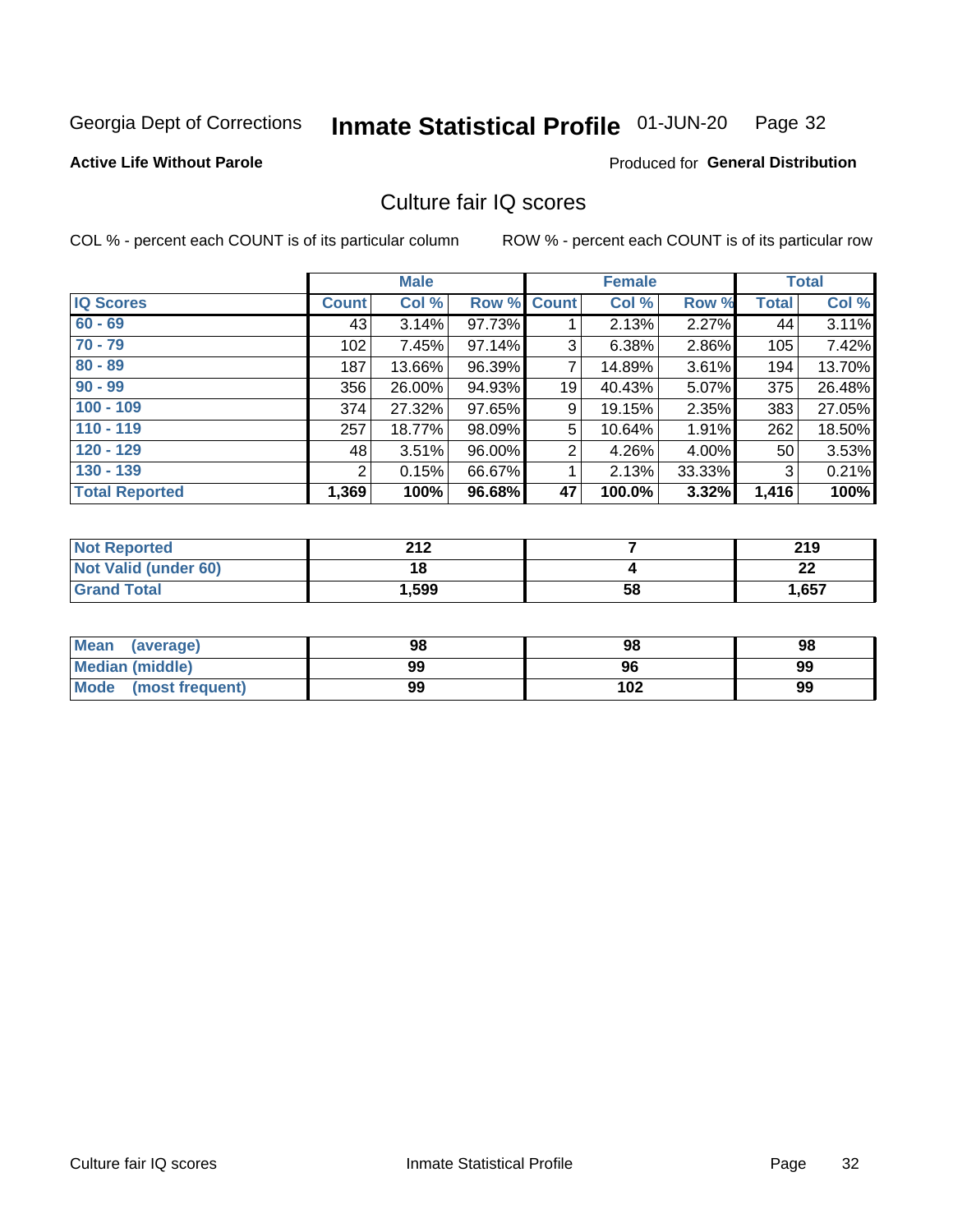#### Inmate Statistical Profile 01-JUN-20 Page 32

### **Active Life Without Parole**

#### Produced for General Distribution

# Culture fair IQ scores

COL % - percent each COUNT is of its particular column

|                       |              | <b>Male</b> |                    |                | <b>Female</b> |          |              | <b>Total</b> |
|-----------------------|--------------|-------------|--------------------|----------------|---------------|----------|--------------|--------------|
| <b>IQ Scores</b>      | <b>Count</b> | Col %       | <b>Row % Count</b> |                | Col %         | Row %    | <b>Total</b> | Col %        |
| $60 - 69$             | 43           | 3.14%       | 97.73%             |                | 2.13%         | $2.27\%$ | 44           | 3.11%        |
| $70 - 79$             | 102          | 7.45%       | 97.14%             | 3              | 6.38%         | 2.86%    | 105          | 7.42%        |
| $80 - 89$             | 187          | 13.66%      | 96.39%             | $\overline{7}$ | 14.89%        | 3.61%    | 194          | 13.70%       |
| $90 - 99$             | 356          | 26.00%      | 94.93%             | 19             | 40.43%        | 5.07%    | 375          | 26.48%       |
| $100 - 109$           | 374          | 27.32%      | 97.65%             | 9              | 19.15%        | 2.35%    | 383          | 27.05%       |
| $110 - 119$           | 257          | 18.77%      | 98.09%             | 5              | 10.64%        | 1.91%    | 262          | 18.50%       |
| $120 - 129$           | 48           | 3.51%       | 96.00%             | $\overline{2}$ | 4.26%         | $4.00\%$ | 50           | 3.53%        |
| $130 - 139$           | 2            | 0.15%       | 66.67%             | 1              | 2.13%         | 33.33%   | 3            | 0.21%        |
| <b>Total Reported</b> | 1,369        | 100%        | 96.68%             | 47             | 100.0%        | 3.32%    | 1,416        | 100%         |

| <b>Not Reported</b>  | つりつ<br>ZIZ |    | 219       |
|----------------------|------------|----|-----------|
| Not Valid (under 60) | 18         |    | ົາງ<br>LL |
| <b>Grand Total</b>   | 1,599      | 58 | 1,657     |

| <b>Mean</b><br>(average) | 98 | 98  | 98 |
|--------------------------|----|-----|----|
| Median (middle)          | 99 | 96  | 99 |
| Mode (most frequent)     | 99 | 102 | 99 |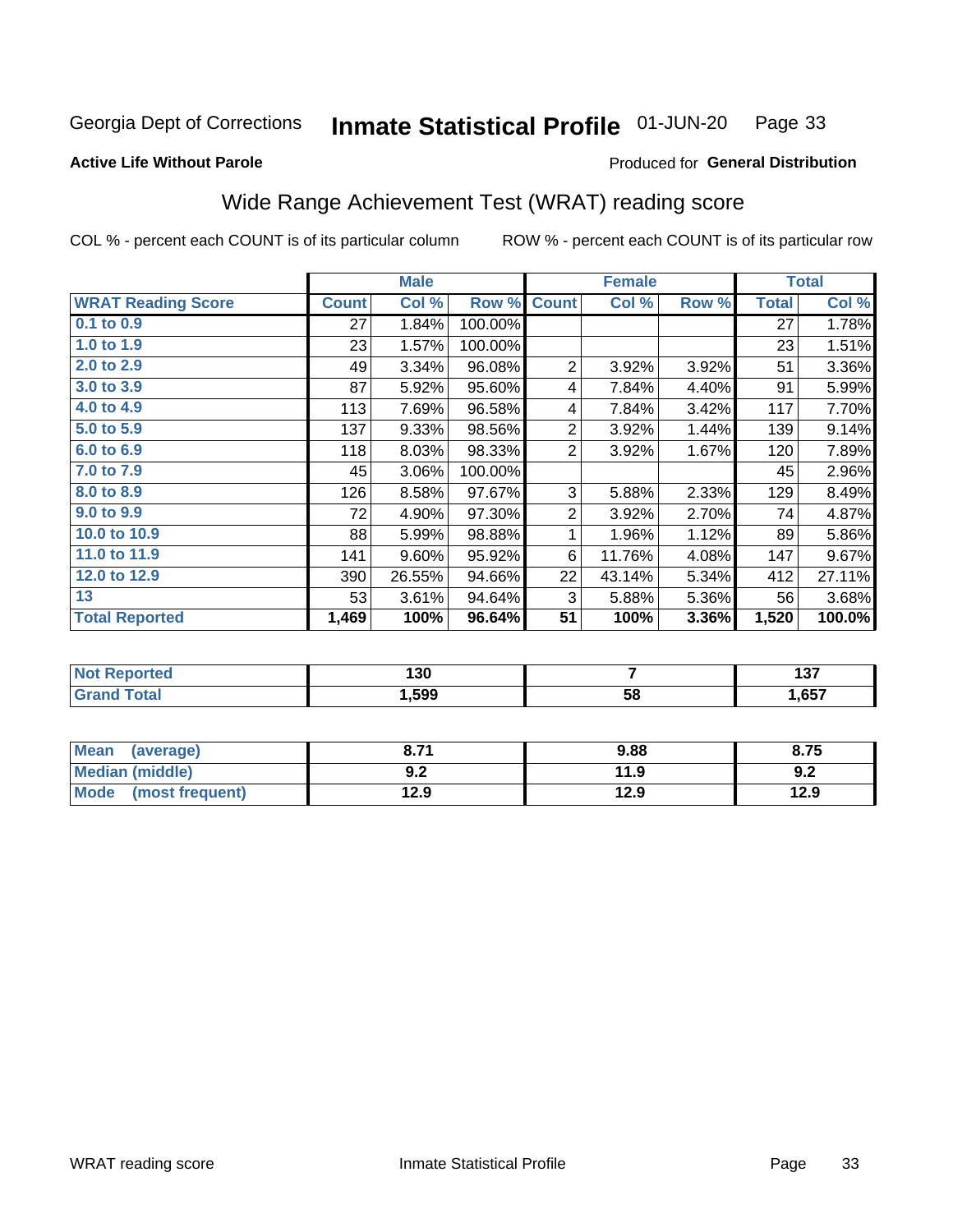#### Inmate Statistical Profile 01-JUN-20 Page 33

#### **Active Life Without Parole**

# **Produced for General Distribution**

# Wide Range Achievement Test (WRAT) reading score

COL % - percent each COUNT is of its particular column

|                           |              | <b>Male</b> |         |                | <b>Female</b> |       |              | <b>Total</b> |
|---------------------------|--------------|-------------|---------|----------------|---------------|-------|--------------|--------------|
| <b>WRAT Reading Score</b> | <b>Count</b> | Col %       | Row %   | <b>Count</b>   | Col %         | Row % | <b>Total</b> | Col %        |
| $0.1$ to $0.9$            | 27           | 1.84%       | 100.00% |                |               |       | 27           | 1.78%        |
| 1.0 to 1.9                | 23           | 1.57%       | 100.00% |                |               |       | 23           | 1.51%        |
| 2.0 to 2.9                | 49           | 3.34%       | 96.08%  | $\overline{2}$ | 3.92%         | 3.92% | 51           | 3.36%        |
| 3.0 to 3.9                | 87           | 5.92%       | 95.60%  | 4              | 7.84%         | 4.40% | 91           | 5.99%        |
| 4.0 to 4.9                | 113          | 7.69%       | 96.58%  | 4              | 7.84%         | 3.42% | 117          | 7.70%        |
| 5.0 to 5.9                | 137          | 9.33%       | 98.56%  | $\overline{2}$ | 3.92%         | 1.44% | 139          | 9.14%        |
| 6.0 to 6.9                | 118          | 8.03%       | 98.33%  | $\overline{2}$ | 3.92%         | 1.67% | 120          | 7.89%        |
| 7.0 to 7.9                | 45           | 3.06%       | 100.00% |                |               |       | 45           | 2.96%        |
| 8.0 to 8.9                | 126          | 8.58%       | 97.67%  | 3              | 5.88%         | 2.33% | 129          | 8.49%        |
| 9.0 to 9.9                | 72           | 4.90%       | 97.30%  | $\overline{2}$ | 3.92%         | 2.70% | 74           | 4.87%        |
| 10.0 to 10.9              | 88           | 5.99%       | 98.88%  | 1              | 1.96%         | 1.12% | 89           | 5.86%        |
| 11.0 to 11.9              | 141          | 9.60%       | 95.92%  | 6              | 11.76%        | 4.08% | 147          | 9.67%        |
| 12.0 to 12.9              | 390          | 26.55%      | 94.66%  | 22             | 43.14%        | 5.34% | 412          | 27.11%       |
| 13                        | 53           | 3.61%       | 94.64%  | 3              | 5.88%         | 5.36% | 56           | 3.68%        |
| <b>Total Reported</b>     | 1,469        | 100%        | 96.64%  | 51             | 100%          | 3.36% | 1,520        | 100.0%       |

| <b>Not Reported</b>          | 130  |    | , , ,<br>וטו |
|------------------------------|------|----|--------------|
| <b>Total</b><br><b>Grand</b> | ,599 | 58 | 1,657        |

| <b>Mean</b><br>(average)       | גי כ<br>o. / I     | 9.88 | 8.75 |
|--------------------------------|--------------------|------|------|
| Median (middle)                | י ה<br><u> ม.∠</u> | 11.9 | 9.2  |
| <b>Mode</b><br>(most frequent) | 12.9               | 12.9 | 12.9 |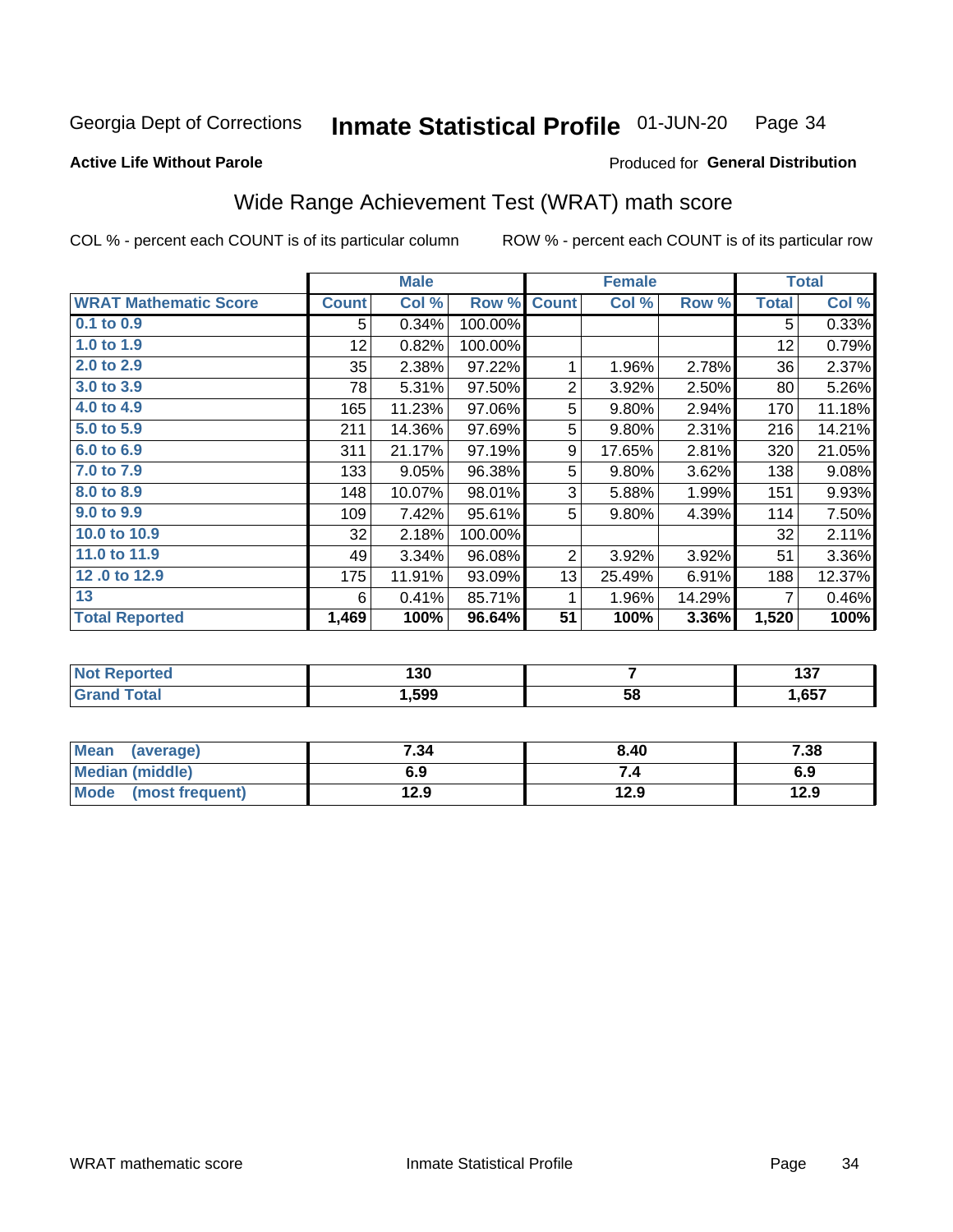#### Inmate Statistical Profile 01-JUN-20 Page 34

#### **Active Life Without Parole**

### **Produced for General Distribution**

# Wide Range Achievement Test (WRAT) math score

COL % - percent each COUNT is of its particular column

|                              |              | <b>Male</b> |         |                | <b>Female</b> |        |              | <b>Total</b> |
|------------------------------|--------------|-------------|---------|----------------|---------------|--------|--------------|--------------|
| <b>WRAT Mathematic Score</b> | <b>Count</b> | Col %       | Row %   | <b>Count</b>   | Col %         | Row %  | <b>Total</b> | Col %        |
| 0.1 to 0.9                   | 5            | 0.34%       | 100.00% |                |               |        | 5            | 0.33%        |
| 1.0 to 1.9                   | 12           | 0.82%       | 100.00% |                |               |        | 12           | 0.79%        |
| 2.0 to 2.9                   | 35           | 2.38%       | 97.22%  | 1              | 1.96%         | 2.78%  | 36           | 2.37%        |
| 3.0 to 3.9                   | 78           | 5.31%       | 97.50%  | $\overline{2}$ | 3.92%         | 2.50%  | 80           | 5.26%        |
| 4.0 to 4.9                   | 165          | 11.23%      | 97.06%  | 5              | 9.80%         | 2.94%  | 170          | 11.18%       |
| 5.0 to 5.9                   | 211          | 14.36%      | 97.69%  | 5              | 9.80%         | 2.31%  | 216          | 14.21%       |
| 6.0 to 6.9                   | 311          | 21.17%      | 97.19%  | 9              | 17.65%        | 2.81%  | 320          | 21.05%       |
| 7.0 to 7.9                   | 133          | 9.05%       | 96.38%  | 5              | 9.80%         | 3.62%  | 138          | 9.08%        |
| 8.0 to 8.9                   | 148          | 10.07%      | 98.01%  | 3              | 5.88%         | 1.99%  | 151          | 9.93%        |
| 9.0 to 9.9                   | 109          | 7.42%       | 95.61%  | 5              | 9.80%         | 4.39%  | 114          | 7.50%        |
| 10.0 to 10.9                 | 32           | 2.18%       | 100.00% |                |               |        | 32           | 2.11%        |
| 11.0 to 11.9                 | 49           | 3.34%       | 96.08%  | 2              | 3.92%         | 3.92%  | 51           | 3.36%        |
| 12.0 to 12.9                 | 175          | 11.91%      | 93.09%  | 13             | 25.49%        | 6.91%  | 188          | 12.37%       |
| 13                           | 6            | 0.41%       | 85.71%  | 1              | 1.96%         | 14.29% | 7            | 0.46%        |
| <b>Total Reported</b>        | 1,469        | 100%        | 96.64%  | 51             | 100%          | 3.36%  | 1,520        | 100%         |

| <b>NOT</b><br>Reported | 130  |    | כ מ<br>1 J I          |
|------------------------|------|----|-----------------------|
| 'otal                  | ,599 | 58 | <b>CET</b><br>ו כס. ו |

| Mean<br>(average)    | 7.34 | 8.40 | 7.38 |
|----------------------|------|------|------|
| Median (middle)      | 6.9  | 7.4  | 6.9  |
| Mode (most frequent) | 12.9 | 12.9 | 12.9 |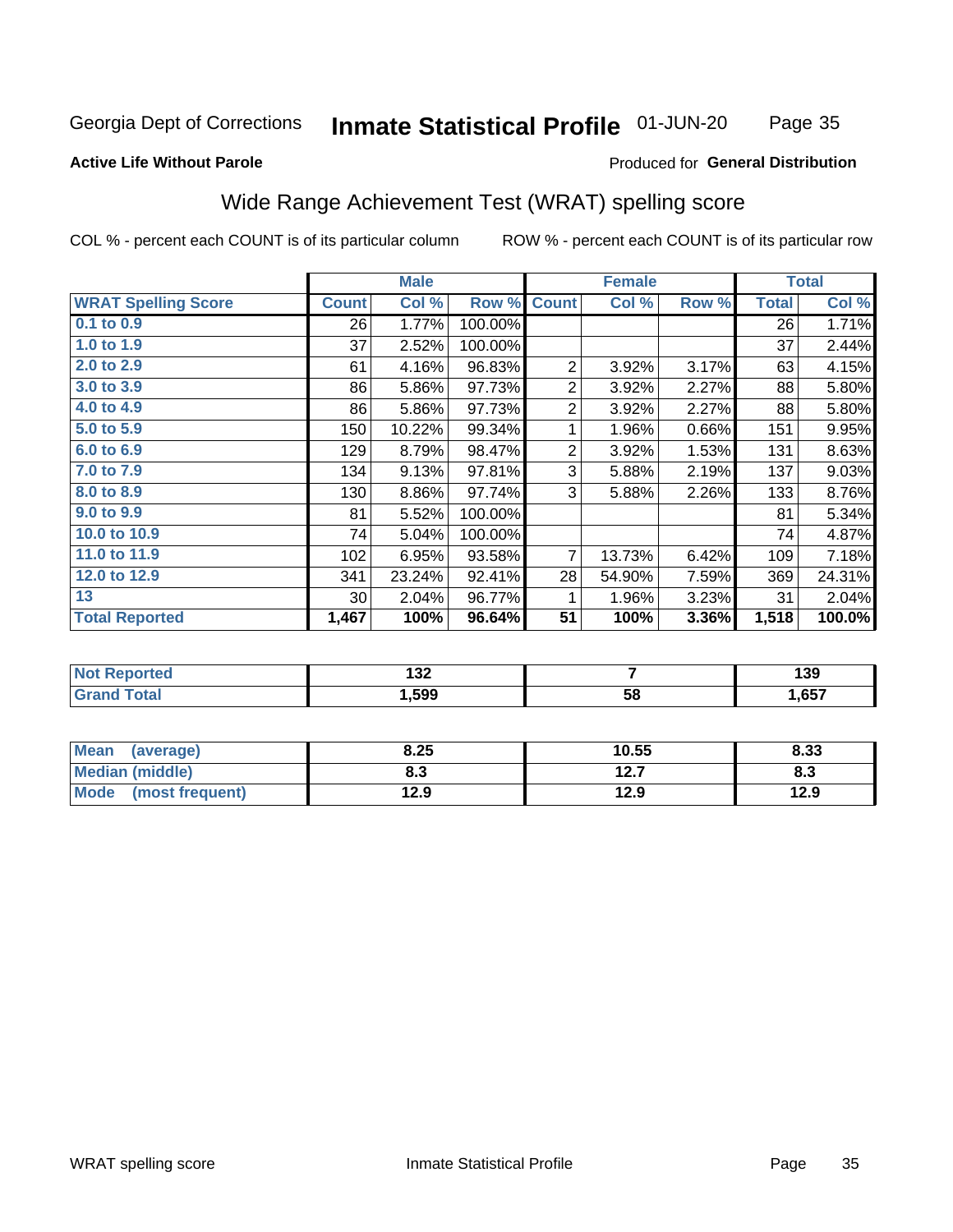#### Inmate Statistical Profile 01-JUN-20 Page 35

#### **Active Life Without Parole**

### **Produced for General Distribution**

# Wide Range Achievement Test (WRAT) spelling score

COL % - percent each COUNT is of its particular column

ROW % - percent each COUNT is of its particular row

 $\overline{58}$ 

|                            |                 | <b>Male</b> |         | <b>Female</b>   |        |       | <b>Total</b> |        |
|----------------------------|-----------------|-------------|---------|-----------------|--------|-------|--------------|--------|
| <b>WRAT Spelling Score</b> | <b>Count</b>    | Col %       | Row %   | <b>Count</b>    | Col %  | Row % | <b>Total</b> | Col %  |
| 0.1 to 0.9                 | 26              | 1.77%       | 100.00% |                 |        |       | 26           | 1.71%  |
| 1.0 to 1.9                 | 37              | 2.52%       | 100.00% |                 |        |       | 37           | 2.44%  |
| 2.0 to 2.9                 | 61              | 4.16%       | 96.83%  | $\overline{2}$  | 3.92%  | 3.17% | 63           | 4.15%  |
| 3.0 to 3.9                 | 86              | 5.86%       | 97.73%  | $\overline{2}$  | 3.92%  | 2.27% | 88           | 5.80%  |
| 4.0 to 4.9                 | 86              | 5.86%       | 97.73%  | $\mathbf 2$     | 3.92%  | 2.27% | 88           | 5.80%  |
| 5.0 to 5.9                 | 150             | 10.22%      | 99.34%  | 1               | 1.96%  | 0.66% | 151          | 9.95%  |
| 6.0 to 6.9                 | 129             | 8.79%       | 98.47%  | $\overline{2}$  | 3.92%  | 1.53% | 131          | 8.63%  |
| 7.0 to 7.9                 | 134             | 9.13%       | 97.81%  | 3               | 5.88%  | 2.19% | 137          | 9.03%  |
| 8.0 to 8.9                 | 130             | 8.86%       | 97.74%  | 3               | 5.88%  | 2.26% | 133          | 8.76%  |
| 9.0 to 9.9                 | 81              | 5.52%       | 100.00% |                 |        |       | 81           | 5.34%  |
| 10.0 to 10.9               | 74              | 5.04%       | 100.00% |                 |        |       | 74           | 4.87%  |
| 11.0 to 11.9               | 102             | 6.95%       | 93.58%  | $\overline{7}$  | 13.73% | 6.42% | 109          | 7.18%  |
| 12.0 to 12.9               | 341             | 23.24%      | 92.41%  | 28              | 54.90% | 7.59% | 369          | 24.31% |
| 13                         | 30 <sup>°</sup> | 2.04%       | 96.77%  | 1               | 1.96%  | 3.23% | 31           | 2.04%  |
| <b>Total Reported</b>      | 1,467           | 100%        | 96.64%  | $\overline{51}$ | 100%   | 3.36% | 1,518        | 100.0% |
|                            |                 |             |         |                 |        |       |              |        |
| <b>Not Reported</b>        |                 | 132         |         |                 | 7      |       |              | 139    |

| <b>Mean</b><br>(average)       | 8.25 | 10.55        | 8.33 |
|--------------------------------|------|--------------|------|
| Median (middle)                | o. J | 127<br>I 4.I | ი.ა  |
| <b>Mode</b><br>(most frequent) | 12.9 | 12.9         | 12.9 |

1,599

**Grand Total** 

 $1,657$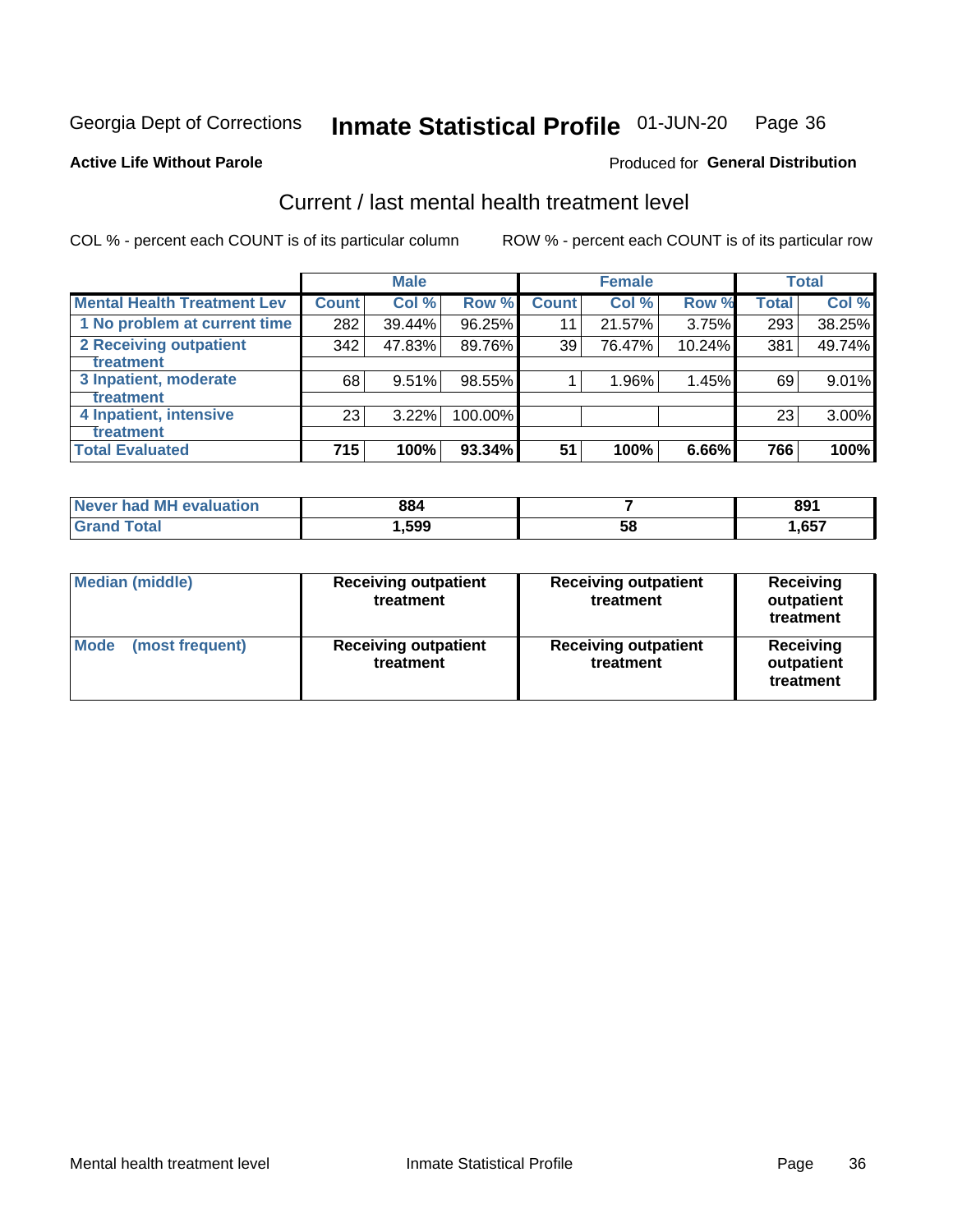#### Inmate Statistical Profile 01-JUN-20 Page 36

#### **Active Life Without Parole**

# Produced for General Distribution

# Current / last mental health treatment level

COL % - percent each COUNT is of its particular column

|                                    |              | <b>Male</b> |         |              | <b>Female</b> |        |              | <b>Total</b> |
|------------------------------------|--------------|-------------|---------|--------------|---------------|--------|--------------|--------------|
| <b>Mental Health Treatment Lev</b> | <b>Count</b> | Col %       | Row %   | <b>Count</b> | Col %         | Row %  | <b>Total</b> | Col %        |
| 1 No problem at current time       | 282          | 39.44%      | 96.25%  | 11           | 21.57%        | 3.75%  | 293          | 38.25%       |
| 2 Receiving outpatient             | 342          | 47.83%      | 89.76%  | 39           | 76.47%        | 10.24% | 381          | 49.74%       |
| <b>Treatment</b>                   |              |             |         |              |               |        |              |              |
| 3 Inpatient, moderate              | 68           | 9.51%       | 98.55%  |              | 1.96%         | 1.45%  | 69           | 9.01%        |
| <b>Treatment</b>                   |              |             |         |              |               |        |              |              |
| 4 Inpatient, intensive             | 23           | 3.22%       | 100.00% |              |               |        | 23           | 3.00%        |
| Treatment                          |              |             |         |              |               |        |              |              |
| <b>Total Evaluated</b>             | 715          | 100%        | 93.34%  | 51           | 100%          | 6.66%  | 766          | 100%         |

| Never had MH evaluation | 884   |    | ∘۵۵<br>ОJ |
|-------------------------|-------|----|-----------|
| Total                   | .,599 | 58 | ,657      |

| <b>Median (middle)</b>         | <b>Receiving outpatient</b><br>treatment | <b>Receiving outpatient</b><br>treatment | <b>Receiving</b><br>outpatient<br>treatment |  |
|--------------------------------|------------------------------------------|------------------------------------------|---------------------------------------------|--|
| <b>Mode</b><br>(most frequent) | <b>Receiving outpatient</b><br>treatment | <b>Receiving outpatient</b><br>treatment | <b>Receiving</b><br>outpatient<br>treatment |  |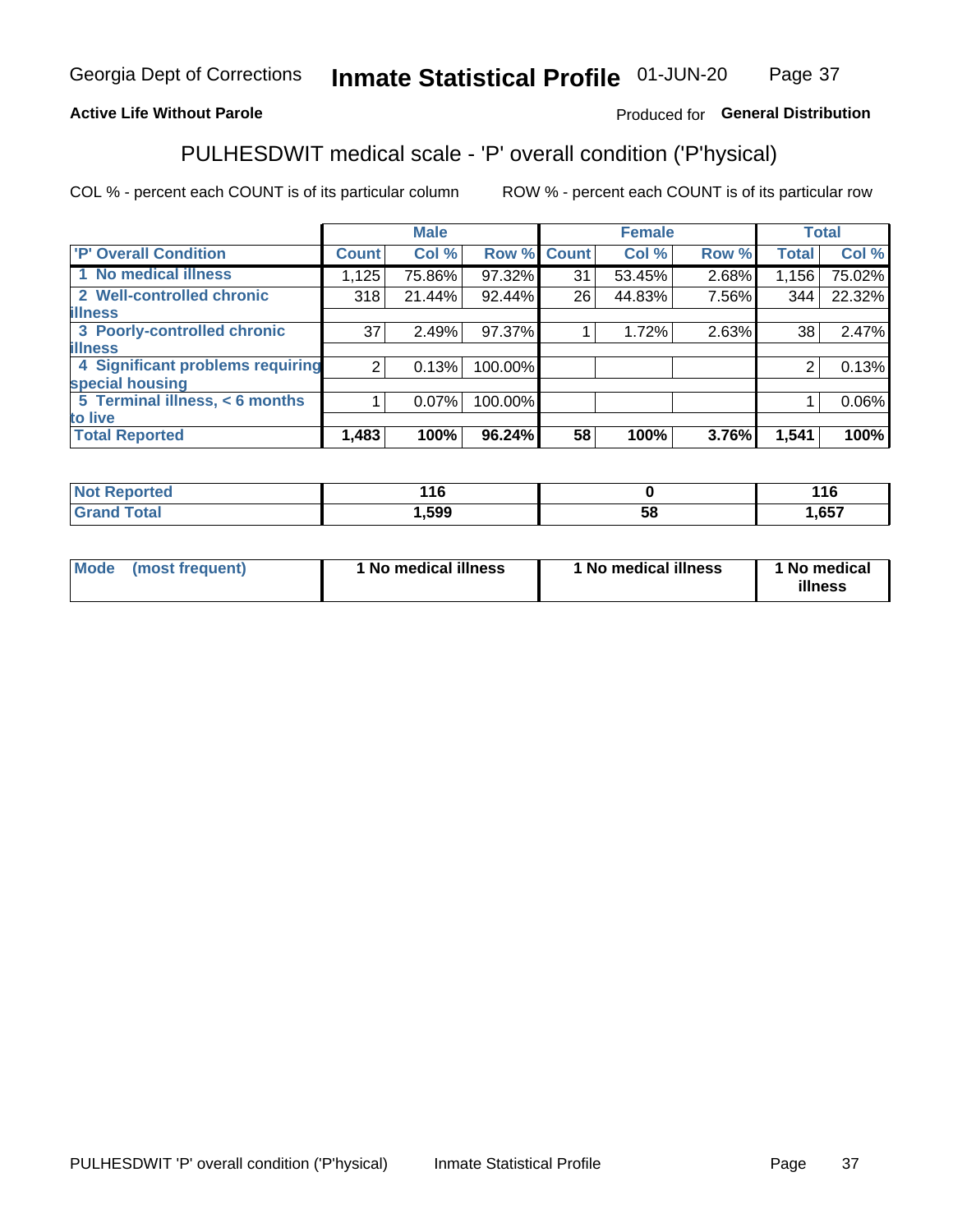#### **Inmate Statistical Profile 01-JUN-20** Page 37

### **Active Life Without Parole**

### Produced for General Distribution

# PULHESDWIT medical scale - 'P' overall condition ('P'hysical)

COL % - percent each COUNT is of its particular column

|                                  |                 | <b>Male</b> |             |    | <b>Female</b> |       |              | <b>Total</b> |
|----------------------------------|-----------------|-------------|-------------|----|---------------|-------|--------------|--------------|
| 'P' Overall Condition            | <b>Count</b>    | Col %       | Row % Count |    | Col %         | Row % | <b>Total</b> | Col %        |
| 1 No medical illness             | 1,125           | 75.86%      | 97.32%      | 31 | 53.45%        | 2.68% | 1,156        | 75.02%       |
| 2 Well-controlled chronic        | 318             | $21.44\%$   | 92.44%      | 26 | 44.83%        | 7.56% | 344          | 22.32%       |
| <b>lillness</b>                  |                 |             |             |    |               |       |              |              |
| 3 Poorly-controlled chronic      | 37 <sup>1</sup> | 2.49%       | 97.37%      |    | 1.72%         | 2.63% | 38           | 2.47%        |
| <b>illness</b>                   |                 |             |             |    |               |       |              |              |
| 4 Significant problems requiring | 2 <sub>1</sub>  | 0.13%       | 100.00%     |    |               |       | 2            | 0.13%        |
| special housing                  |                 |             |             |    |               |       |              |              |
| 5 Terminal illness, < 6 months   |                 | 0.07%       | 100.00%     |    |               |       |              | 0.06%        |
| to live                          |                 |             |             |    |               |       |              |              |
| <b>Total Reported</b>            | 1,483           | 100%        | 96.24%      | 58 | 100%          | 3.76% | 1,541        | 100%         |

| rtea<br>⋯          | 116    |    | 44 C<br>1 V |
|--------------------|--------|----|-------------|
| $\sim$ 40<br>_____ | 599, ا | Эč | ,657        |

|  |  | Mode (most frequent) | 1 No medical illness | 1 No medical illness | 1 No medical<br>illness |
|--|--|----------------------|----------------------|----------------------|-------------------------|
|--|--|----------------------|----------------------|----------------------|-------------------------|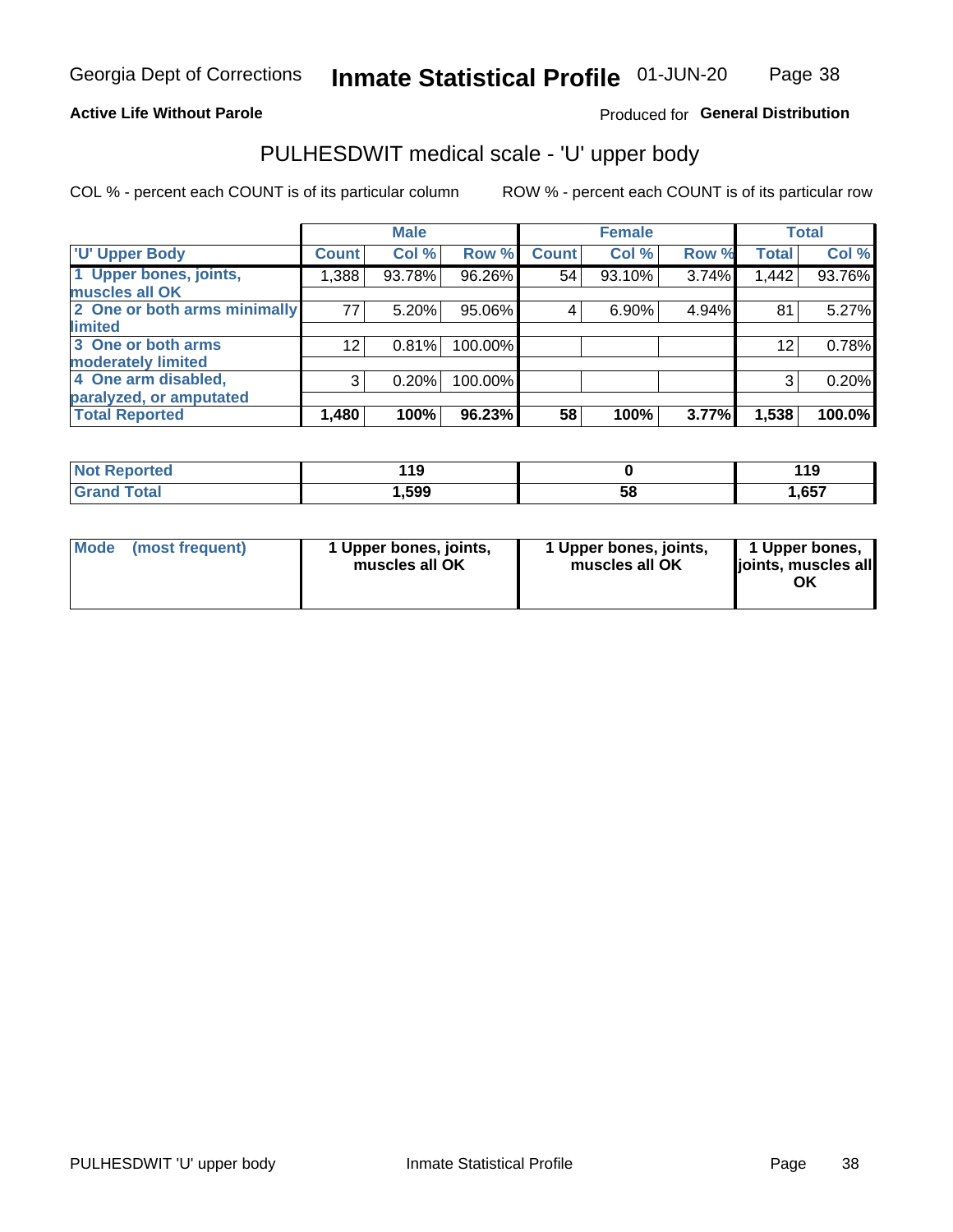### **Active Life Without Parole**

### Produced for General Distribution

# PULHESDWIT medical scale - 'U' upper body

COL % - percent each COUNT is of its particular column

|                              |                 | <b>Male</b> |         |              | <b>Female</b> |       |              | <b>Total</b> |
|------------------------------|-----------------|-------------|---------|--------------|---------------|-------|--------------|--------------|
| <b>'U' Upper Body</b>        | <b>Count</b>    | Col %       | Row %   | <b>Count</b> | Col %         | Row % | <b>Total</b> | Col %        |
| 1 Upper bones, joints,       | 1,388           | 93.78%      | 96.26%  | 54           | 93.10%        | 3.74% | 1,442        | 93.76%       |
| muscles all OK               |                 |             |         |              |               |       |              |              |
| 2 One or both arms minimally | 77              | 5.20%       | 95.06%  | 4            | 6.90%         | 4.94% | 81           | 5.27%        |
| <b>limited</b>               |                 |             |         |              |               |       |              |              |
| 3 One or both arms           | 12 <sub>1</sub> | 0.81%       | 100.00% |              |               |       | 12           | 0.78%        |
| <b>moderately limited</b>    |                 |             |         |              |               |       |              |              |
| 4 One arm disabled,          | 3               | 0.20%       | 100.00% |              |               |       | 3            | 0.20%        |
| paralyzed, or amputated      |                 |             |         |              |               |       |              |              |
| <b>Total Reported</b>        | 1,480           | 100%        | 96.23%  | 58           | 100%          | 3.77% | 1,538        | 100.0%       |

| <b>Not Reported</b> | 140<br>- 1 J |    | 11 Q<br>. |
|---------------------|--------------|----|-----------|
| <b>Total</b>        | ,599         | 58 | ,657      |

| Mode | (most frequent) | 1 Upper bones, joints,<br>muscles all OK | 1 Upper bones, joints,<br>muscles all OK | 1 Upper bones,<br>ljoints, muscles all<br>ΟK |
|------|-----------------|------------------------------------------|------------------------------------------|----------------------------------------------|
|------|-----------------|------------------------------------------|------------------------------------------|----------------------------------------------|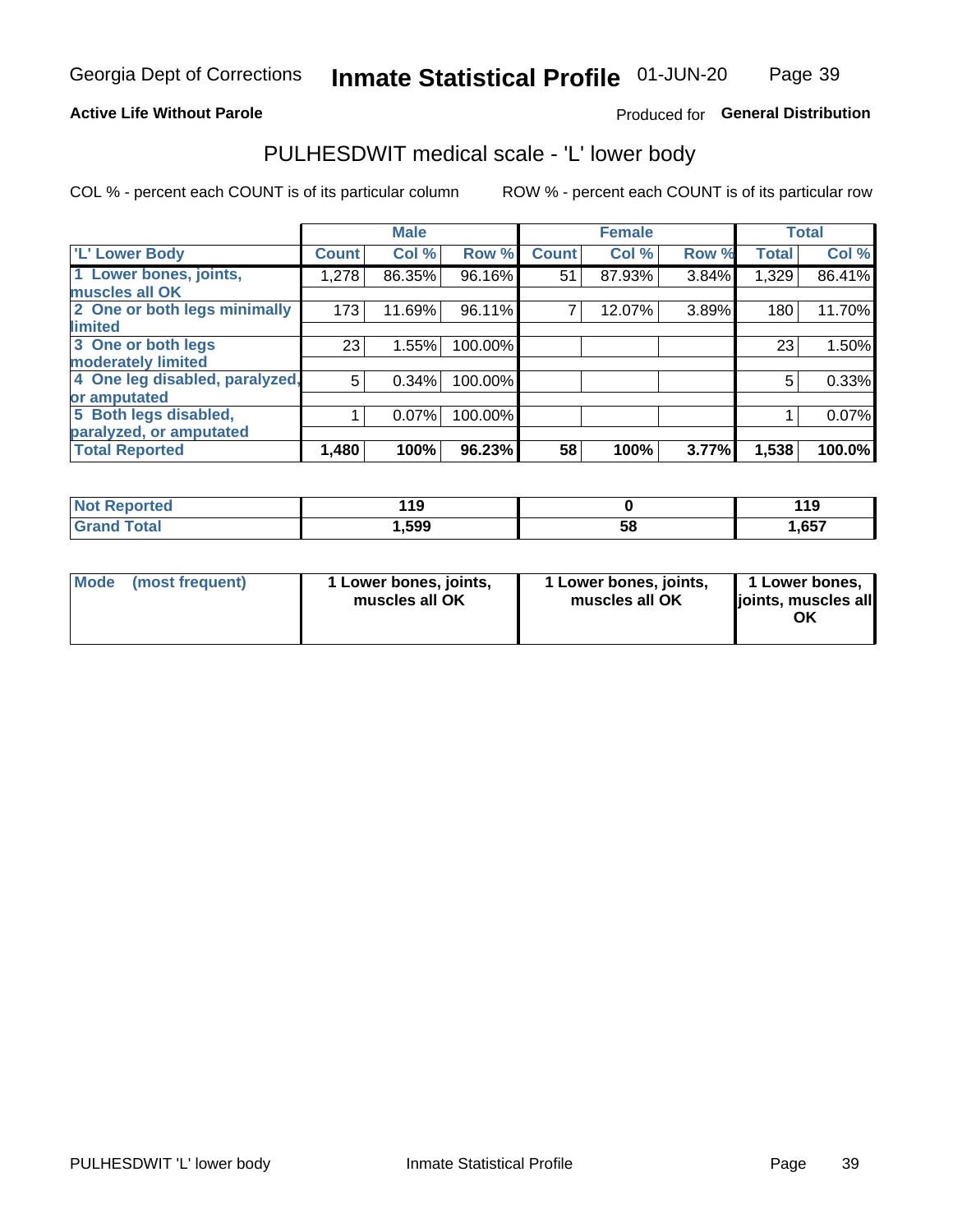### **Active Life Without Parole**

### Produced for General Distribution

# PULHESDWIT medical scale - 'L' lower body

COL % - percent each COUNT is of its particular column

|                                |              | <b>Male</b> |         |              | <b>Female</b> |       |              | <b>Total</b> |
|--------------------------------|--------------|-------------|---------|--------------|---------------|-------|--------------|--------------|
| 'L' Lower Body                 | <b>Count</b> | Col %       | Row %   | <b>Count</b> | Col %         | Row % | <b>Total</b> | Col %        |
| 1 Lower bones, joints,         | 1,278        | 86.35%      | 96.16%  | 51           | 87.93%        | 3.84% | 1,329        | 86.41%       |
| muscles all OK                 |              |             |         |              |               |       |              |              |
| 2 One or both legs minimally   | 173          | 11.69%      | 96.11%  |              | 12.07%        | 3.89% | 180          | 11.70%       |
| limited                        |              |             |         |              |               |       |              |              |
| 3 One or both legs             | 23           | 1.55%       | 100.00% |              |               |       | 23           | 1.50%        |
| moderately limited             |              |             |         |              |               |       |              |              |
| 4 One leg disabled, paralyzed, | 5            | 0.34%       | 100.00% |              |               |       | 5            | 0.33%        |
| or amputated                   |              |             |         |              |               |       |              |              |
| 5 Both legs disabled,          |              | 0.07%       | 100.00% |              |               |       |              | 0.07%        |
| paralyzed, or amputated        |              |             |         |              |               |       |              |              |
| <b>Total Reported</b>          | 1,480        | 100%        | 96.23%  | 58           | 100%          | 3.77% | 1,538        | 100.0%       |

| <b>Not Reported</b> | - 15   |    | 119   |
|---------------------|--------|----|-------|
| <b>Grand Total</b>  | 599, ا | 58 | 657,، |

| Mode (most frequent) | I Lower bones, joints,<br>muscles all OK | 1 Lower bones, joints,<br>muscles all OK | 1 Lower bones,<br>joints, muscles all<br>ΟK |
|----------------------|------------------------------------------|------------------------------------------|---------------------------------------------|
|----------------------|------------------------------------------|------------------------------------------|---------------------------------------------|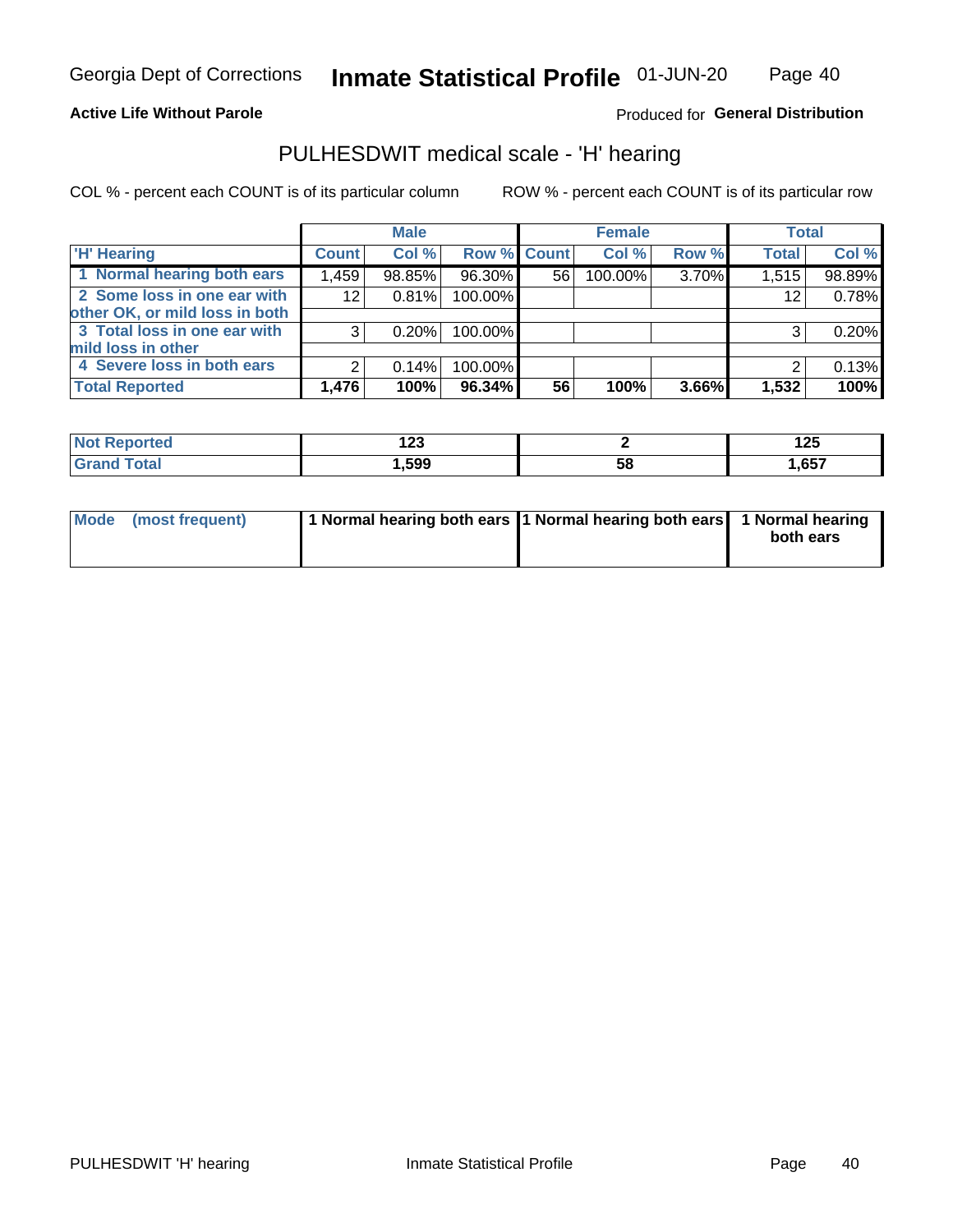Page 40

#### **Active Life Without Parole**

Produced for General Distribution

# PULHESDWIT medical scale - 'H' hearing

COL % - percent each COUNT is of its particular column

|                                |              | <b>Male</b> |                    |    | <b>Female</b> |       | <b>Total</b> |        |
|--------------------------------|--------------|-------------|--------------------|----|---------------|-------|--------------|--------|
| <b>H' Hearing</b>              | <b>Count</b> | Col %       | <b>Row % Count</b> |    | Col %         | Row % | <b>Total</b> | Col %  |
| 1 Normal hearing both ears     | 1,459        | 98.85%      | 96.30%             | 56 | 100.00%       | 3.70% | 1,515        | 98.89% |
| 2 Some loss in one ear with    | 12           | 0.81%       | 100.00%            |    |               |       | 12           | 0.78%  |
| other OK, or mild loss in both |              |             |                    |    |               |       |              |        |
| 3 Total loss in one ear with   | 3            | 0.20%       | 100.00%            |    |               |       | 3            | 0.20%  |
| mild loss in other             |              |             |                    |    |               |       |              |        |
| 4 Severe loss in both ears     | 2            | 0.14%       | 100.00%            |    |               |       | ⌒            | 0.13%  |
| <b>Total Reported</b>          | 1,476        | 100%        | 96.34%             | 56 | 100%          | 3.66% | 1,532        | 100%   |

| N     | .    |            | l つ E |
|-------|------|------------|-------|
| reo   | 14J  |            | 12J   |
| _____ | ,599 | - 62<br>ວັ | ,657  |

| Mode (most frequent) | 1 Normal hearing both ears 1 Normal hearing both ears 1 Normal hearing | both ears |
|----------------------|------------------------------------------------------------------------|-----------|
|                      |                                                                        |           |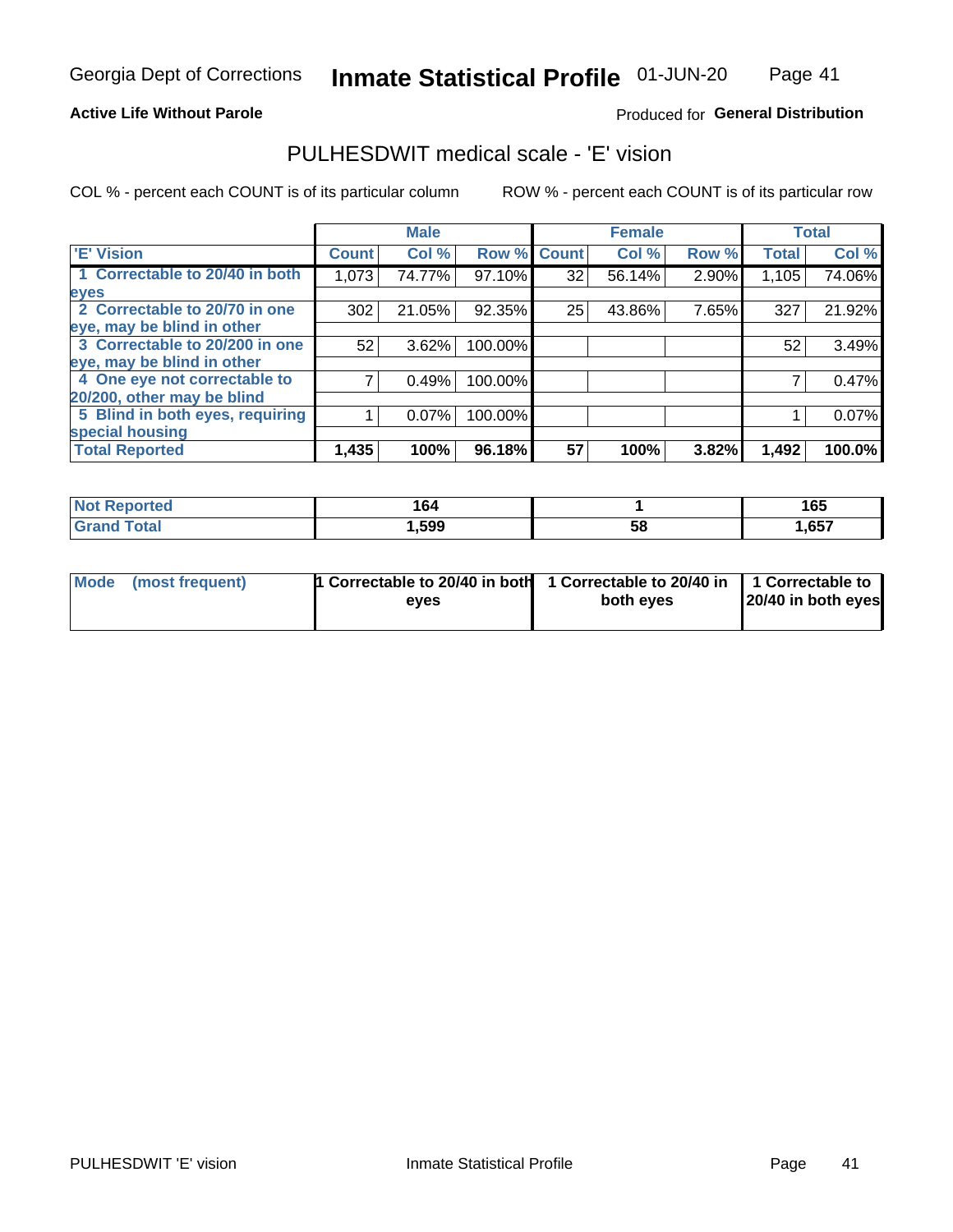**Active Life Without Parole** 

### Produced for General Distribution

# PULHESDWIT medical scale - 'E' vision

COL % - percent each COUNT is of its particular column

|                                 |              | <b>Male</b> |         |             | <b>Female</b> |       |              | <b>Total</b> |
|---------------------------------|--------------|-------------|---------|-------------|---------------|-------|--------------|--------------|
| <b>E' Vision</b>                | <b>Count</b> | Col %       |         | Row % Count | Col %         | Row % | <b>Total</b> | Col %        |
| 1 Correctable to 20/40 in both  | 1,073        | 74.77%      | 97.10%  | 32          | 56.14%        | 2.90% | 1,105        | 74.06%       |
| eyes                            |              |             |         |             |               |       |              |              |
| 2 Correctable to 20/70 in one   | 302          | 21.05%      | 92.35%  | 25          | 43.86%        | 7.65% | 327          | 21.92%       |
| eye, may be blind in other      |              |             |         |             |               |       |              |              |
| 3 Correctable to 20/200 in one  | 52           | 3.62%       | 100.00% |             |               |       | 52           | 3.49%        |
| eye, may be blind in other      |              |             |         |             |               |       |              |              |
| 4 One eye not correctable to    |              | 0.49%       | 100.00% |             |               |       |              | 0.47%        |
| 20/200, other may be blind      |              |             |         |             |               |       |              |              |
| 5 Blind in both eyes, requiring |              | 0.07%       | 100.00% |             |               |       |              | 0.07%        |
| special housing                 |              |             |         |             |               |       |              |              |
| <b>Total Reported</b>           | 1,435        | 100%        | 96.18%  | 57          | 100%          | 3.82% | 1,492        | 100.0%       |

| orted        | 164<br>____ |    | 165   |
|--------------|-------------|----|-------|
| <b>Total</b> | ,599        | 58 | .,657 |

| Mode (most frequent) | 1 Correctable to 20/40 in both<br>eves | 1 Correctable to 20/40 in   1 Correctable to  <br>both eves | 20/40 in both eyes |
|----------------------|----------------------------------------|-------------------------------------------------------------|--------------------|
|                      |                                        |                                                             |                    |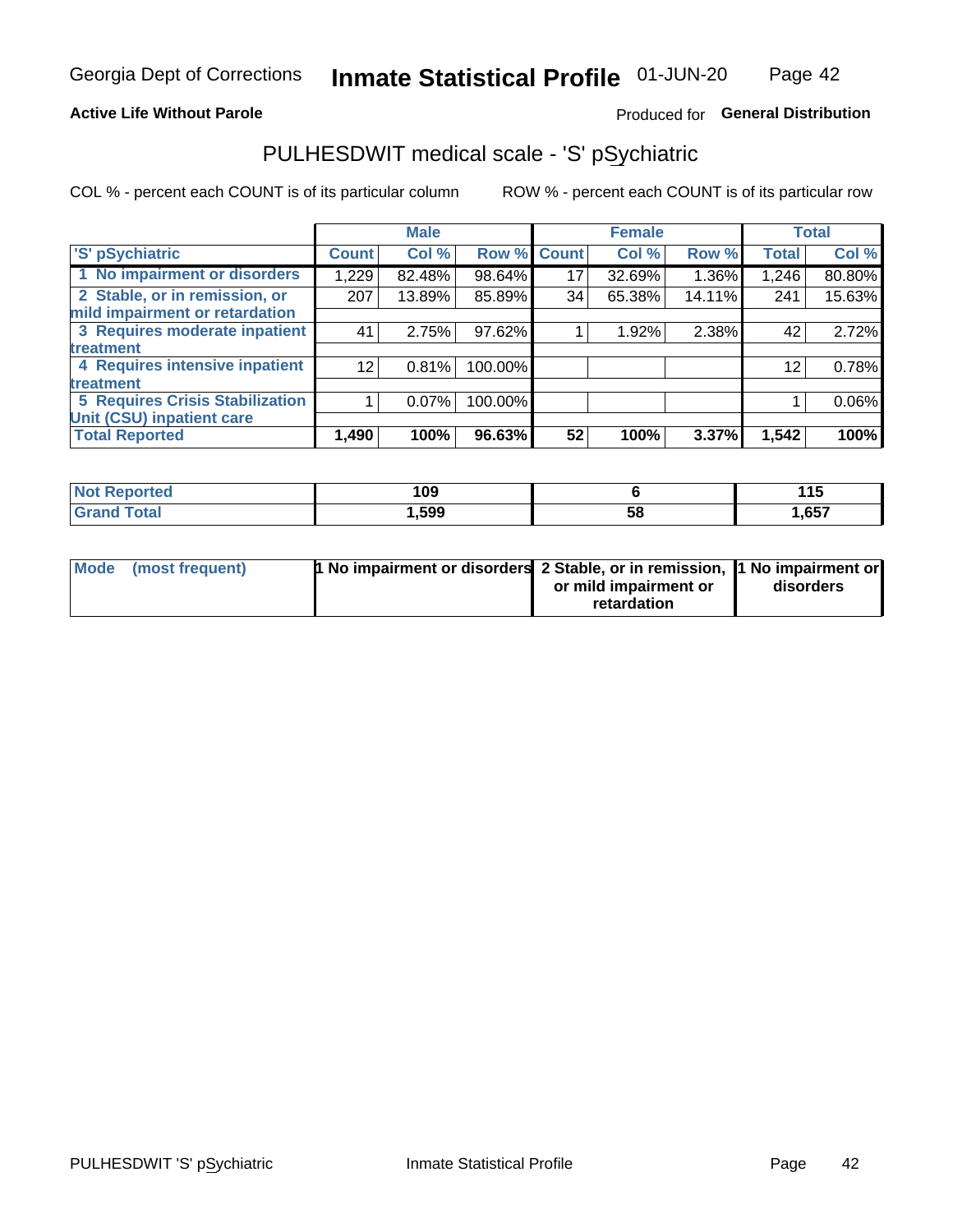### **Active Life Without Parole**

### Produced for General Distribution

# PULHESDWIT medical scale - 'S' pSychiatric

COL % - percent each COUNT is of its particular column

|                                        |              | <b>Male</b> |         |             | <b>Female</b> |        |              | <b>Total</b> |
|----------------------------------------|--------------|-------------|---------|-------------|---------------|--------|--------------|--------------|
| 'S' pSychiatric                        | <b>Count</b> | Col %       |         | Row % Count | Col %         | Row %  | <b>Total</b> | Col %        |
| 1 No impairment or disorders           | 1,229        | 82.48%      | 98.64%  | 17          | 32.69%        | 1.36%  | 1,246        | 80.80%       |
| 2 Stable, or in remission, or          | 207          | 13.89%      | 85.89%  | 34          | 65.38%        | 14.11% | 241          | 15.63%       |
| mild impairment or retardation         |              |             |         |             |               |        |              |              |
| 3 Requires moderate inpatient          | 41           | 2.75%       | 97.62%  |             | 1.92%         | 2.38%  | 42           | 2.72%        |
| treatment                              |              |             |         |             |               |        |              |              |
| 4 Requires intensive inpatient         | 12           | 0.81%       | 100.00% |             |               |        | 12           | 0.78%        |
| <b>treatment</b>                       |              |             |         |             |               |        |              |              |
| <b>5 Requires Crisis Stabilization</b> |              | 0.07%       | 100.00% |             |               |        |              | 0.06%        |
| Unit (CSU) inpatient care              |              |             |         |             |               |        |              |              |
| <b>Total Reported</b>                  | 1,490        | 100%        | 96.63%  | 52          | 100%          | 3.37%  | 1,542        | 100%         |

| <b>Enorted</b><br><b>NOT</b><br>Repol | 109    |    | 1 4 C<br>. |
|---------------------------------------|--------|----|------------|
| <b>Total</b>                          | 599, ا | 58 | 1,657      |

| Mode (most frequent) | <b>1 No impairment or disorders</b> 2 Stable, or in remission, 11 No impairment or |                       |           |
|----------------------|------------------------------------------------------------------------------------|-----------------------|-----------|
|                      |                                                                                    | or mild impairment or | disorders |
|                      |                                                                                    | retardation           |           |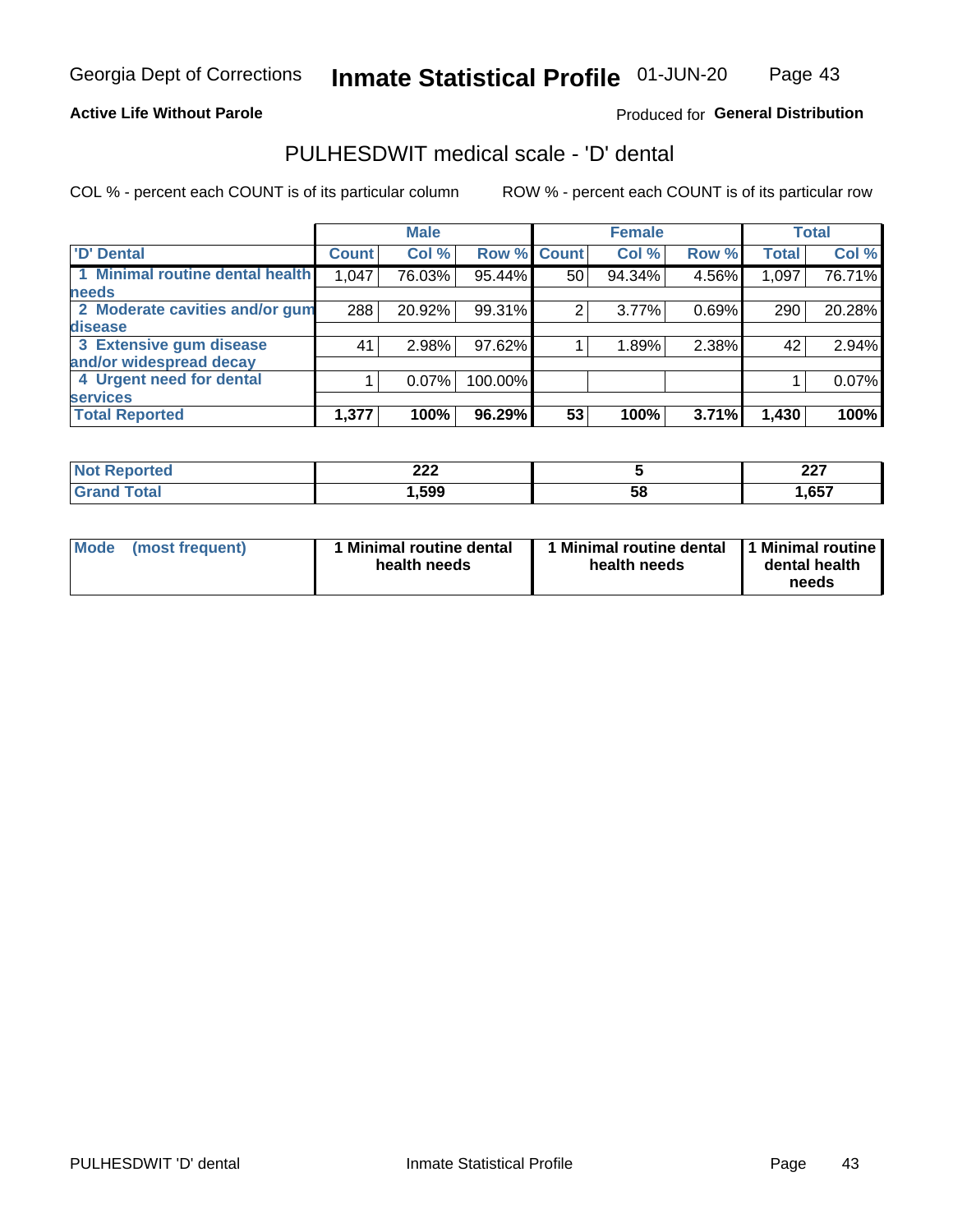### **Active Life Without Parole**

### Produced for General Distribution

# PULHESDWIT medical scale - 'D' dental

COL % - percent each COUNT is of its particular column

|                                 |              | <b>Male</b> |         |              | <b>Female</b> |       |              | <b>Total</b> |
|---------------------------------|--------------|-------------|---------|--------------|---------------|-------|--------------|--------------|
| <b>D'</b> Dental                | <b>Count</b> | Col %       | Row %   | <b>Count</b> | Col %         | Row % | <b>Total</b> | Col %        |
| 1 Minimal routine dental health | 1,047        | 76.03%      | 95.44%  | 50           | 94.34%        | 4.56% | 1,097        | 76.71%       |
| <b>needs</b>                    |              |             |         |              |               |       |              |              |
| 2 Moderate cavities and/or gum  | 288          | 20.92%      | 99.31%  | 2            | 3.77%         | 0.69% | 290          | 20.28%       |
| disease                         |              |             |         |              |               |       |              |              |
| 3 Extensive gum disease         | 41           | 2.98%       | 97.62%  |              | 1.89%         | 2.38% | 42           | 2.94%        |
| and/or widespread decay         |              |             |         |              |               |       |              |              |
| 4 Urgent need for dental        |              | $0.07\%$    | 100.00% |              |               |       |              | 0.07%        |
| <b>services</b>                 |              |             |         |              |               |       |              |              |
| <b>Total Reported</b>           | 1,377        | 100%        | 96.29%  | 53           | 100%          | 3.71% | 1,430        | 100%         |

| ິດດດ<br>LLL |    | כמה<br>22 I  |
|-------------|----|--------------|
| .599        | 58 | 657<br>ו טטו |

| <b>Mode</b> | (most frequent) | <b>Minimal routine dental</b><br>health needs | 1 Minimal routine dental<br>health needs | <b>11 Minimal routine I</b><br>dental health<br>needs |
|-------------|-----------------|-----------------------------------------------|------------------------------------------|-------------------------------------------------------|
|-------------|-----------------|-----------------------------------------------|------------------------------------------|-------------------------------------------------------|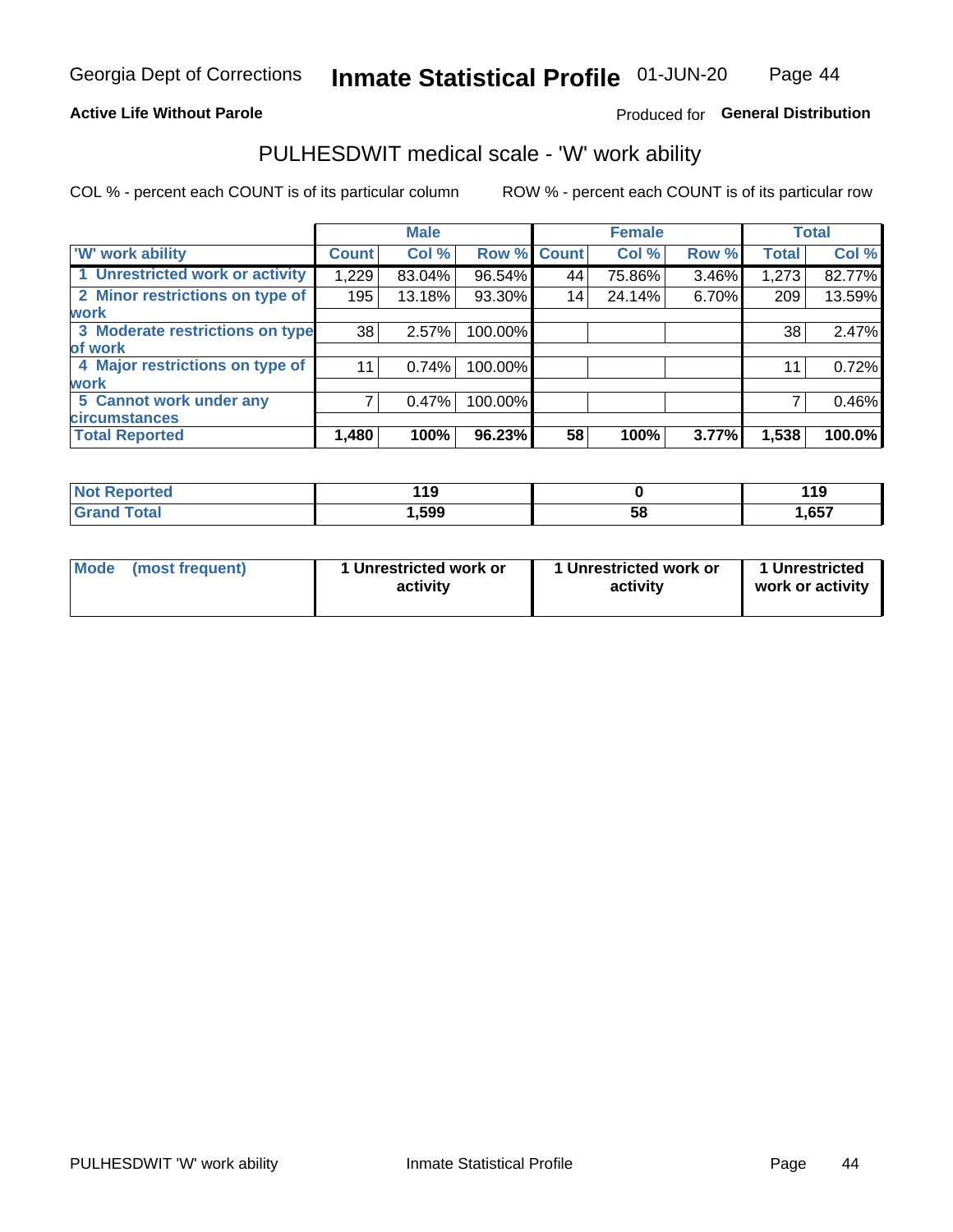### **Active Life Without Parole**

### Produced for General Distribution

# PULHESDWIT medical scale - 'W' work ability

COL % - percent each COUNT is of its particular column

|                                 |              | <b>Male</b> |                    |    | <b>Female</b> |       |              | <b>Total</b> |
|---------------------------------|--------------|-------------|--------------------|----|---------------|-------|--------------|--------------|
| 'W' work ability                | <b>Count</b> | Col %       | <b>Row % Count</b> |    | Col %         | Row % | <b>Total</b> | Col %        |
| 1 Unrestricted work or activity | 1,229        | 83.04%      | 96.54%             | 44 | 75.86%        | 3.46% | 1,273        | 82.77%       |
| 2 Minor restrictions on type of | 195          | 13.18%      | 93.30%             | 14 | 24.14%        | 6.70% | 209          | 13.59%       |
| <b>work</b>                     |              |             |                    |    |               |       |              |              |
| 3 Moderate restrictions on type | 38           | 2.57%       | 100.00%            |    |               |       | 38           | 2.47%        |
| lof work                        |              |             |                    |    |               |       |              |              |
| 4 Major restrictions on type of | 11           | 0.74%       | 100.00%            |    |               |       | 11           | 0.72%        |
| <b>work</b>                     |              |             |                    |    |               |       |              |              |
| 5 Cannot work under any         |              | 0.47%       | 100.00%            |    |               |       |              | 0.46%        |
| <b>circumstances</b>            |              |             |                    |    |               |       |              |              |
| <b>Total Reported</b>           | 1,480        | 100%        | 96.23%             | 58 | 100%          | 3.77% | 1,538        | 100.0%       |

| <b>Not Reported</b>         | 440<br><u> 1 J</u> |   | 110<br><u>. . 9</u> |
|-----------------------------|--------------------|---|---------------------|
| <b>Total</b><br><b>Cron</b> | 599, ا             | ວ | 1,657               |

| Mode (most frequent) | 1 Unrestricted work or | 1 Unrestricted work or | 1 Unrestricted   |
|----------------------|------------------------|------------------------|------------------|
|                      | activity               | activity               | work or activity |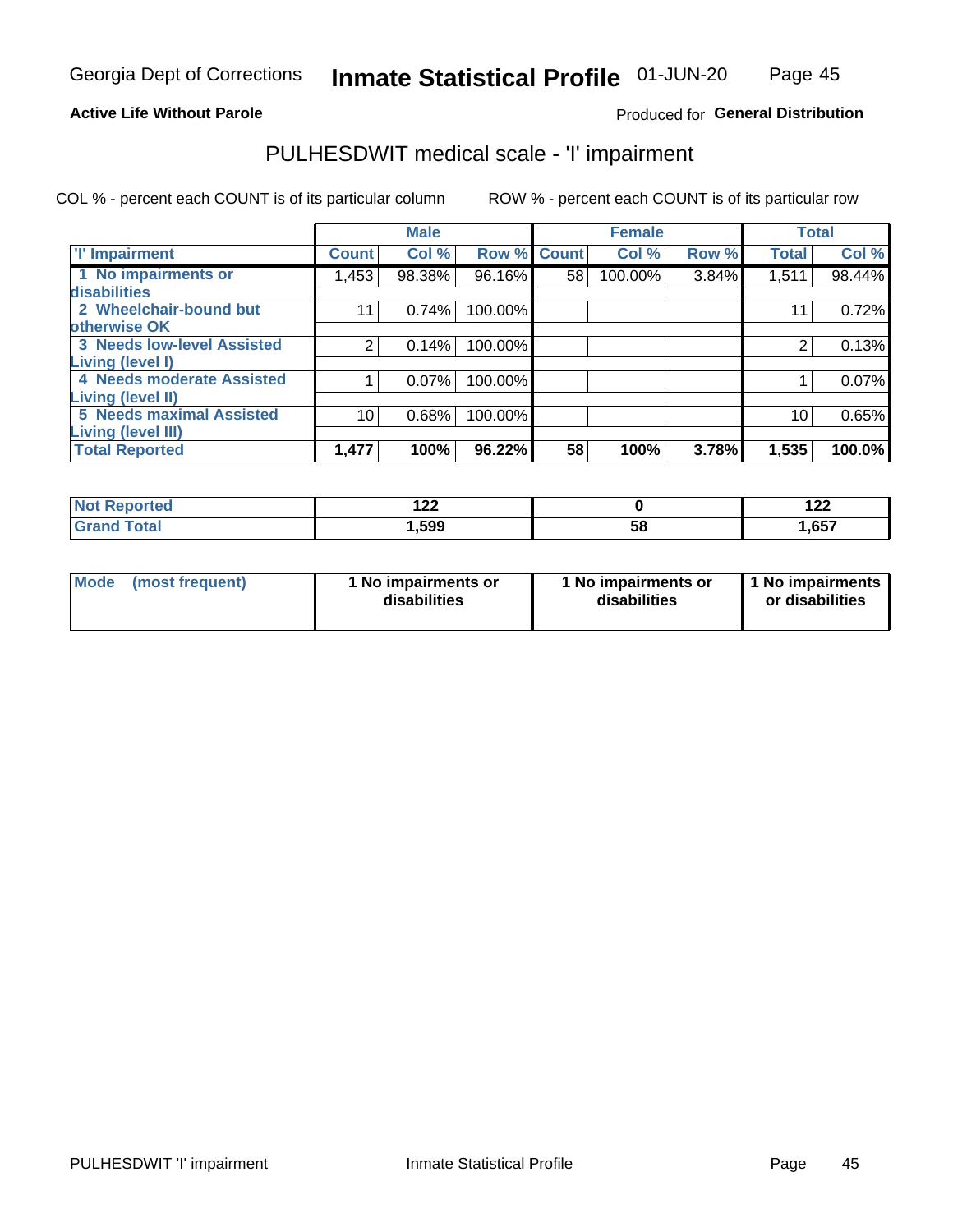### **Active Life Without Parole**

### Produced for General Distribution

# PULHESDWIT medical scale - 'I' impairment

COL % - percent each COUNT is of its particular column ROW % - percent each COUNT is of its particular row

|                                   |              | <b>Male</b> |             |    | <b>Female</b> |       |              | <b>Total</b> |
|-----------------------------------|--------------|-------------|-------------|----|---------------|-------|--------------|--------------|
| <b>T' Impairment</b>              | <b>Count</b> | Col %       | Row % Count |    | Col %         | Row % | <b>Total</b> | Col %        |
| 1 No impairments or               | I,453        | 98.38%      | 96.16%      | 58 | 100.00%       | 3.84% | 1,511        | 98.44%       |
| <b>disabilities</b>               |              |             |             |    |               |       |              |              |
| 2 Wheelchair-bound but            | 11           | 0.74%       | 100.00%     |    |               |       | 11           | 0.72%        |
| otherwise OK                      |              |             |             |    |               |       |              |              |
| <b>3 Needs low-level Assisted</b> | 2            | 0.14%       | 100.00%     |    |               |       | 2            | 0.13%        |
| Living (level I)                  |              |             |             |    |               |       |              |              |
| 4 Needs moderate Assisted         |              | 0.07%       | 100.00%     |    |               |       |              | 0.07%        |
| <b>Living (level II)</b>          |              |             |             |    |               |       |              |              |
| <b>5 Needs maximal Assisted</b>   | 10           | 0.68%       | 100.00%     |    |               |       | 10           | 0.65%        |
| <b>Living (level III)</b>         |              |             |             |    |               |       |              |              |
| <b>Total Reported</b>             | 1,477        | 100%        | 96.22%      | 58 | 100%          | 3.78% | 1,535        | 100.0%       |

|             | . הח<br>175 |    | ィクク<br>175 |
|-------------|-------------|----|------------|
| $C = 4 - 7$ | ,599        | 58 | 1,657      |

| <b>Mode</b> | (most frequent) | <b>No impairments or</b><br>disabilities | 1 No impairments or<br>disabilities | 1 No impairments<br>or disabilities |
|-------------|-----------------|------------------------------------------|-------------------------------------|-------------------------------------|
|-------------|-----------------|------------------------------------------|-------------------------------------|-------------------------------------|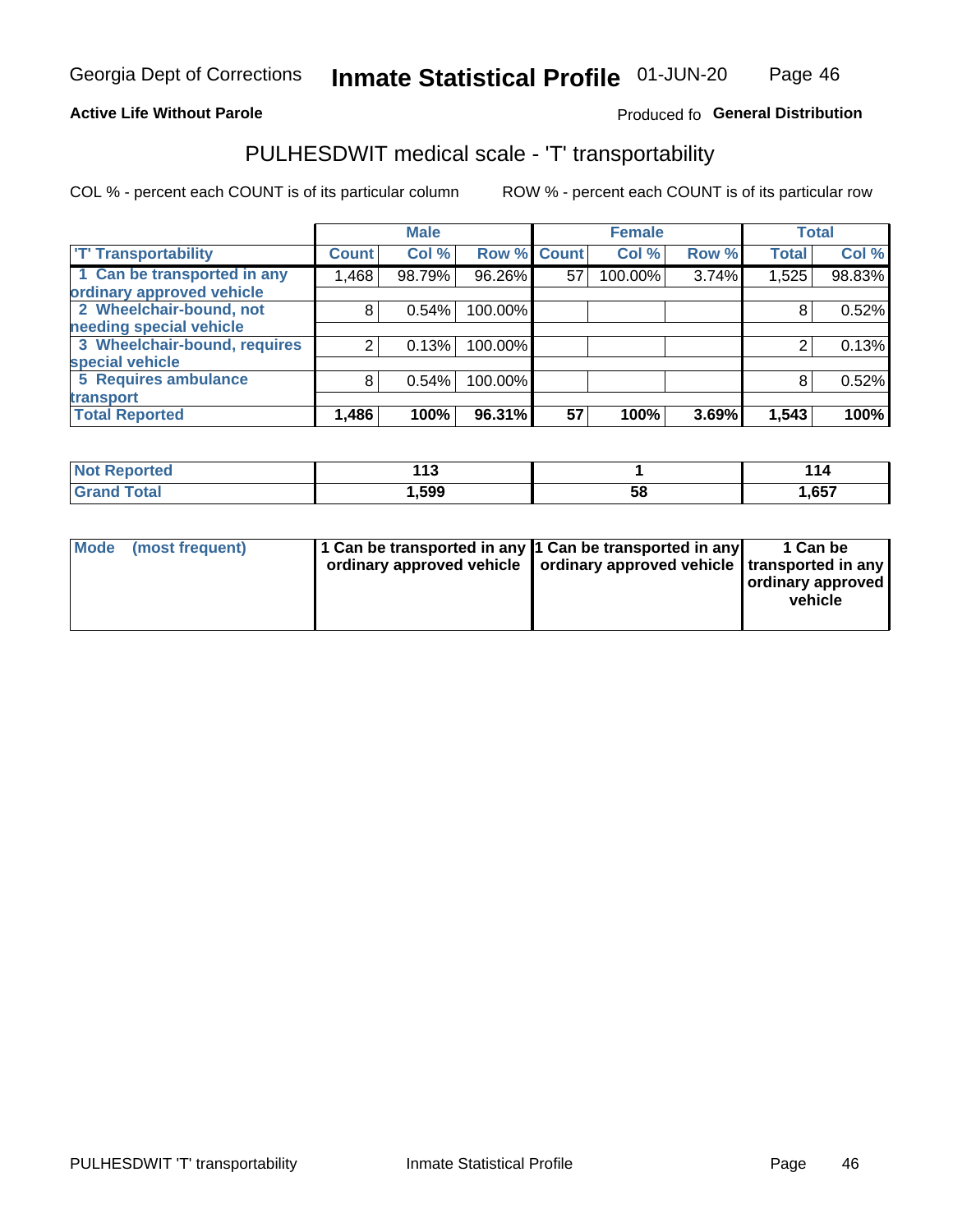### **Active Life Without Parole**

### Produced fo General Distribution

# PULHESDWIT medical scale - 'T' transportability

COL % - percent each COUNT is of its particular column

|                                                          |              | <b>Male</b> |                    |    | <b>Female</b> |       |              | <b>Total</b> |
|----------------------------------------------------------|--------------|-------------|--------------------|----|---------------|-------|--------------|--------------|
| <b>T' Transportability</b>                               | <b>Count</b> | Col %       | <b>Row % Count</b> |    | Col %         | Row % | <b>Total</b> | Col %        |
| 1 Can be transported in any<br>ordinary approved vehicle | .468         | 98.79%      | 96.26%             | 57 | 100.00%       | 3.74% | 1,525        | 98.83%       |
| 2 Wheelchair-bound, not                                  | 8            | 0.54%       | 100.00%            |    |               |       |              | 0.52%        |
| needing special vehicle                                  |              |             |                    |    |               |       |              |              |
| 3 Wheelchair-bound, requires                             |              | 0.13%       | 100.00%            |    |               |       |              | 0.13%        |
| special vehicle                                          |              |             |                    |    |               |       |              |              |
| 5 Requires ambulance                                     | 8            | 0.54%       | 100.00%            |    |               |       |              | 0.52%        |
| transport                                                |              |             |                    |    |               |       |              |              |
| <b>Total Reported</b>                                    | 1,486        | 100%        | 96.31%             | 57 | 100%          | 3.69% | 1,543        | 100%         |

| rted        | 440<br>. . |    | <u> 14</u> |
|-------------|------------|----|------------|
| <b>otal</b> | 599, ا     | Ⴢჾ | 1,657      |

| <b>Mode</b> | (most frequent) | 1 Can be transported in any 1 Can be transported in any | ordinary approved vehicle   ordinary approved vehicle   transported in any | 1 Can be<br>  ordinary approved  <br>vehicle |
|-------------|-----------------|---------------------------------------------------------|----------------------------------------------------------------------------|----------------------------------------------|
|-------------|-----------------|---------------------------------------------------------|----------------------------------------------------------------------------|----------------------------------------------|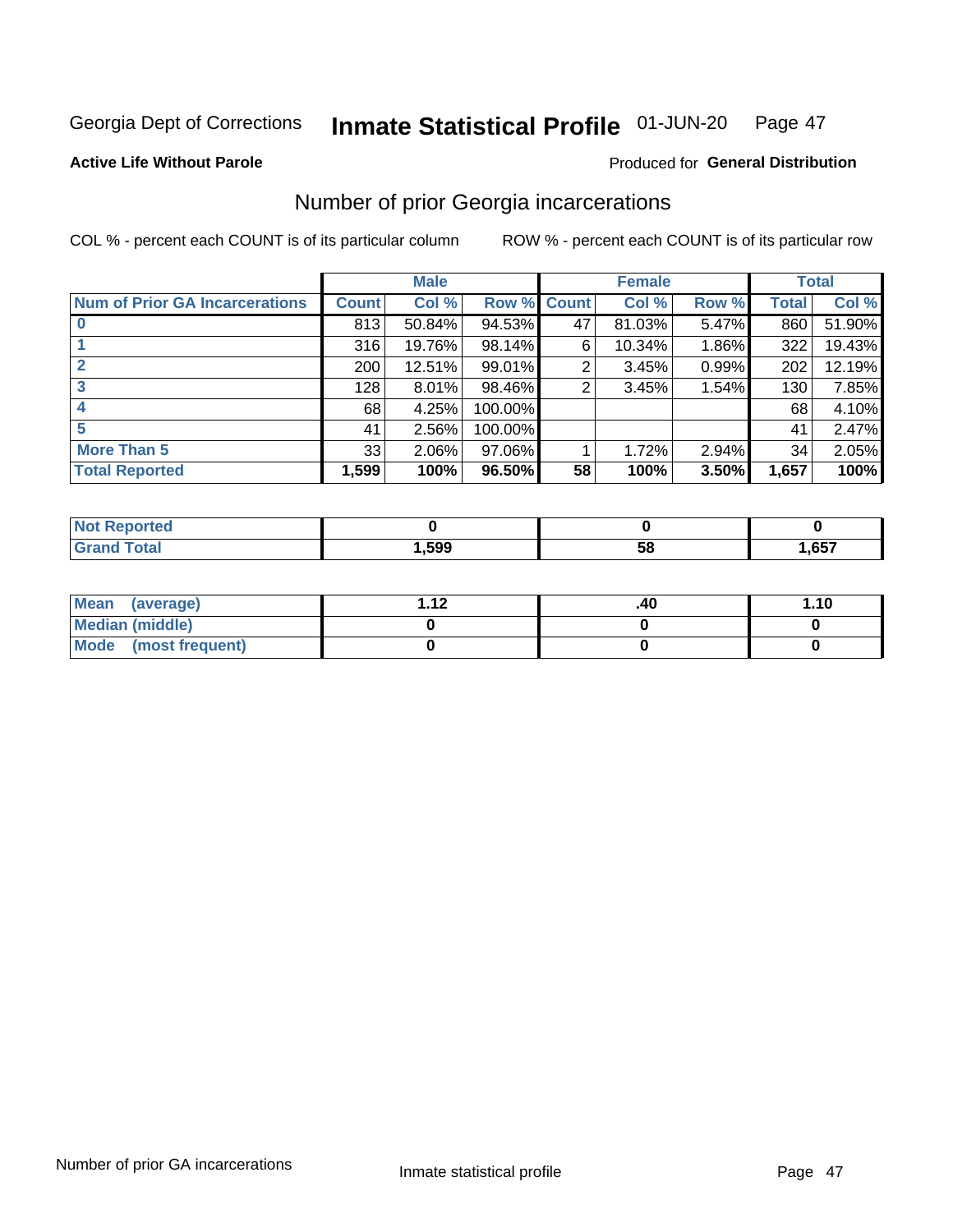#### Inmate Statistical Profile 01-JUN-20 Page 47

**Active Life Without Parole** 

### **Produced for General Distribution**

# Number of prior Georgia incarcerations

COL % - percent each COUNT is of its particular column

|                                       |              | <b>Male</b> |         |              | <b>Female</b> |          |       | <b>Total</b> |
|---------------------------------------|--------------|-------------|---------|--------------|---------------|----------|-------|--------------|
| <b>Num of Prior GA Incarcerations</b> | <b>Count</b> | Col %       | Row %   | <b>Count</b> | Col %         | Row %    | Total | Col %        |
|                                       | 813          | 50.84%      | 94.53%  | 47           | 81.03%        | 5.47%    | 860   | 51.90%       |
|                                       | 316          | 19.76%      | 98.14%  | 6            | 10.34%        | $1.86\%$ | 322   | 19.43%       |
|                                       | 200          | 12.51%      | 99.01%  | 2            | 3.45%         | 0.99%    | 202   | 12.19%       |
| 3                                     | 128          | $8.01\%$    | 98.46%  | 2            | 3.45%         | 1.54%    | 130   | 7.85%        |
|                                       | 68           | 4.25%       | 100.00% |              |               |          | 68    | 4.10%        |
| 5                                     | 41           | 2.56%       | 100.00% |              |               |          | 41    | 2.47%        |
| <b>More Than 5</b>                    | 33           | 2.06%       | 97.06%  |              | 1.72%         | 2.94%    | 34    | 2.05%        |
| <b>Total Reported</b>                 | 1,599        | 100%        | 96.50%  | 58           | 100%          | 3.50%    | 1,657 | 100%         |

| neo |      |    |      |
|-----|------|----|------|
|     | ,599 | ວະ | ,657 |

| Mean (average)         | - 42 | .40 | 1.10 |
|------------------------|------|-----|------|
| <b>Median (middle)</b> |      |     |      |
| Mode (most frequent)   |      |     |      |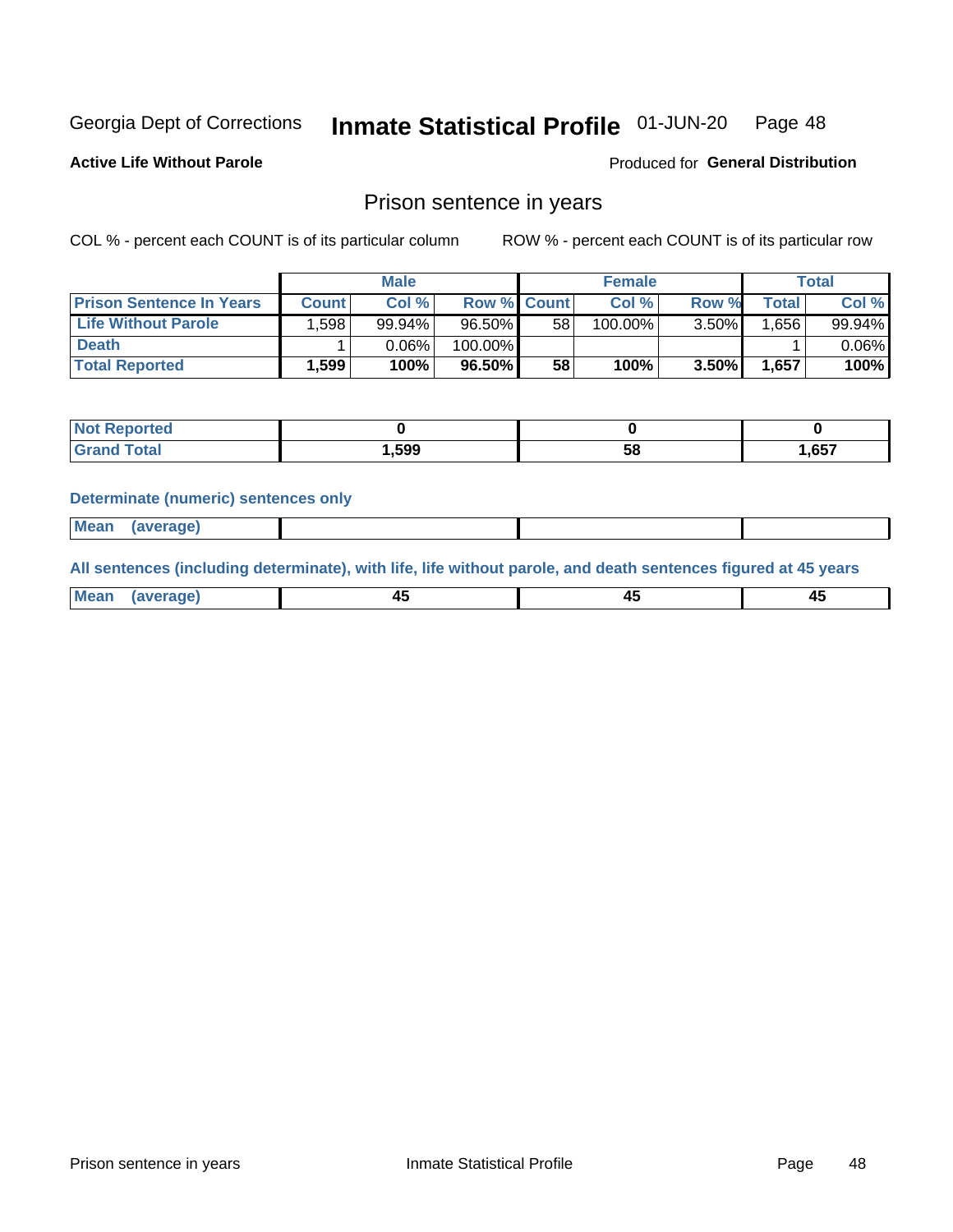#### Inmate Statistical Profile 01-JUN-20 Page 48

**Active Life Without Parole** 

Produced for General Distribution

### Prison sentence in years

COL % - percent each COUNT is of its particular column

ROW % - percent each COUNT is of its particular row

|                                 | <b>Male</b>  |        |                    |    | <b>Female</b> | Total    |       |          |
|---------------------------------|--------------|--------|--------------------|----|---------------|----------|-------|----------|
| <b>Prison Sentence In Years</b> | <b>Count</b> | Col %  | <b>Row % Count</b> |    | Col %         | Row %    | Total | Col %    |
| <b>Life Without Parole</b>      | .598         | 99.94% | $96.50\%$          | 58 | 100.00%       | $3.50\%$ | .656  | 99.94%   |
| <b>Death</b>                    |              | 0.06%  | 100.00%            |    |               |          |       | $0.06\%$ |
| <b>Total Reported</b>           | 599.ا        | 100%   | 96.50%             | 58 | 100%          | $3.50\%$ | 1,657 | 100%     |

| rted  |       |    |      |
|-------|-------|----|------|
| 'otal | 1,599 | эс | .657 |

#### **Determinate (numeric) sentences only**

| 1112211 | <b>Mean</b> | Ane <sup>*</sup> |  |  |
|---------|-------------|------------------|--|--|

All sentences (including determinate), with life, life without parole, and death sentences figured at 45 years

| l Mea<br>'апе<br>.<br> | ᠇<br>$\sim$ | $\sim$ |  |
|------------------------|-------------|--------|--|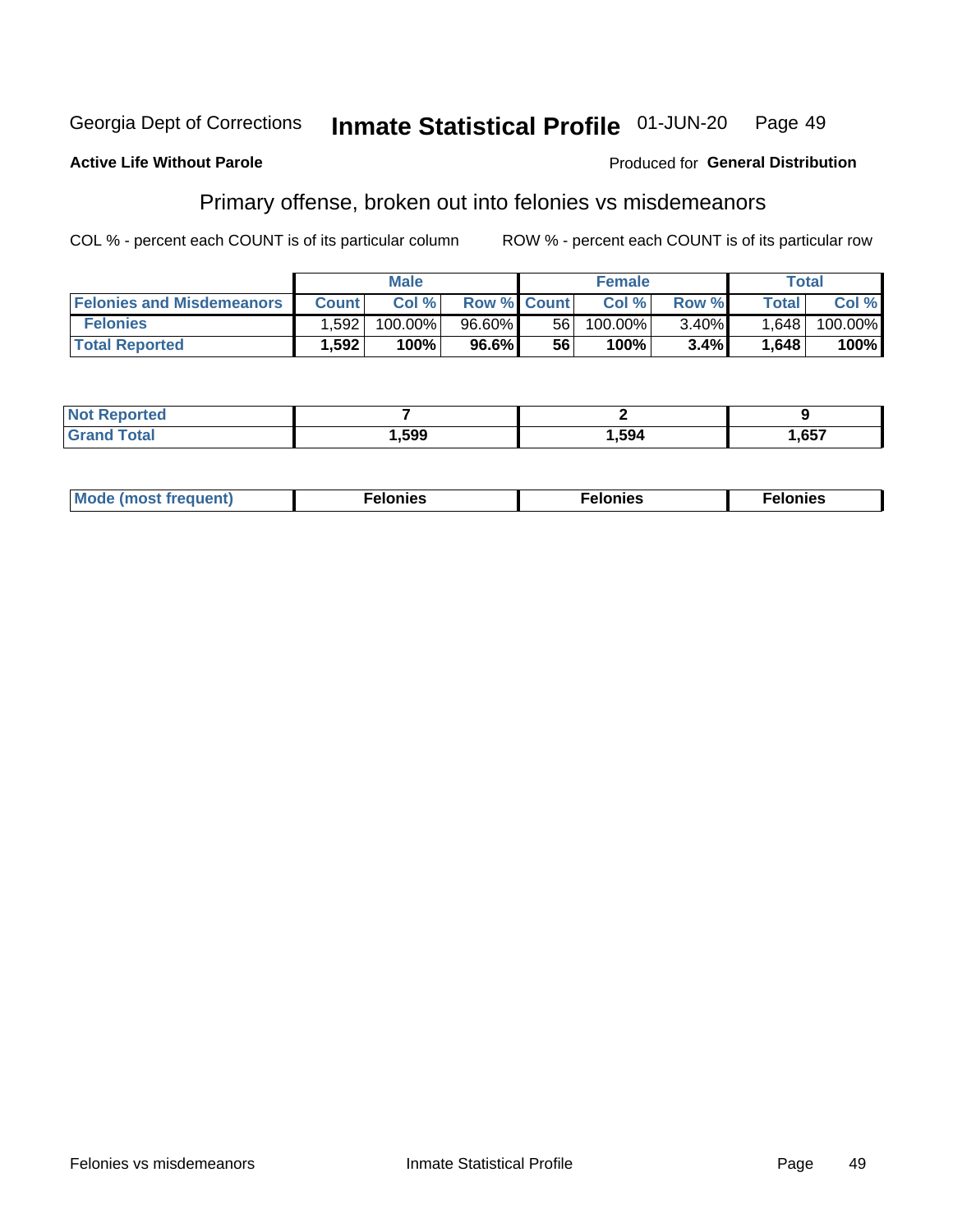#### **Georgia Dept of Corrections** Inmate Statistical Profile 01-JUN-20 Page 49

#### **Active Life Without Parole**

### **Produced for General Distribution**

# Primary offense, broken out into felonies vs misdemeanors

COL % - percent each COUNT is of its particular column

|                                  | <b>Male</b>  |         |                    | <b>Female</b> |         |          | Total        |         |
|----------------------------------|--------------|---------|--------------------|---------------|---------|----------|--------------|---------|
| <b>Felonies and Misdemeanors</b> | <b>Count</b> | Col%    | <b>Row % Count</b> |               | Col%    | Row %    | <b>Total</b> | Col %   |
| <b>Felonies</b>                  | .592         | 100.00% | 96.60%             | 56 I          | 100.00% | $3.40\%$ | 1,648        | 100.00% |
| <b>Total Reported</b>            | .592         | 100%    | 96.6%              | 56            | 100%    | 3.4%     | 1,648        | 100%    |

| <b>Not Reported</b>     |      |      |      |
|-------------------------|------|------|------|
| d Total<br><b>Grand</b> | ,599 | ,594 | ,657 |

| $Mc$<br>equent)<br>нез<br>$\sim$<br>. | onies<br>. | <b>onies</b><br>. |
|---------------------------------------|------------|-------------------|
|---------------------------------------|------------|-------------------|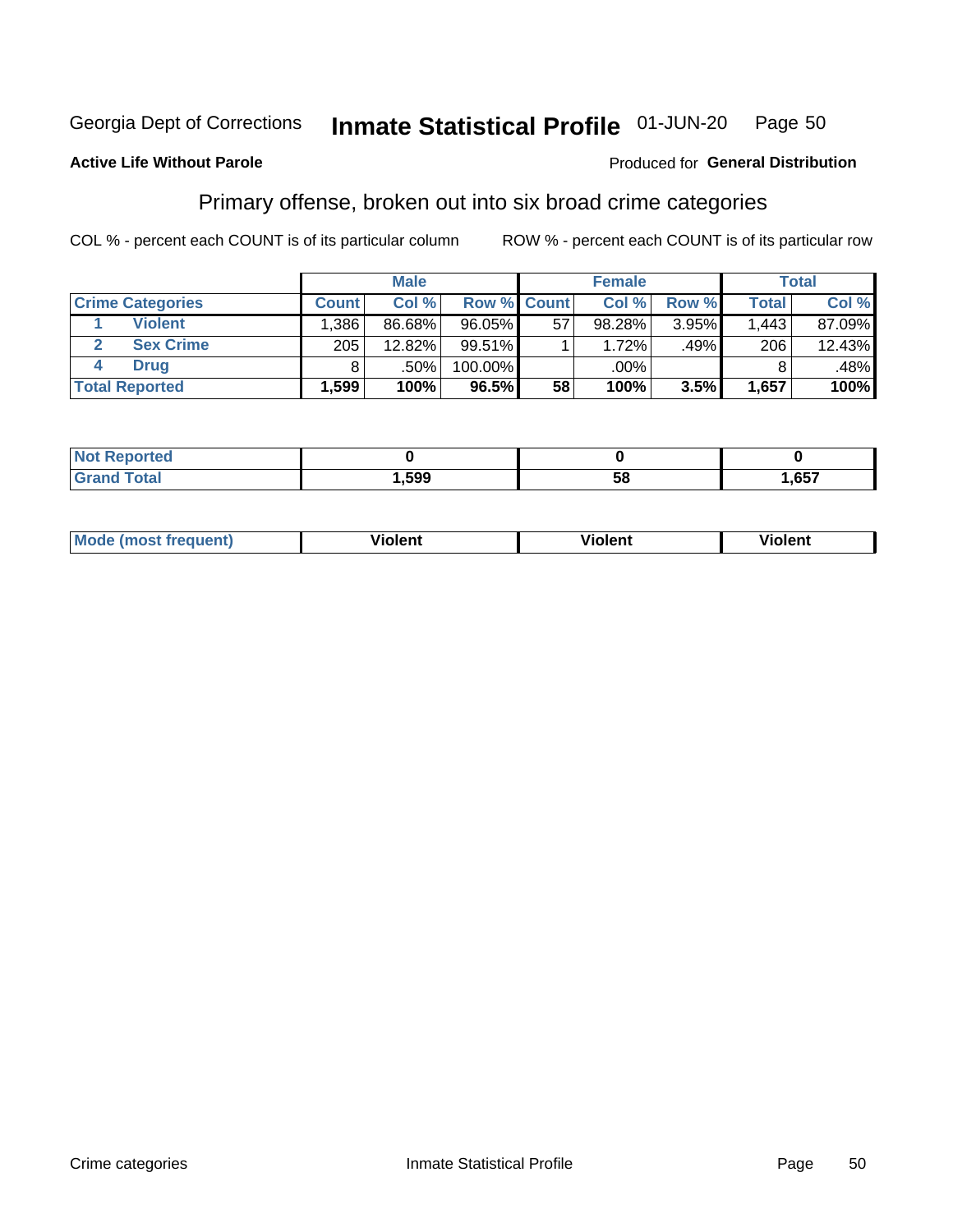#### Inmate Statistical Profile 01-JUN-20 Page 50

### **Active Life Without Parole**

### Produced for General Distribution

# Primary offense, broken out into six broad crime categories

COL % - percent each COUNT is of its particular column

|                         | <b>Male</b>  |        |                    |    | <b>Female</b> |       | <b>Total</b> |        |
|-------------------------|--------------|--------|--------------------|----|---------------|-------|--------------|--------|
| <b>Crime Categories</b> | <b>Count</b> | Col%   | <b>Row % Count</b> |    | Col %         | Row % | <b>Total</b> | Col %  |
| <b>Violent</b>          | ا 386.،      | 86.68% | 96.05%             | 57 | 98.28%        | 3.95% | 1.443        | 87.09% |
| <b>Sex Crime</b>        | 205          | 12.82% | 99.51%             |    | 1.72%         | .49%  | 206          | 12.43% |
| <b>Drug</b>             |              | .50%   | 100.00%            |    | .00%          |       |              | .48%   |
| <b>Total Reported</b>   | ا 599. ا     | 100%   | 96.5%              | 58 | 100%          | 3.5%  | 1,657        | 100%   |

| _____ | .599 | E O<br>-<br>ິບເ | 657 |
|-------|------|-----------------|-----|

| <b>Mode</b><br>วนent)<br>mos | .<br>/iolent | olent | <br>วlent |
|------------------------------|--------------|-------|-----------|
|                              |              |       |           |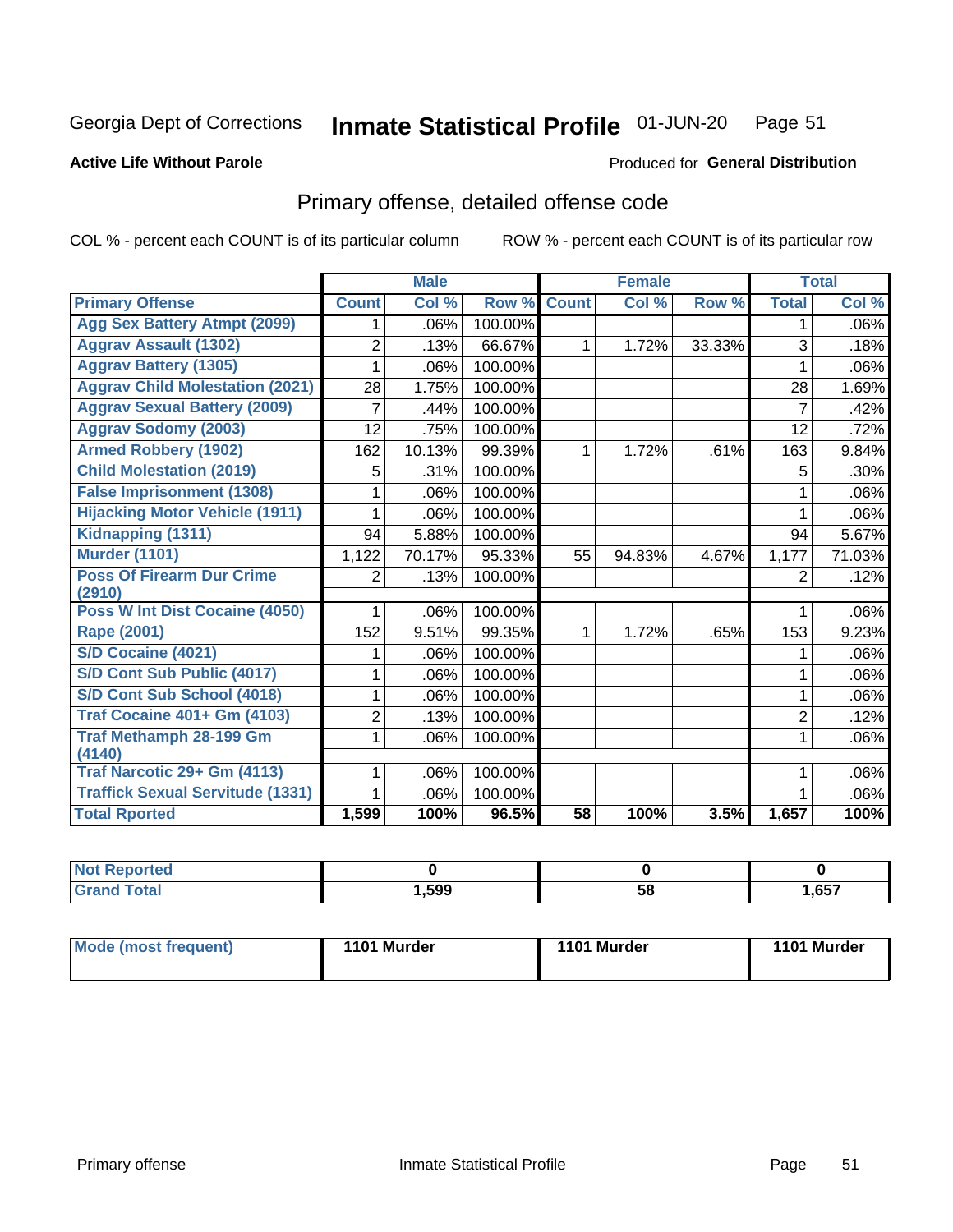#### Inmate Statistical Profile 01-JUN-20 Page 51

### **Active Life Without Parole**

#### Produced for General Distribution

# Primary offense, detailed offense code

COL % - percent each COUNT is of its particular column

|                                         |                | <b>Male</b>               |         |                 | <b>Female</b> |        |                | <b>Total</b> |
|-----------------------------------------|----------------|---------------------------|---------|-----------------|---------------|--------|----------------|--------------|
| <b>Primary Offense</b>                  | <b>Count</b>   | $\overline{\text{Col}}$ % | Row %   | <b>Count</b>    | Col %         | Row %  | <b>Total</b>   | Col %        |
| <b>Agg Sex Battery Atmpt (2099)</b>     | 1.             | .06%                      | 100.00% |                 |               |        | 1              | $.06\%$      |
| <b>Aggrav Assault (1302)</b>            | $\overline{2}$ | .13%                      | 66.67%  | 1               | 1.72%         | 33.33% | 3              | .18%         |
| <b>Aggrav Battery (1305)</b>            |                | .06%                      | 100.00% |                 |               |        | 1              | $.06\%$      |
| <b>Aggrav Child Molestation (2021)</b>  | 28             | 1.75%                     | 100.00% |                 |               |        | 28             | 1.69%        |
| <b>Aggrav Sexual Battery (2009)</b>     | 7              | .44%                      | 100.00% |                 |               |        | $\overline{7}$ | .42%         |
| <b>Aggrav Sodomy (2003)</b>             | 12             | .75%                      | 100.00% |                 |               |        | 12             | .72%         |
| <b>Armed Robbery (1902)</b>             | 162            | 10.13%                    | 99.39%  | 1.              | 1.72%         | .61%   | 163            | 9.84%        |
| <b>Child Molestation (2019)</b>         | 5              | .31%                      | 100.00% |                 |               |        | 5              | $.30\%$      |
| <b>False Imprisonment (1308)</b>        | 1              | .06%                      | 100.00% |                 |               |        | 1              | .06%         |
| <b>Hijacking Motor Vehicle (1911)</b>   | 1              | .06%                      | 100.00% |                 |               |        | 1              | $.06\%$      |
| Kidnapping (1311)                       | 94             | 5.88%                     | 100.00% |                 |               |        | 94             | 5.67%        |
| <b>Murder (1101)</b>                    | 1,122          | 70.17%                    | 95.33%  | 55              | 94.83%        | 4.67%  | 1,177          | 71.03%       |
| <b>Poss Of Firearm Dur Crime</b>        | $\overline{2}$ | .13%                      | 100.00% |                 |               |        | 2              | .12%         |
| (2910)                                  |                |                           |         |                 |               |        |                |              |
| Poss W Int Dist Cocaine (4050)          | 1              | .06%                      | 100.00% |                 |               |        | 1              | $.06\%$      |
| <b>Rape (2001)</b>                      | 152            | 9.51%                     | 99.35%  | $\mathbf 1$     | 1.72%         | .65%   | 153            | 9.23%        |
| S/D Cocaine (4021)                      |                | .06%                      | 100.00% |                 |               |        |                | $.06\%$      |
| S/D Cont Sub Public (4017)              | 1              | .06%                      | 100.00% |                 |               |        | 1              | $.06\%$      |
| S/D Cont Sub School (4018)              | 1              | .06%                      | 100.00% |                 |               |        | 1              | $.06\%$      |
| <b>Traf Cocaine 401+ Gm (4103)</b>      | $\overline{2}$ | .13%                      | 100.00% |                 |               |        | $\overline{2}$ | .12%         |
| Traf Methamph 28-199 Gm                 | 1              | .06%                      | 100.00% |                 |               |        | 1              | $.06\%$      |
| (4140)                                  |                |                           |         |                 |               |        |                |              |
| Traf Narcotic 29+ Gm (4113)             |                | .06%                      | 100.00% |                 |               |        |                | $.06\%$      |
| <b>Traffick Sexual Servitude (1331)</b> |                | .06%                      | 100.00% |                 |               |        |                | .06%         |
| <b>Total Rported</b>                    | 1,599          | 100%                      | 96.5%   | $\overline{58}$ | 100%          | 3.5%   | 1,657          | 100%         |

| Reported<br><b>Not</b>   |      |    |       |
|--------------------------|------|----|-------|
| Total<br>C <sub>uc</sub> | ,599 | 58 | 1,657 |

| Mode (most frequent) | 1101 Murder | 1101 Murder | 1101 Murder |
|----------------------|-------------|-------------|-------------|
|----------------------|-------------|-------------|-------------|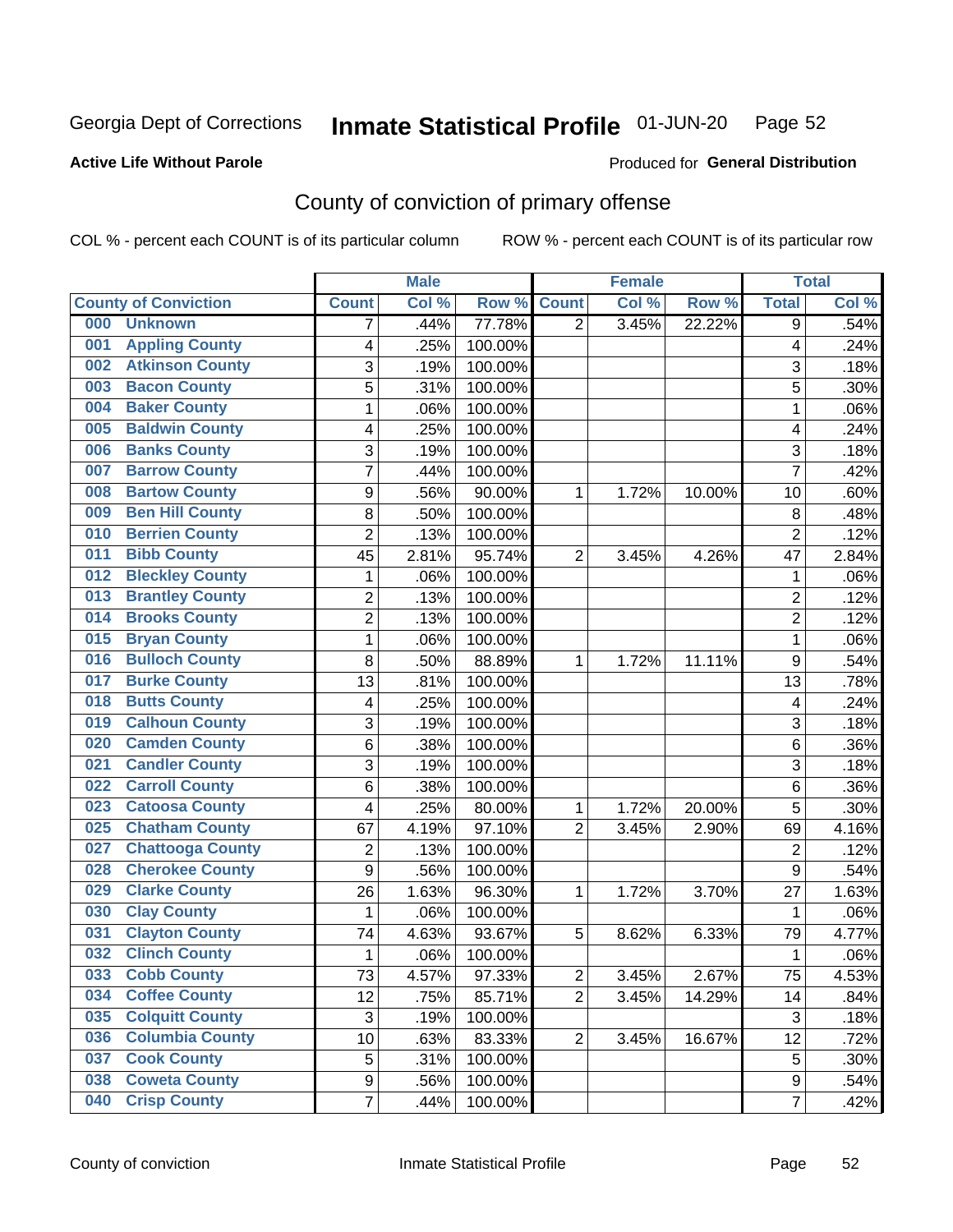#### Inmate Statistical Profile 01-JUN-20 Page 52

### **Active Life Without Parole**

#### Produced for General Distribution

# County of conviction of primary offense

COL % - percent each COUNT is of its particular column

|                                |                         | <b>Male</b> |         |                | <b>Female</b> |        |                | <b>Total</b> |
|--------------------------------|-------------------------|-------------|---------|----------------|---------------|--------|----------------|--------------|
| <b>County of Conviction</b>    | <b>Count</b>            | Col %       | Row %   | <b>Count</b>   | Col %         | Row %  | <b>Total</b>   | Col %        |
| 000<br><b>Unknown</b>          | 7                       | .44%        | 77.78%  | $\overline{2}$ | 3.45%         | 22.22% | 9              | .54%         |
| <b>Appling County</b><br>001   | 4                       | .25%        | 100.00% |                |               |        | 4              | .24%         |
| <b>Atkinson County</b><br>002  | 3                       | .19%        | 100.00% |                |               |        | 3              | .18%         |
| <b>Bacon County</b><br>003     | 5                       | .31%        | 100.00% |                |               |        | 5              | .30%         |
| <b>Baker County</b><br>004     | 1                       | .06%        | 100.00% |                |               |        | 1              | .06%         |
| <b>Baldwin County</b><br>005   | 4                       | .25%        | 100.00% |                |               |        | 4              | .24%         |
| <b>Banks County</b><br>006     | 3                       | .19%        | 100.00% |                |               |        | 3              | .18%         |
| <b>Barrow County</b><br>007    | 7                       | .44%        | 100.00% |                |               |        | $\overline{7}$ | .42%         |
| <b>Bartow County</b><br>008    | 9                       | .56%        | 90.00%  | 1              | 1.72%         | 10.00% | 10             | .60%         |
| <b>Ben Hill County</b><br>009  | 8                       | .50%        | 100.00% |                |               |        | 8              | .48%         |
| <b>Berrien County</b><br>010   | $\overline{c}$          | .13%        | 100.00% |                |               |        | $\overline{2}$ | .12%         |
| <b>Bibb County</b><br>011      | 45                      | 2.81%       | 95.74%  | $\overline{2}$ | 3.45%         | 4.26%  | 47             | 2.84%        |
| <b>Bleckley County</b><br>012  | 1                       | .06%        | 100.00% |                |               |        | 1              | .06%         |
| <b>Brantley County</b><br>013  | $\overline{2}$          | .13%        | 100.00% |                |               |        | $\overline{2}$ | .12%         |
| <b>Brooks County</b><br>014    | $\overline{2}$          | .13%        | 100.00% |                |               |        | $\overline{2}$ | .12%         |
| <b>Bryan County</b><br>015     | 1                       | .06%        | 100.00% |                |               |        | 1              | .06%         |
| <b>Bulloch County</b><br>016   | 8                       | .50%        | 88.89%  | 1              | 1.72%         | 11.11% | 9              | .54%         |
| <b>Burke County</b><br>017     | 13                      | .81%        | 100.00% |                |               |        | 13             | .78%         |
| <b>Butts County</b><br>018     | $\overline{\mathbf{4}}$ | .25%        | 100.00% |                |               |        | 4              | .24%         |
| <b>Calhoun County</b><br>019   | 3                       | .19%        | 100.00% |                |               |        | 3              | .18%         |
| <b>Camden County</b><br>020    | 6                       | .38%        | 100.00% |                |               |        | 6              | .36%         |
| <b>Candler County</b><br>021   | 3                       | .19%        | 100.00% |                |               |        | 3              | .18%         |
| <b>Carroll County</b><br>022   | 6                       | .38%        | 100.00% |                |               |        | 6              | .36%         |
| <b>Catoosa County</b><br>023   | 4                       | .25%        | 80.00%  | 1              | 1.72%         | 20.00% | 5              | .30%         |
| <b>Chatham County</b><br>025   | 67                      | 4.19%       | 97.10%  | $\overline{2}$ | 3.45%         | 2.90%  | 69             | 4.16%        |
| <b>Chattooga County</b><br>027 | $\overline{c}$          | .13%        | 100.00% |                |               |        | $\overline{2}$ | .12%         |
| <b>Cherokee County</b><br>028  | $\overline{9}$          | .56%        | 100.00% |                |               |        | $\overline{9}$ | .54%         |
| <b>Clarke County</b><br>029    | 26                      | 1.63%       | 96.30%  | 1              | 1.72%         | 3.70%  | 27             | 1.63%        |
| <b>Clay County</b><br>030      | 1                       | .06%        | 100.00% |                |               |        | 1              | .06%         |
| <b>Clayton County</b><br>031   | 74                      | 4.63%       | 93.67%  | 5              | 8.62%         | 6.33%  | 79             | 4.77%        |
| <b>Clinch County</b><br>032    | 1                       | .06%        | 100.00% |                |               |        | 1              | .06%         |
| 033<br><b>Cobb County</b>      | 73                      | 4.57%       | 97.33%  | $\overline{c}$ | 3.45%         | 2.67%  | 75             | 4.53%        |
| <b>Coffee County</b><br>034    | 12                      | .75%        | 85.71%  | $\overline{2}$ | 3.45%         | 14.29% | 14             | .84%         |
| <b>Colquitt County</b><br>035  | $\sqrt{3}$              | .19%        | 100.00% |                |               |        | 3              | .18%         |
| <b>Columbia County</b><br>036  | 10                      | .63%        | 83.33%  | $\overline{2}$ | 3.45%         | 16.67% | 12             | .72%         |
| <b>Cook County</b><br>037      | 5                       | .31%        | 100.00% |                |               |        | 5              | .30%         |
| <b>Coweta County</b><br>038    | 9                       | .56%        | 100.00% |                |               |        | 9              | .54%         |
| <b>Crisp County</b><br>040     | $\overline{7}$          | .44%        | 100.00% |                |               |        | $\overline{7}$ | .42%         |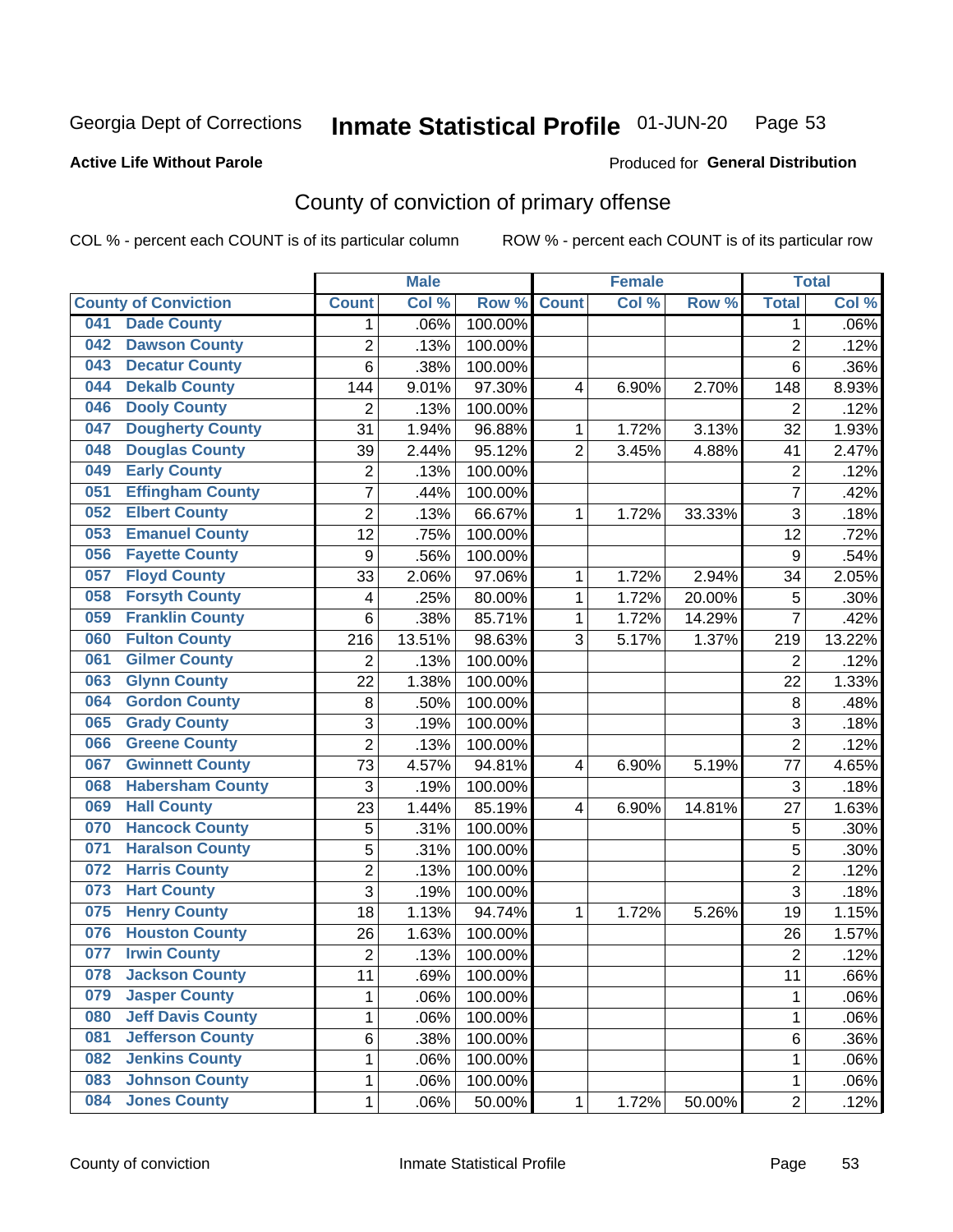#### Inmate Statistical Profile 01-JUN-20 Page 53

**Active Life Without Parole** 

Produced for General Distribution

# County of conviction of primary offense

COL % - percent each COUNT is of its particular column

|     |                             |                  | <b>Male</b> |         |                | <b>Female</b> |           |                | <b>Total</b> |
|-----|-----------------------------|------------------|-------------|---------|----------------|---------------|-----------|----------------|--------------|
|     | <b>County of Conviction</b> | <b>Count</b>     | Col %       | Row %   | <b>Count</b>   | Col %         | Row %     | <b>Total</b>   | Col %        |
| 041 | <b>Dade County</b>          | 1                | .06%        | 100.00% |                |               |           | 1              | .06%         |
| 042 | <b>Dawson County</b>        | $\overline{2}$   | .13%        | 100.00% |                |               |           | $\overline{2}$ | .12%         |
| 043 | <b>Decatur County</b>       | 6                | .38%        | 100.00% |                |               |           | 6              | .36%         |
| 044 | <b>Dekalb County</b>        | 144              | 9.01%       | 97.30%  | 4              | 6.90%         | 2.70%     | 148            | 8.93%        |
| 046 | <b>Dooly County</b>         | $\overline{2}$   | .13%        | 100.00% |                |               |           | $\overline{2}$ | .12%         |
| 047 | <b>Dougherty County</b>     | 31               | 1.94%       | 96.88%  | 1              | 1.72%         | 3.13%     | 32             | 1.93%        |
| 048 | <b>Douglas County</b>       | 39               | 2.44%       | 95.12%  | $\overline{2}$ | 3.45%         | 4.88%     | 41             | 2.47%        |
| 049 | <b>Early County</b>         | $\mathbf 2$      | .13%        | 100.00% |                |               |           | $\overline{2}$ | .12%         |
| 051 | <b>Effingham County</b>     | 7                | .44%        | 100.00% |                |               |           | $\overline{7}$ | .42%         |
| 052 | <b>Elbert County</b>        | $\overline{2}$   | .13%        | 66.67%  | 1              | 1.72%         | 33.33%    | 3              | .18%         |
| 053 | <b>Emanuel County</b>       | 12               | .75%        | 100.00% |                |               |           | 12             | .72%         |
| 056 | <b>Fayette County</b>       | $\boldsymbol{9}$ | .56%        | 100.00% |                |               |           | 9              | .54%         |
| 057 | <b>Floyd County</b>         | 33               | 2.06%       | 97.06%  | $\mathbf{1}$   | 1.72%         | 2.94%     | 34             | 2.05%        |
| 058 | <b>Forsyth County</b>       | 4                | .25%        | 80.00%  | 1              | 1.72%         | 20.00%    | 5              | .30%         |
| 059 | <b>Franklin County</b>      | 6                | .38%        | 85.71%  | 1              | 1.72%         | 14.29%    | $\overline{7}$ | .42%         |
| 060 | <b>Fulton County</b>        | 216              | 13.51%      | 98.63%  | 3              | 5.17%         | 1.37%     | 219            | 13.22%       |
| 061 | <b>Gilmer County</b>        | $\overline{2}$   | .13%        | 100.00% |                |               |           | $\overline{2}$ | .12%         |
| 063 | <b>Glynn County</b>         | 22               | 1.38%       | 100.00% |                |               |           | 22             | 1.33%        |
| 064 | <b>Gordon County</b>        | 8                | .50%        | 100.00% |                |               |           | 8              | .48%         |
| 065 | <b>Grady County</b>         | 3                | .19%        | 100.00% |                |               |           | 3              | .18%         |
| 066 | <b>Greene County</b>        | $\overline{2}$   | .13%        | 100.00% |                |               |           | $\overline{2}$ | .12%         |
| 067 | <b>Gwinnett County</b>      | 73               | 4.57%       | 94.81%  | 4              | 6.90%         | 5.19%     | 77             | 4.65%        |
| 068 | <b>Habersham County</b>     | 3                | .19%        | 100.00% |                |               |           | 3              | .18%         |
| 069 | <b>Hall County</b>          | 23               | 1.44%       | 85.19%  | 4              | 6.90%         | 14.81%    | 27             | 1.63%        |
| 070 | <b>Hancock County</b>       | 5                | .31%        | 100.00% |                |               |           | 5              | .30%         |
| 071 | <b>Haralson County</b>      | 5                | .31%        | 100.00% |                |               |           | 5              | .30%         |
| 072 | <b>Harris County</b>        | $\overline{c}$   | .13%        | 100.00% |                |               |           | $\overline{2}$ | .12%         |
| 073 | <b>Hart County</b>          | 3                | .19%        | 100.00% |                |               |           | $\overline{3}$ | .18%         |
| 075 | <b>Henry County</b>         | 18               | 1.13%       | 94.74%  | $\mathbf{1}$   | 1.72%         | 5.26%     | 19             | 1.15%        |
| 076 | <b>Houston County</b>       | 26               | 1.63%       | 100.00% |                |               |           | 26             | 1.57%        |
| 077 | <b>Irwin County</b>         | $\overline{c}$   | .13%        | 100.00% |                |               |           | $\overline{2}$ | .12%         |
| 078 | <b>Jackson County</b>       | 11               | .69%        | 100.00% |                |               |           | 11             | .66%         |
| 079 | <b>Jasper County</b>        | $\mathbf{1}$     | .06%        | 100.00% |                |               |           | $\mathbf{1}$   | .06%         |
| 080 | <b>Jeff Davis County</b>    | 1                | .06%        | 100.00% |                |               |           | $\mathbf{1}$   | .06%         |
| 081 | <b>Jefferson County</b>     | 6                | .38%        | 100.00% |                |               |           | 6              | .36%         |
| 082 | <b>Jenkins County</b>       | 1                | .06%        | 100.00% |                |               |           | 1              | .06%         |
| 083 | <b>Johnson County</b>       | $\mathbf 1$      | .06%        | 100.00% |                |               |           | 1              | .06%         |
| 084 | <b>Jones County</b>         | $\mathbf 1$      | .06%        | 50.00%  | 1              | 1.72%         | $50.00\%$ | $\overline{2}$ | .12%         |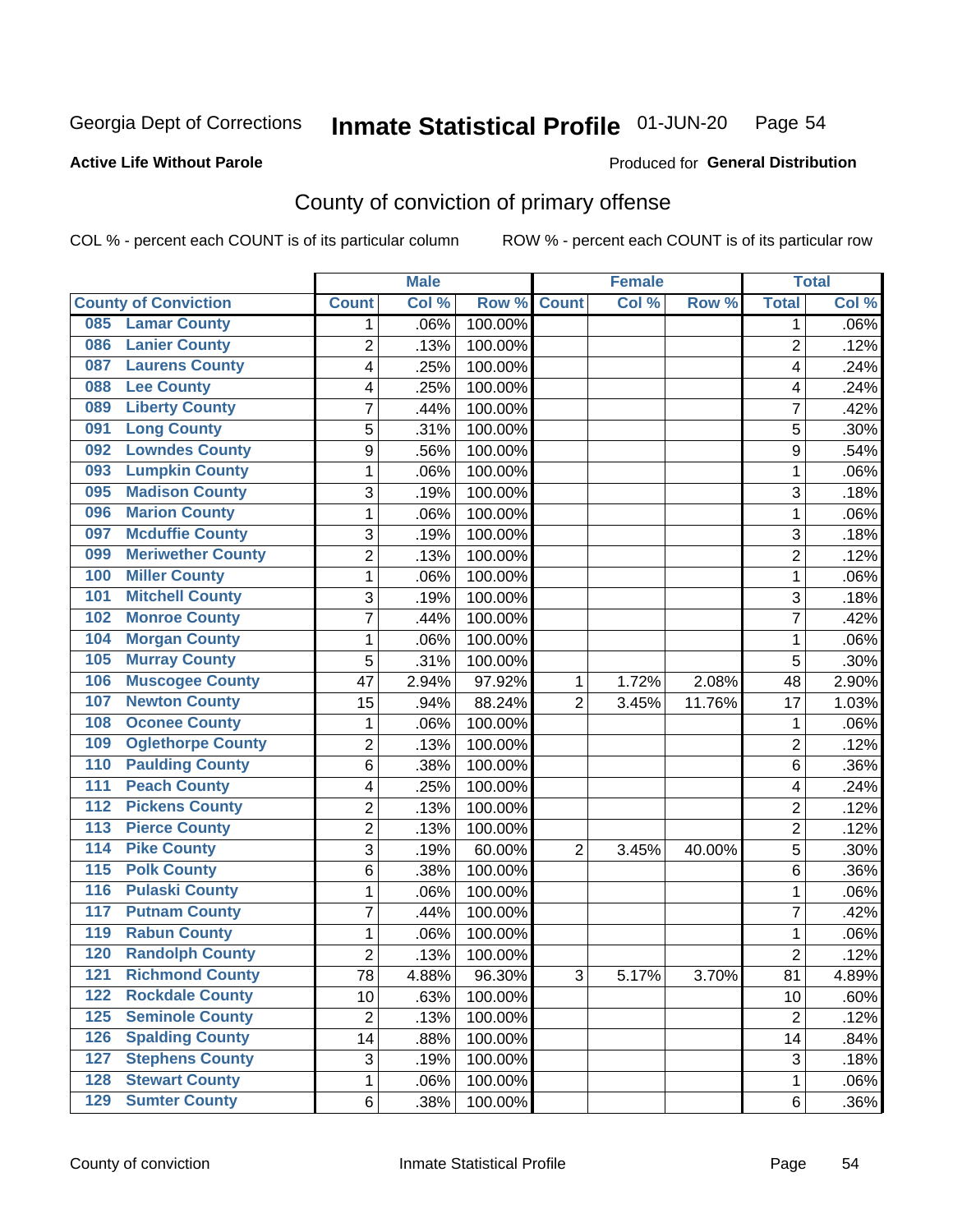#### Inmate Statistical Profile 01-JUN-20 Page 54

### **Active Life Without Parole**

#### Produced for General Distribution

# County of conviction of primary offense

COL % - percent each COUNT is of its particular column

|                                           |                | <b>Male</b> |         |                | <b>Female</b> |          |                | <b>Total</b> |
|-------------------------------------------|----------------|-------------|---------|----------------|---------------|----------|----------------|--------------|
| <b>County of Conviction</b>               | <b>Count</b>   | Col %       | Row %   | <b>Count</b>   | Col %         | Row %    | <b>Total</b>   | Col %        |
| <b>Lamar County</b><br>085                | 1              | .06%        | 100.00% |                |               |          | 1              | $.06\%$      |
| <b>Lanier County</b><br>086               | $\overline{2}$ | .13%        | 100.00% |                |               |          | $\overline{2}$ | .12%         |
| <b>Laurens County</b><br>087              | 4              | .25%        | 100.00% |                |               |          | 4              | .24%         |
| <b>Lee County</b><br>088                  | 4              | .25%        | 100.00% |                |               |          | 4              | .24%         |
| <b>Liberty County</b><br>089              | 7              | .44%        | 100.00% |                |               |          | 7              | .42%         |
| <b>Long County</b><br>091                 | 5              | .31%        | 100.00% |                |               |          | 5              | .30%         |
| <b>Lowndes County</b><br>092              | 9              | .56%        | 100.00% |                |               |          | 9              | .54%         |
| <b>Lumpkin County</b><br>093              | 1              | .06%        | 100.00% |                |               |          | 1              | .06%         |
| <b>Madison County</b><br>095              | 3              | .19%        | 100.00% |                |               |          | 3              | .18%         |
| <b>Marion County</b><br>096               | 1              | .06%        | 100.00% |                |               |          | $\mathbf{1}$   | .06%         |
| <b>Mcduffie County</b><br>097             | 3              | .19%        | 100.00% |                |               |          | 3              | .18%         |
| <b>Meriwether County</b><br>099           | $\overline{2}$ | .13%        | 100.00% |                |               |          | $\overline{2}$ | .12%         |
| <b>Miller County</b><br>100               | 1              | .06%        | 100.00% |                |               |          | $\mathbf{1}$   | .06%         |
| <b>Mitchell County</b><br>101             | 3              | .19%        | 100.00% |                |               |          | 3              | .18%         |
| <b>Monroe County</b><br>102               | 7              | .44%        | 100.00% |                |               |          | $\overline{7}$ | .42%         |
| <b>Morgan County</b><br>104               | 1              | .06%        | 100.00% |                |               |          | $\mathbf{1}$   | .06%         |
| <b>Murray County</b><br>105               | 5              | .31%        | 100.00% |                |               |          | 5              | .30%         |
| <b>Muscogee County</b><br>106             | 47             | 2.94%       | 97.92%  | 1              | 1.72%         | 2.08%    | 48             | 2.90%        |
| <b>Newton County</b><br>107               | 15             | .94%        | 88.24%  | $\overline{2}$ | 3.45%         | 11.76%   | 17             | 1.03%        |
| <b>Oconee County</b><br>108               | 1              | .06%        | 100.00% |                |               |          | 1              | .06%         |
| <b>Oglethorpe County</b><br>109           | 2              | .13%        | 100.00% |                |               |          | $\overline{2}$ | .12%         |
| <b>Paulding County</b><br>110             | 6              | .38%        | 100.00% |                |               |          | 6              | .36%         |
| <b>Peach County</b><br>111                | 4              | .25%        | 100.00% |                |               |          | 4              | .24%         |
| <b>Pickens County</b><br>$\overline{112}$ | $\overline{2}$ | .13%        | 100.00% |                |               |          | $\overline{2}$ | .12%         |
| <b>Pierce County</b><br>113               | 2              | .13%        | 100.00% |                |               |          | $\overline{2}$ | .12%         |
| <b>Pike County</b><br>$\overline{114}$    | 3              | .19%        | 60.00%  | $\overline{2}$ | 3.45%         | 40.00%   | 5              | .30%         |
| <b>Polk County</b><br>$\overline{115}$    | 6              | .38%        | 100.00% |                |               |          | 6              | .36%         |
| <b>Pulaski County</b><br>116              | 1              | .06%        | 100.00% |                |               |          | 1              | .06%         |
| <b>Putnam County</b><br>117               | 7              | .44%        | 100.00% |                |               |          | 7              | .42%         |
| <b>Rabun County</b><br>119                | 1              | .06%        | 100.00% |                |               |          | $\mathbf{1}$   | .06%         |
| <b>Randolph County</b><br>120             | $\overline{2}$ | .13%        | 100.00% |                |               |          | $\overline{2}$ | .12%         |
| <b>Richmond County</b><br>121             | 78             | 4.88%       | 96.30%  | 3              | 5.17%         | $3.70\%$ | 81             | 4.89%        |
| <b>Rockdale County</b><br>122             | 10             | .63%        | 100.00% |                |               |          | 10             | .60%         |
| <b>Seminole County</b><br>$125$           | $\overline{2}$ | .13%        | 100.00% |                |               |          | $\overline{2}$ | .12%         |
| <b>Spalding County</b><br>126             | 14             | .88%        | 100.00% |                |               |          | 14             | .84%         |
| <b>Stephens County</b><br>127             | 3              | .19%        | 100.00% |                |               |          | 3              | .18%         |
| <b>Stewart County</b><br>128              | 1              | .06%        | 100.00% |                |               |          | 1              | .06%         |
| <b>Sumter County</b><br>129               | 6              | .38%        | 100.00% |                |               |          | 6              | .36%         |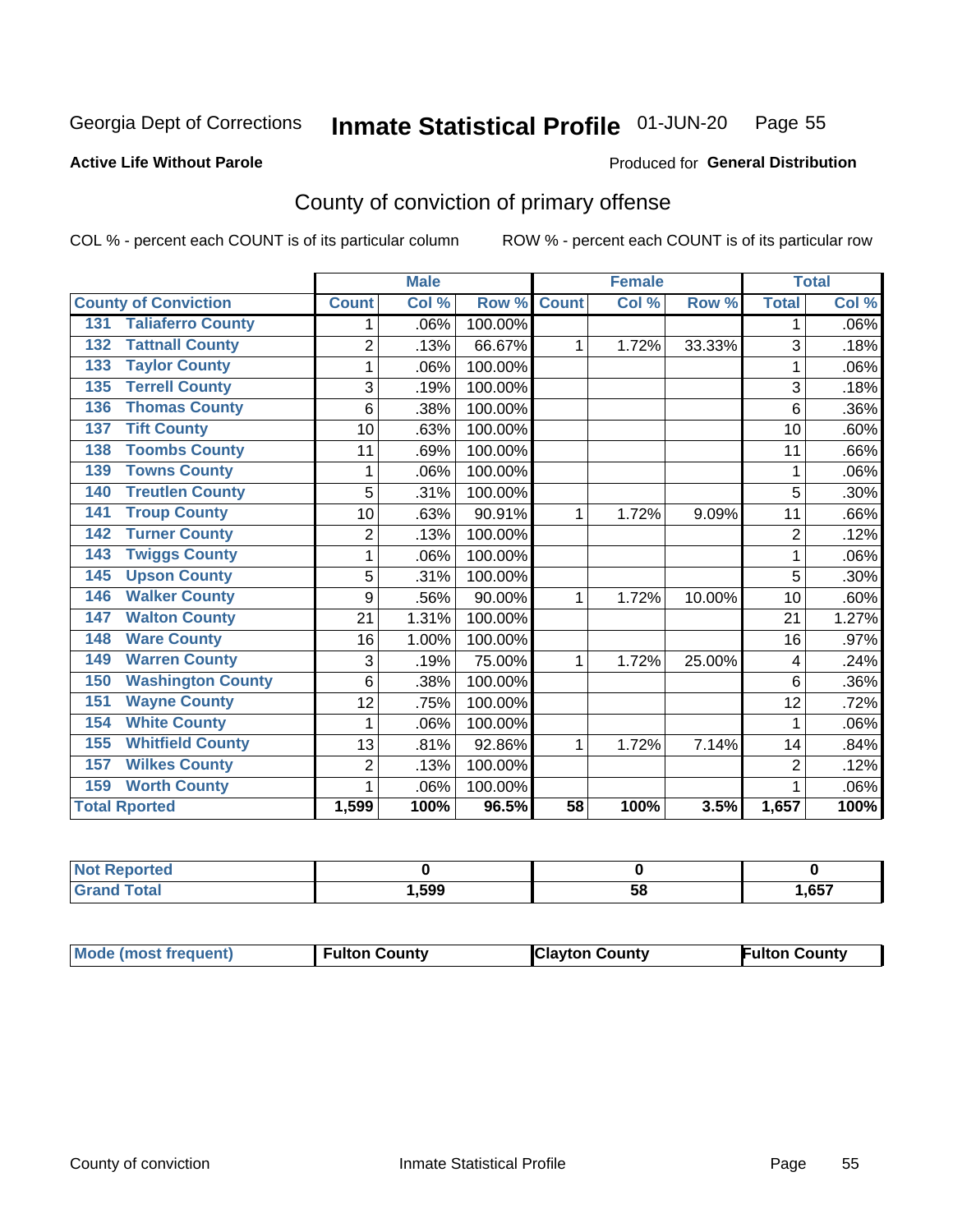#### Inmate Statistical Profile 01-JUN-20 Page 55

**Active Life Without Parole** 

Produced for General Distribution

# County of conviction of primary offense

COL % - percent each COUNT is of its particular column

|                                 |                | <b>Male</b> |         |                 | <b>Female</b> |        |                | <b>Total</b> |
|---------------------------------|----------------|-------------|---------|-----------------|---------------|--------|----------------|--------------|
| <b>County of Conviction</b>     | <b>Count</b>   | Col %       | Row %   | <b>Count</b>    | Col %         | Row %  | <b>Total</b>   | Col %        |
| <b>Taliaferro County</b><br>131 |                | .06%        | 100.00% |                 |               |        | 1              | .06%         |
| <b>Tattnall County</b><br>132   | $\overline{2}$ | .13%        | 66.67%  | 1               | 1.72%         | 33.33% | 3              | .18%         |
| <b>Taylor County</b><br>133     | 1              | .06%        | 100.00% |                 |               |        | 1              | .06%         |
| <b>Terrell County</b><br>135    | 3              | .19%        | 100.00% |                 |               |        | 3              | .18%         |
| <b>Thomas County</b><br>136     | 6              | .38%        | 100.00% |                 |               |        | 6              | $.36\%$      |
| <b>Tift County</b><br>137       | 10             | .63%        | 100.00% |                 |               |        | 10             | .60%         |
| <b>Toombs County</b><br>138     | 11             | .69%        | 100.00% |                 |               |        | 11             | .66%         |
| <b>Towns County</b><br>139      |                | .06%        | 100.00% |                 |               |        |                | .06%         |
| <b>Treutlen County</b><br>140   | 5              | .31%        | 100.00% |                 |               |        | 5              | $.30\%$      |
| <b>Troup County</b><br>141      | 10             | .63%        | 90.91%  | 1               | 1.72%         | 9.09%  | 11             | .66%         |
| <b>Turner County</b><br>142     | $\overline{2}$ | .13%        | 100.00% |                 |               |        | $\overline{2}$ | .12%         |
| <b>Twiggs County</b><br>143     | 1              | .06%        | 100.00% |                 |               |        | 1              | .06%         |
| <b>Upson County</b><br>145      | 5              | .31%        | 100.00% |                 |               |        | 5              | .30%         |
| <b>Walker County</b><br>146     | 9              | .56%        | 90.00%  | 1               | 1.72%         | 10.00% | 10             | .60%         |
| <b>Walton County</b><br>147     | 21             | 1.31%       | 100.00% |                 |               |        | 21             | 1.27%        |
| <b>Ware County</b><br>148       | 16             | 1.00%       | 100.00% |                 |               |        | 16             | .97%         |
| <b>Warren County</b><br>149     | 3              | .19%        | 75.00%  | 1               | 1.72%         | 25.00% | 4              | .24%         |
| <b>Washington County</b><br>150 | 6              | .38%        | 100.00% |                 |               |        | 6              | $.36\%$      |
| <b>Wayne County</b><br>151      | 12             | .75%        | 100.00% |                 |               |        | 12             | .72%         |
| <b>White County</b><br>154      | 1              | .06%        | 100.00% |                 |               |        | 1              | .06%         |
| <b>Whitfield County</b><br>155  | 13             | .81%        | 92.86%  | 1               | 1.72%         | 7.14%  | 14             | .84%         |
| <b>Wilkes County</b><br>157     | $\overline{2}$ | .13%        | 100.00% |                 |               |        | 2              | .12%         |
| <b>Worth County</b><br>159      | 1              | .06%        | 100.00% |                 |               |        |                | .06%         |
| <b>Total Rported</b>            | 1,599          | 100%        | 96.5%   | $\overline{58}$ | 100%          | 3.5%   | 1,657          | 100%         |

| rtea        |      |   |      |
|-------------|------|---|------|
| $C = 4 - 7$ | ,599 | u | ,657 |

|  | Mode (most frequent) | <b>Fulton County</b> | <b>Clayton County</b> | <b>Fulton County</b> |
|--|----------------------|----------------------|-----------------------|----------------------|
|--|----------------------|----------------------|-----------------------|----------------------|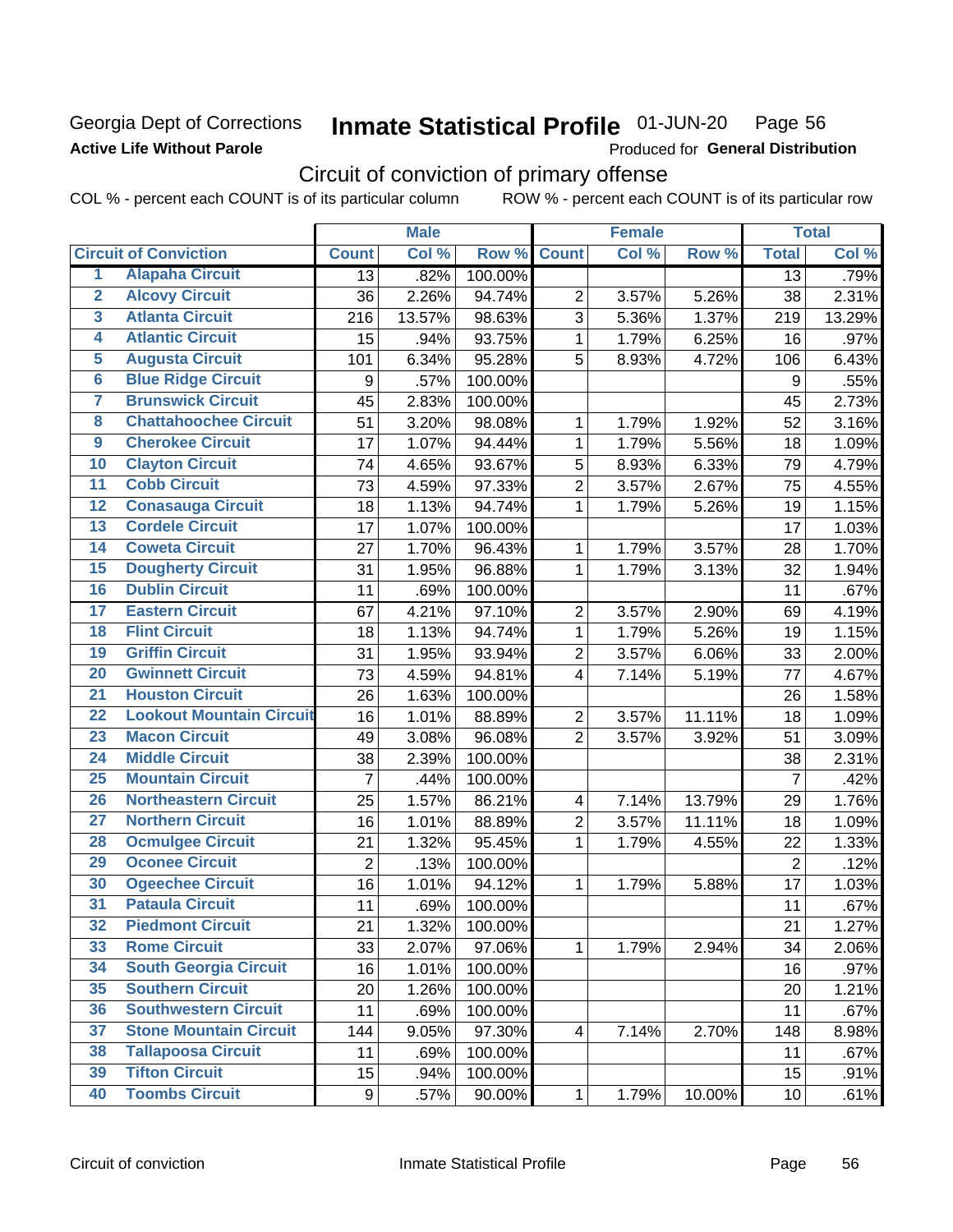## **Georgia Dept of Corrections Active Life Without Parole**

#### Inmate Statistical Profile 01-JUN-20 Page 56

Produced for General Distribution

# Circuit of conviction of primary offense

COL % - percent each COUNT is of its particular column ROW % - percent each COUNT is of its particular row

|                         |                                 |                | <b>Male</b> |         |                         | <b>Female</b> |        |                  | <b>Total</b> |
|-------------------------|---------------------------------|----------------|-------------|---------|-------------------------|---------------|--------|------------------|--------------|
|                         | <b>Circuit of Conviction</b>    | <b>Count</b>   | Col %       | Row %   | <b>Count</b>            | Col %         | Row %  | <b>Total</b>     | Col %        |
| 1                       | <b>Alapaha Circuit</b>          | 13             | .82%        | 100.00% |                         |               |        | 13               | .79%         |
| $\overline{2}$          | <b>Alcovy Circuit</b>           | 36             | 2.26%       | 94.74%  | $\overline{2}$          | 3.57%         | 5.26%  | 38               | 2.31%        |
| $\overline{3}$          | <b>Atlanta Circuit</b>          | 216            | 13.57%      | 98.63%  | 3                       | 5.36%         | 1.37%  | 219              | 13.29%       |
| $\overline{4}$          | <b>Atlantic Circuit</b>         | 15             | .94%        | 93.75%  | 1                       | 1.79%         | 6.25%  | 16               | .97%         |
| 5                       | <b>Augusta Circuit</b>          | 101            | 6.34%       | 95.28%  | 5                       | 8.93%         | 4.72%  | 106              | 6.43%        |
| $\overline{\bf{6}}$     | <b>Blue Ridge Circuit</b>       | 9              | .57%        | 100.00% |                         |               |        | $\boldsymbol{9}$ | .55%         |
| 7                       | <b>Brunswick Circuit</b>        | 45             | 2.83%       | 100.00% |                         |               |        | 45               | 2.73%        |
| $\overline{\mathbf{8}}$ | <b>Chattahoochee Circuit</b>    | 51             | 3.20%       | 98.08%  | 1                       | 1.79%         | 1.92%  | 52               | 3.16%        |
| $\overline{9}$          | <b>Cherokee Circuit</b>         | 17             | 1.07%       | 94.44%  | $\mathbf{1}$            | 1.79%         | 5.56%  | 18               | 1.09%        |
| 10                      | <b>Clayton Circuit</b>          | 74             | 4.65%       | 93.67%  | 5                       | 8.93%         | 6.33%  | 79               | 4.79%        |
| $\overline{11}$         | <b>Cobb Circuit</b>             | 73             | 4.59%       | 97.33%  | $\overline{2}$          | 3.57%         | 2.67%  | 75               | 4.55%        |
| $\overline{12}$         | <b>Conasauga Circuit</b>        | 18             | 1.13%       | 94.74%  | 1                       | 1.79%         | 5.26%  | 19               | 1.15%        |
| 13                      | <b>Cordele Circuit</b>          | 17             | 1.07%       | 100.00% |                         |               |        | 17               | 1.03%        |
| 14                      | <b>Coweta Circuit</b>           | 27             | 1.70%       | 96.43%  | 1                       | 1.79%         | 3.57%  | 28               | 1.70%        |
| 15                      | <b>Dougherty Circuit</b>        | 31             | 1.95%       | 96.88%  | $\mathbf{1}$            | 1.79%         | 3.13%  | 32               | 1.94%        |
| 16                      | <b>Dublin Circuit</b>           | 11             | .69%        | 100.00% |                         |               |        | 11               | .67%         |
| 17                      | <b>Eastern Circuit</b>          | 67             | 4.21%       | 97.10%  | $\overline{2}$          | 3.57%         | 2.90%  | 69               | 4.19%        |
| $\overline{18}$         | <b>Flint Circuit</b>            | 18             | 1.13%       | 94.74%  | 1                       | 1.79%         | 5.26%  | 19               | 1.15%        |
| 19                      | <b>Griffin Circuit</b>          | 31             | 1.95%       | 93.94%  | $\mathbf 2$             | 3.57%         | 6.06%  | 33               | 2.00%        |
| $\overline{20}$         | <b>Gwinnett Circuit</b>         | 73             | 4.59%       | 94.81%  | 4                       | 7.14%         | 5.19%  | 77               | 4.67%        |
| $\overline{21}$         | <b>Houston Circuit</b>          | 26             | 1.63%       | 100.00% |                         |               |        | 26               | 1.58%        |
| $\overline{22}$         | <b>Lookout Mountain Circuit</b> | 16             | 1.01%       | 88.89%  | $\overline{2}$          | 3.57%         | 11.11% | 18               | 1.09%        |
| 23                      | <b>Macon Circuit</b>            | 49             | 3.08%       | 96.08%  | $\overline{2}$          | 3.57%         | 3.92%  | 51               | 3.09%        |
| $\overline{24}$         | <b>Middle Circuit</b>           | 38             | 2.39%       | 100.00% |                         |               |        | 38               | 2.31%        |
| $\overline{25}$         | <b>Mountain Circuit</b>         | $\overline{7}$ | .44%        | 100.00% |                         |               |        | $\overline{7}$   | .42%         |
| 26                      | <b>Northeastern Circuit</b>     | 25             | 1.57%       | 86.21%  | $\overline{\mathbf{4}}$ | 7.14%         | 13.79% | 29               | 1.76%        |
| $\overline{27}$         | <b>Northern Circuit</b>         | 16             | 1.01%       | 88.89%  | $\overline{2}$          | 3.57%         | 11.11% | 18               | 1.09%        |
| 28                      | <b>Ocmulgee Circuit</b>         | 21             | 1.32%       | 95.45%  | 1                       | 1.79%         | 4.55%  | 22               | 1.33%        |
| 29                      | <b>Oconee Circuit</b>           | $\overline{2}$ | .13%        | 100.00% |                         |               |        | $\overline{2}$   | .12%         |
| 30                      | <b>Ogeechee Circuit</b>         | 16             | 1.01%       | 94.12%  | 1                       | 1.79%         | 5.88%  | 17               | 1.03%        |
| $\overline{31}$         | <b>Pataula Circuit</b>          | 11             | .69%        | 100.00% |                         |               |        | 11               | .67%         |
| 32                      | <b>Piedmont Circuit</b>         | 21             | 1.32%       | 100.00% |                         |               |        | 21               | 1.27%        |
| 33                      | <b>Rome Circuit</b>             | 33             | 2.07%       | 97.06%  | $\mathbf{1}$            | 1.79%         | 2.94%  | 34               | 2.06%        |
| 34                      | <b>South Georgia Circuit</b>    | 16             | 1.01%       | 100.00% |                         |               |        | 16               | .97%         |
| 35                      | <b>Southern Circuit</b>         | 20             | 1.26%       | 100.00% |                         |               |        | 20               | 1.21%        |
| 36                      | <b>Southwestern Circuit</b>     | 11             | .69%        | 100.00% |                         |               |        | 11               | .67%         |
| 37                      | <b>Stone Mountain Circuit</b>   | 144            | 9.05%       | 97.30%  | $\overline{\mathbf{4}}$ | 7.14%         | 2.70%  | 148              | 8.98%        |
| 38                      | <b>Tallapoosa Circuit</b>       | 11             | .69%        | 100.00% |                         |               |        | 11               | .67%         |
| 39                      | <b>Tifton Circuit</b>           | 15             | .94%        | 100.00% |                         |               |        | 15               | .91%         |
| 40                      | <b>Toombs Circuit</b>           | 9              | .57%        | 90.00%  | $\mathbf{1}$            | 1.79%         | 10.00% | 10               | .61%         |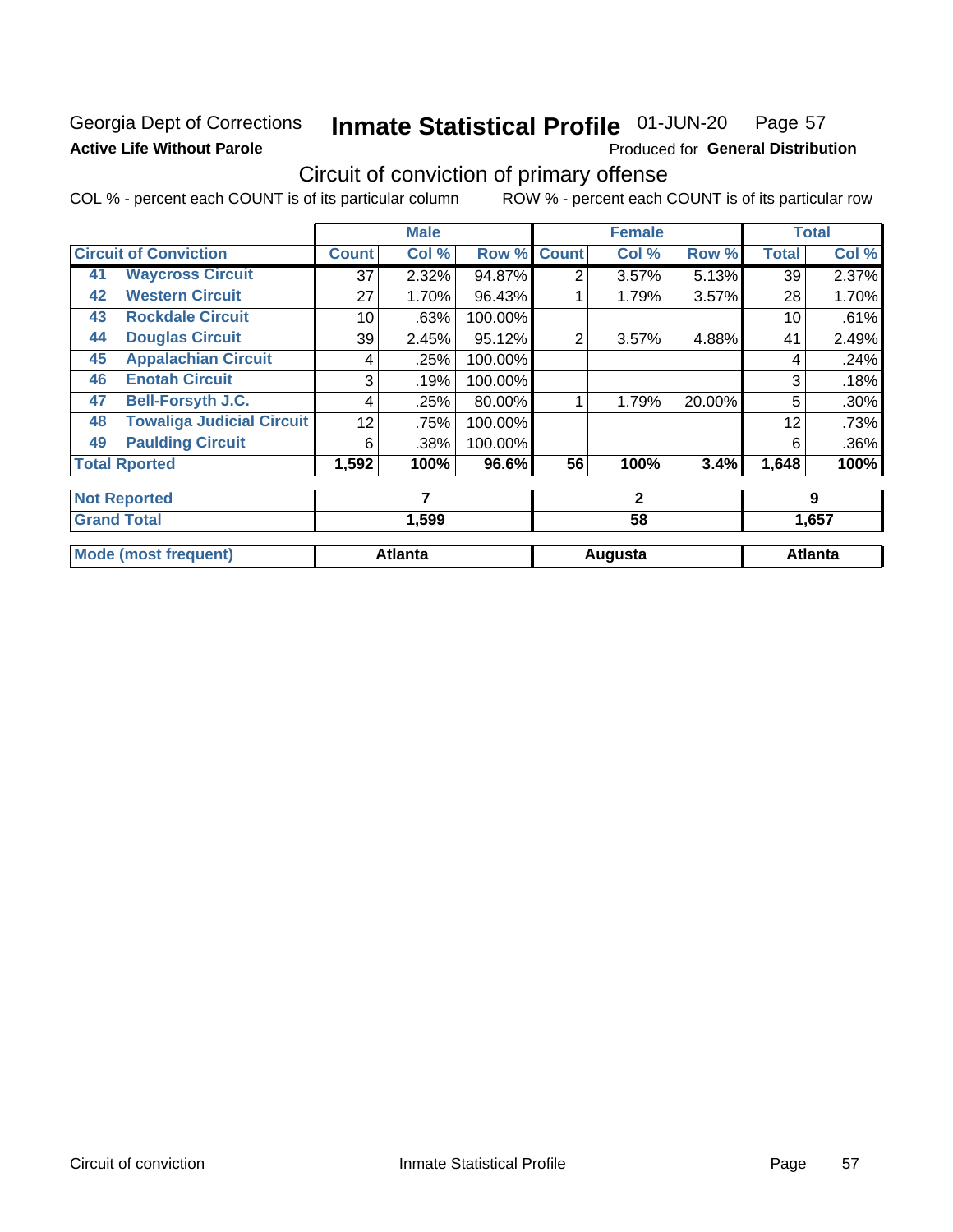# **Georgia Dept of Corrections Active Life Without Parole**

#### Inmate Statistical Profile 01-JUN-20 Page 57

Produced for General Distribution

# Circuit of conviction of primary offense

COL % - percent each COUNT is of its particular column ROW % - percent each COUNT is of its particular row

|    |                                  |                 | <b>Male</b>    |         |                | <b>Female</b> |        |              | <b>Total</b>   |
|----|----------------------------------|-----------------|----------------|---------|----------------|---------------|--------|--------------|----------------|
|    | <b>Circuit of Conviction</b>     | <b>Count</b>    | Col %          | Row %   | <b>Count</b>   | Col %         | Row %  | <b>Total</b> | Col%           |
| 41 | <b>Waycross Circuit</b>          | 37              | 2.32%          | 94.87%  | 2              | 3.57%         | 5.13%  | 39           | 2.37%          |
| 42 | <b>Western Circuit</b>           | 27              | 1.70%          | 96.43%  |                | 1.79%         | 3.57%  | 28           | 1.70%          |
| 43 | <b>Rockdale Circuit</b>          | 10              | .63%           | 100.00% |                |               |        | 10           | .61%           |
| 44 | <b>Douglas Circuit</b>           | 39 <sup>1</sup> | 2.45%          | 95.12%  | $\overline{2}$ | 3.57%         | 4.88%  | 41           | 2.49%          |
| 45 | <b>Appalachian Circuit</b>       | 4               | .25%           | 100.00% |                |               |        | 4            | .24%           |
| 46 | <b>Enotah Circuit</b>            | 3               | .19%           | 100.00% |                |               |        | 3            | .18%           |
| 47 | <b>Bell-Forsyth J.C.</b>         | 4               | .25%           | 80.00%  |                | 1.79%         | 20.00% | 5            | .30%           |
| 48 | <b>Towaliga Judicial Circuit</b> | 12              | .75%           | 100.00% |                |               |        | 12           | .73%           |
| 49 | <b>Paulding Circuit</b>          | 6               | .38%           | 100.00% |                |               |        | 6            | .36%           |
|    | <b>Total Rported</b>             | 1,592           | 100%           | 96.6%   | 56             | 100%          | 3.4%   | 1,648        | 100%           |
|    | <b>Not Reported</b>              |                 | 7              |         |                | $\mathbf{2}$  |        |              | 9              |
|    | <b>Grand Total</b>               |                 | 1,599          |         |                | 58            |        |              | 1,657          |
|    | <b>Mode (most frequent)</b>      |                 | <b>Atlanta</b> |         |                | Augusta       |        |              | <b>Atlanta</b> |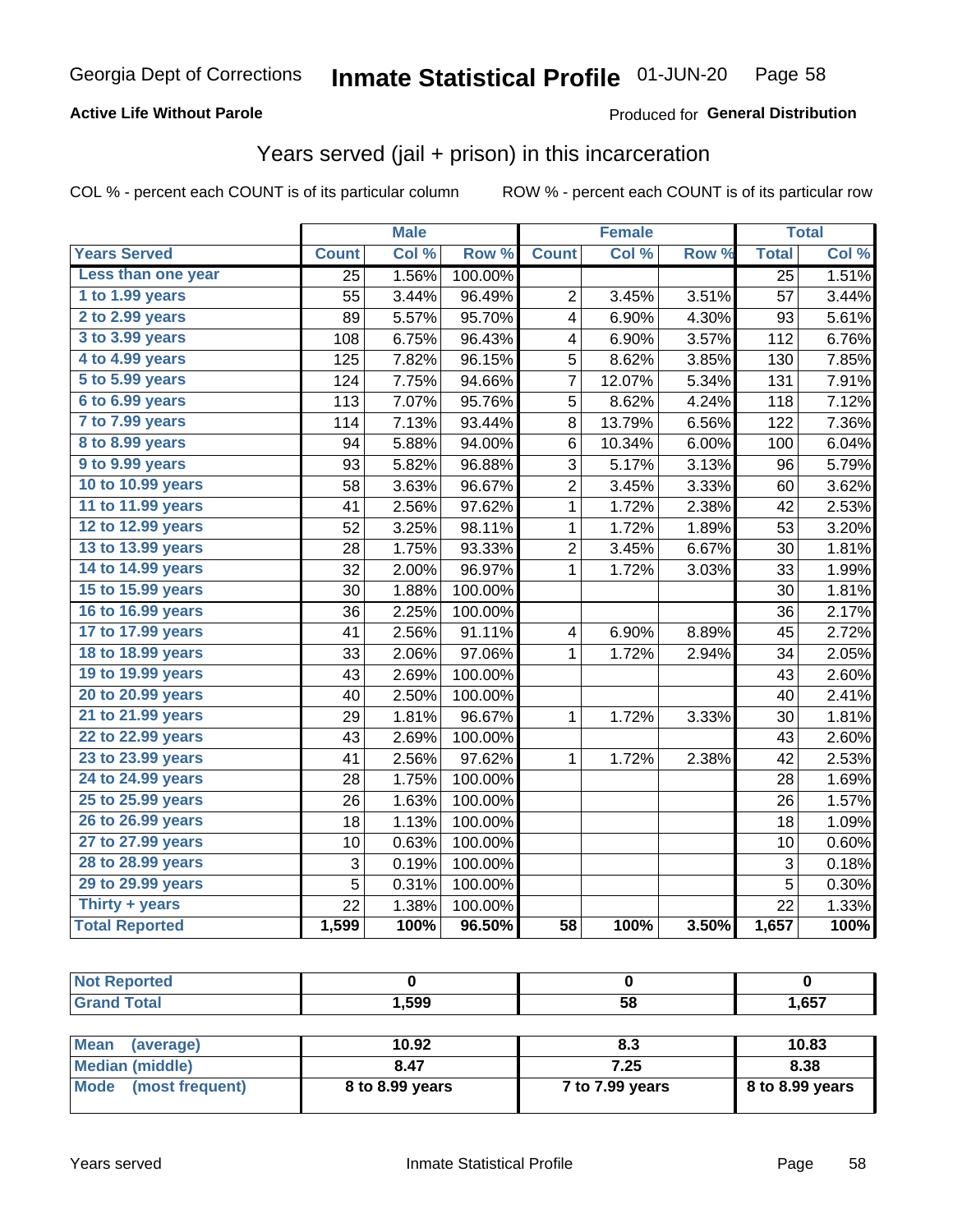### **Active Life Without Parole**

### **Produced for General Distribution**

# Years served (jail + prison) in this incarceration

COL % - percent each COUNT is of its particular column

|                        |                 | <b>Male</b> |         |                         | <b>Female</b> |       |                 | <b>Total</b> |
|------------------------|-----------------|-------------|---------|-------------------------|---------------|-------|-----------------|--------------|
| <b>Years Served</b>    | <b>Count</b>    | Col %       | Row %   | <b>Count</b>            | Col %         | Row % | <b>Total</b>    | Col %        |
| Less than one year     | 25              | 1.56%       | 100.00% |                         |               |       | $\overline{25}$ | 1.51%        |
| 1 to 1.99 years        | 55              | 3.44%       | 96.49%  | $\overline{2}$          | 3.45%         | 3.51% | 57              | 3.44%        |
| 2 to 2.99 years        | 89              | 5.57%       | 95.70%  | 4                       | 6.90%         | 4.30% | 93              | 5.61%        |
| 3 to 3.99 years        | 108             | 6.75%       | 96.43%  | 4                       | 6.90%         | 3.57% | 112             | 6.76%        |
| 4 to 4.99 years        | 125             | 7.82%       | 96.15%  | 5                       | 8.62%         | 3.85% | 130             | 7.85%        |
| 5 to 5.99 years        | 124             | 7.75%       | 94.66%  | 7                       | 12.07%        | 5.34% | 131             | 7.91%        |
| 6 to 6.99 years        | 113             | 7.07%       | 95.76%  | 5                       | 8.62%         | 4.24% | 118             | 7.12%        |
| 7 to 7.99 years        | 114             | 7.13%       | 93.44%  | 8                       | 13.79%        | 6.56% | 122             | 7.36%        |
| <b>8 to 8.99 years</b> | 94              | 5.88%       | 94.00%  | 6                       | 10.34%        | 6.00% | 100             | 6.04%        |
| 9 to 9.99 years        | 93              | 5.82%       | 96.88%  | 3                       | 5.17%         | 3.13% | 96              | 5.79%        |
| 10 to 10.99 years      | 58              | 3.63%       | 96.67%  | $\overline{c}$          | 3.45%         | 3.33% | 60              | 3.62%        |
| 11 to 11.99 years      | 41              | 2.56%       | 97.62%  | 1                       | 1.72%         | 2.38% | 42              | 2.53%        |
| 12 to 12.99 years      | 52              | 3.25%       | 98.11%  | 1                       | 1.72%         | 1.89% | 53              | 3.20%        |
| 13 to 13.99 years      | 28              | 1.75%       | 93.33%  | $\overline{\mathbf{c}}$ | 3.45%         | 6.67% | 30              | 1.81%        |
| 14 to 14.99 years      | 32              | 2.00%       | 96.97%  | $\mathbf 1$             | 1.72%         | 3.03% | 33              | 1.99%        |
| 15 to 15.99 years      | 30              | 1.88%       | 100.00% |                         |               |       | 30              | 1.81%        |
| 16 to 16.99 years      | 36              | 2.25%       | 100.00% |                         |               |       | 36              | 2.17%        |
| 17 to 17.99 years      | 41              | 2.56%       | 91.11%  | $\overline{\mathbf{4}}$ | 6.90%         | 8.89% | 45              | 2.72%        |
| 18 to 18.99 years      | 33              | 2.06%       | 97.06%  | $\mathbf{1}$            | 1.72%         | 2.94% | 34              | 2.05%        |
| 19 to 19.99 years      | 43              | 2.69%       | 100.00% |                         |               |       | 43              | 2.60%        |
| 20 to 20.99 years      | 40              | 2.50%       | 100.00% |                         |               |       | 40              | 2.41%        |
| 21 to 21.99 years      | 29              | 1.81%       | 96.67%  | 1                       | 1.72%         | 3.33% | 30              | 1.81%        |
| 22 to 22.99 years      | 43              | 2.69%       | 100.00% |                         |               |       | 43              | 2.60%        |
| 23 to 23.99 years      | 41              | 2.56%       | 97.62%  | 1                       | 1.72%         | 2.38% | 42              | 2.53%        |
| 24 to 24.99 years      | 28              | 1.75%       | 100.00% |                         |               |       | 28              | 1.69%        |
| 25 to 25.99 years      | 26              | 1.63%       | 100.00% |                         |               |       | 26              | 1.57%        |
| 26 to 26.99 years      | 18              | 1.13%       | 100.00% |                         |               |       | 18              | 1.09%        |
| 27 to 27.99 years      | 10              | 0.63%       | 100.00% |                         |               |       | 10              | 0.60%        |
| 28 to 28.99 years      | 3               | 0.19%       | 100.00% |                         |               |       | 3               | 0.18%        |
| 29 to 29.99 years      | 5               | 0.31%       | 100.00% |                         |               |       | 5               | 0.30%        |
| Thirty + years         | $\overline{22}$ | 1.38%       | 100.00% |                         |               |       | $\overline{22}$ | 1.33%        |
| <b>Total Reported</b>  | 1,599           | 100%        | 96.50%  | $\overline{58}$         | 100%          | 3.50% | 1,657           | 100%         |

| ______ | .599 | r o<br>วช<br>$-$ | .657 |
|--------|------|------------------|------|

| <b>Mean</b><br>(average) | 10.92           | 8.3             | 10.83             |
|--------------------------|-----------------|-----------------|-------------------|
| Median (middle)          | 8.47            | 7.25            | 8.38              |
| Mode (most frequent)     | 8 to 8.99 years | 7 to 7.99 years | $8$ to 8.99 years |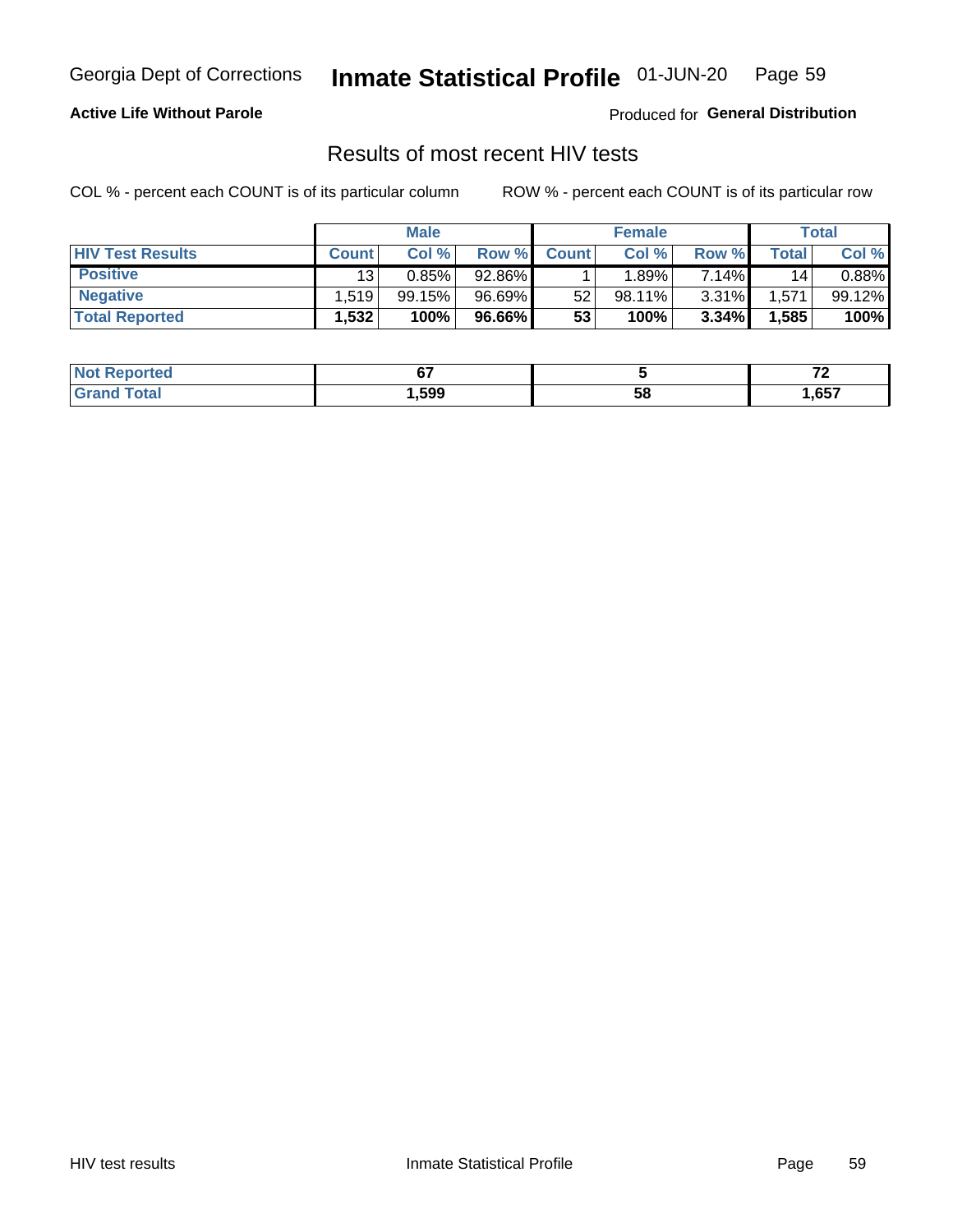#### Inmate Statistical Profile 01-JUN-20 Page 59

### **Active Life Without Parole**

Produced for General Distribution

# Results of most recent HIV tests

COL % - percent each COUNT is of its particular column

|                         | <b>Male</b>     |        |        | <b>Female</b> |           |          | Total       |        |
|-------------------------|-----------------|--------|--------|---------------|-----------|----------|-------------|--------|
| <b>HIV Test Results</b> | <b>Count</b>    | Col %  | Row %I | <b>Count</b>  | Col %     | Row %    | $\tau$ otal | Col %  |
| <b>Positive</b>         | 13 <sub>1</sub> | 0.85%  | 92.86% |               | $.89\%$ . | 7.14%    | 14          | 0.88%  |
| <b>Negative</b>         | .519            | 99.15% | 96.69% | 52            | 98.11%    | $3.31\%$ | .571        | 99.12% |
| <b>Total Reported</b>   | .532            | 100%   | 96.66% | 53            | 100%      | 3.34%    | 1,585       | 100%   |

| <b>Not Reported</b>         | ~-     |    | --<br>. . |
|-----------------------------|--------|----|-----------|
| <b>Total</b><br><b>Grot</b> | 599, ا | 58 | ,657      |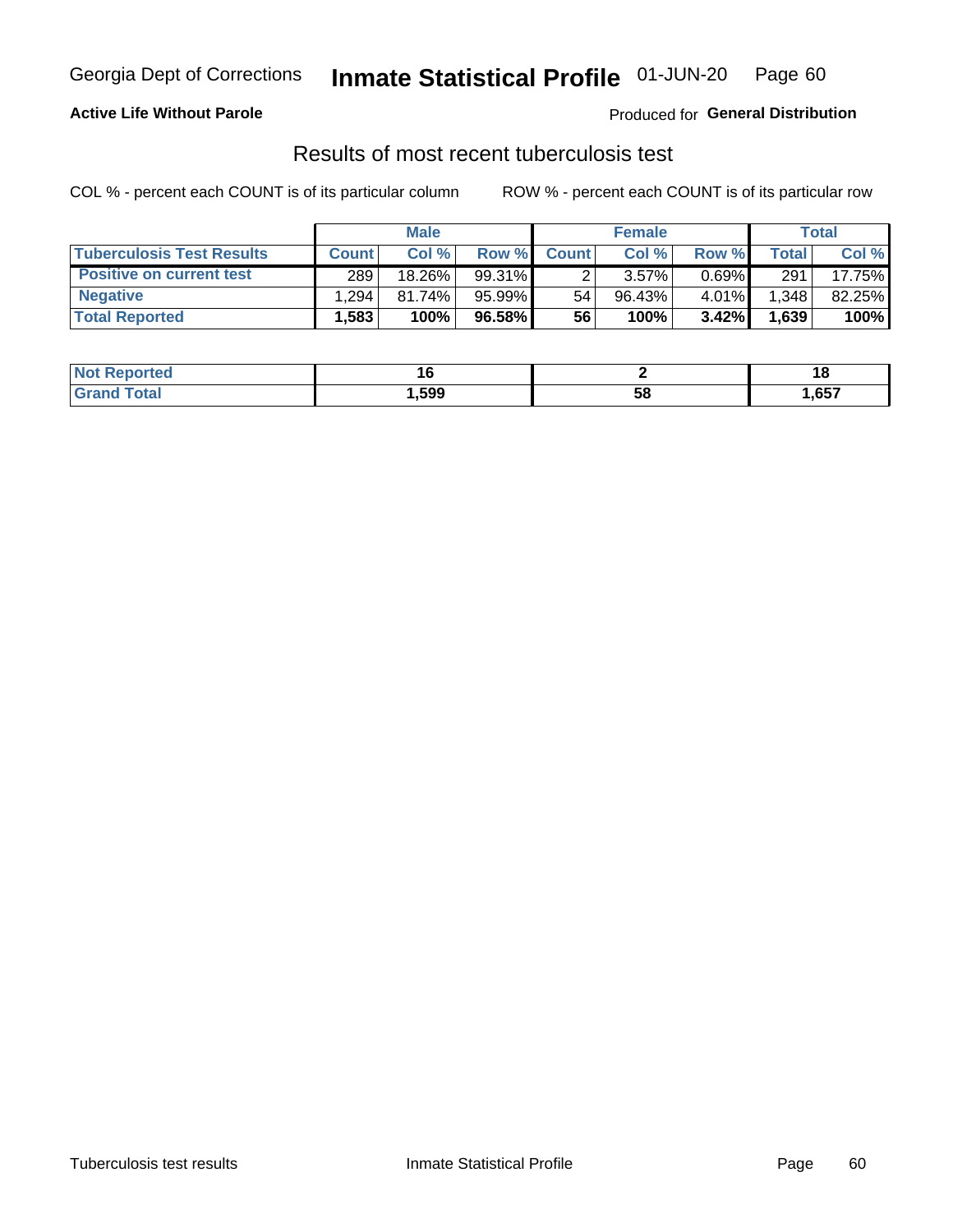# Georgia Dept of Corrections **Inmate Statistical Profile** 01-JUN-20 Page 60

### **Active Life Without Parole**

Produced for **General Distribution**

# Results of most recent tuberculosis test

COL % - percent each COUNT is of its particular column ROW % - percent each COUNT is of its particular row

|                                  | <b>Male</b>  |        |          |              | <b>Female</b> | Total    |              |        |
|----------------------------------|--------------|--------|----------|--------------|---------------|----------|--------------|--------|
| <b>Tuberculosis Test Results</b> | <b>Count</b> | Col %  | Row %I   | <b>Count</b> | Col %         | Row %    | <b>Total</b> | Col %  |
| <b>Positive on current test</b>  | 289          | 18.26% | 99.31%   |              | 3.57%         | $0.69\%$ | 291          | 17.75% |
| <b>Negative</b>                  | .294         | 81.74% | 95.99%   | 54           | $96.43\%$     | 4.01%    | .348         | 82.25% |
| <b>Total Reported</b>            | .583         | 100%   | 96.58% I | 56           | 100%          | $3.42\%$ | 1,639        | 100%   |

| <b>Not Reported</b> |      |    |      |
|---------------------|------|----|------|
| Total               | .599 | 58 | ,657 |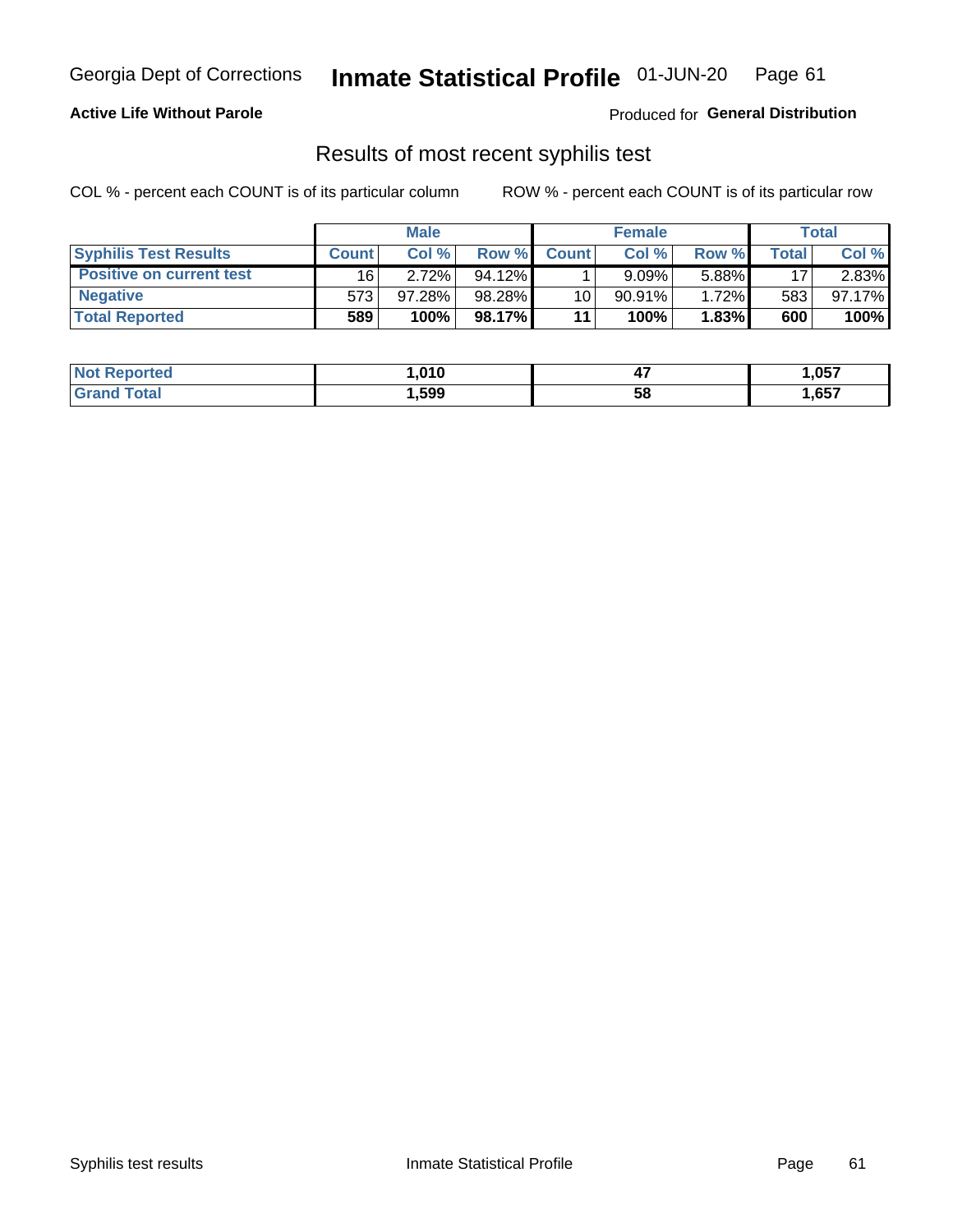# Georgia Dept of Corrections **Inmate Statistical Profile** 01-JUN-20 Page 61

### **Active Life Without Parole**

Produced for **General Distribution**

# Results of most recent syphilis test

COL % - percent each COUNT is of its particular column ROW % - percent each COUNT is of its particular row

|                                 | <b>Male</b>  |           |           | <b>Female</b> |           |          | Total |        |
|---------------------------------|--------------|-----------|-----------|---------------|-----------|----------|-------|--------|
| <b>Syphilis Test Results</b>    | <b>Count</b> | Col%      | Row %     | <b>Count</b>  | Col %     | Row %I   | Total | Col %  |
| <b>Positive on current test</b> | 16           | 2.72%     | $94.12\%$ |               | 9.09%     | 5.88%    | 17    | 2.83%  |
| <b>Negative</b>                 | 573          | $97.28\%$ | 98.28%    | 10            | $90.91\%$ | $1.72\%$ | 583   | 97.17% |
| <b>Total Reported</b>           | 589          | 100%      | 98.17%    | 11            | 100%      | 1.83%    | 600   | 100%   |

| <b>Not Reported</b>          | 010، ا | . .<br>−. | 057, ا |
|------------------------------|--------|-----------|--------|
| <b>Total</b><br><b>Grand</b> | ,599   | 58        | ,657   |